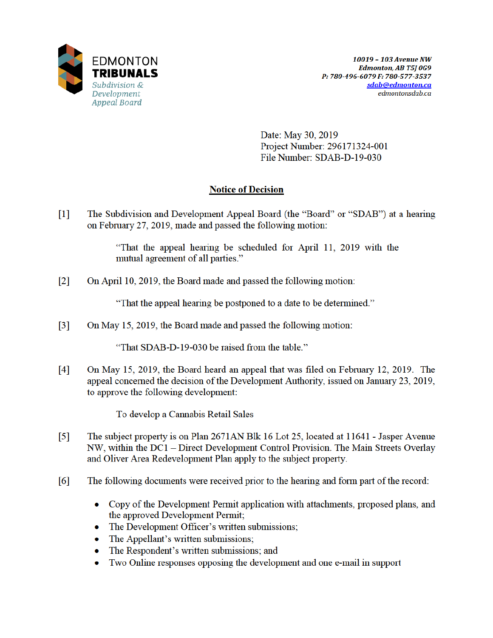

Date: May 30, 2019 Project Number: 296171324-001 File Number: SDAB-D-19-030

# **Notice of Decision**

 $[1]$ The Subdivision and Development Appeal Board (the "Board" or "SDAB") at a hearing on February 27, 2019, made and passed the following motion:

> "That the appeal hearing be scheduled for April 11, 2019 with the mutual agreement of all parties."

 $\lceil 2 \rceil$ On April 10, 2019, the Board made and passed the following motion:

"That the appeal hearing be postponed to a date to be determined."

 $\lceil 3 \rceil$ On May 15, 2019, the Board made and passed the following motion:

"That SDAB-D-19-030 be raised from the table."

 $[4]$ On May 15, 2019, the Board heard an appeal that was filed on February 12, 2019. The appeal concerned the decision of the Development Authority, issued on January 23, 2019, to approve the following development:

To develop a Cannabis Retail Sales

- $\lceil 5 \rceil$ The subject property is on Plan 2671AN Blk 16 Lot 25, located at 11641 - Jasper Avenue NW, within the DC1 – Direct Development Control Provision. The Main Streets Overlay and Oliver Area Redevelopment Plan apply to the subject property.
- $[6]$ The following documents were received prior to the hearing and form part of the record:
	- Copy of the Development Permit application with attachments, proposed plans, and the approved Development Permit;
	- The Development Officer's written submissions;
	- The Appellant's written submissions;  $\bullet$
	- The Respondent's written submissions; and  $\bullet$
	- Two Online responses opposing the development and one e-mail in support  $\bullet$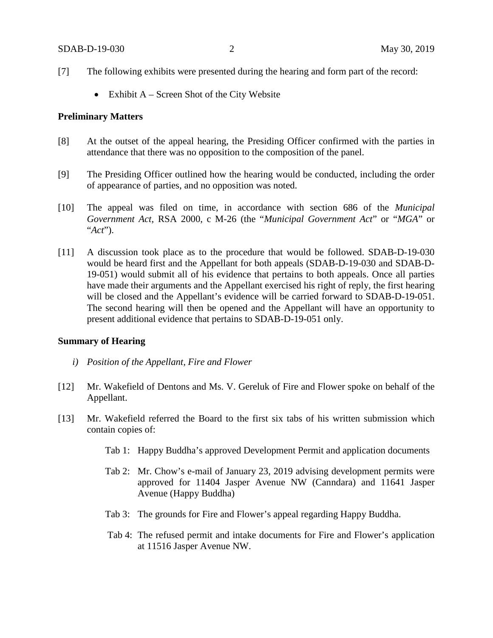- [7] The following exhibits were presented during the hearing and form part of the record:
	- Exhibit A Screen Shot of the City Website

## **Preliminary Matters**

- [8] At the outset of the appeal hearing, the Presiding Officer confirmed with the parties in attendance that there was no opposition to the composition of the panel.
- [9] The Presiding Officer outlined how the hearing would be conducted, including the order of appearance of parties, and no opposition was noted.
- [10] The appeal was filed on time, in accordance with section 686 of the *Municipal Government Act*, RSA 2000, c M-26 (the "*Municipal Government Act*" or "*MGA*" or "*Act*").
- [11] A discussion took place as to the procedure that would be followed. SDAB-D-19-030 would be heard first and the Appellant for both appeals (SDAB-D-19-030 and SDAB-D-19-051) would submit all of his evidence that pertains to both appeals. Once all parties have made their arguments and the Appellant exercised his right of reply, the first hearing will be closed and the Appellant's evidence will be carried forward to SDAB-D-19-051. The second hearing will then be opened and the Appellant will have an opportunity to present additional evidence that pertains to SDAB-D-19-051 only.

## **Summary of Hearing**

- *i) Position of the Appellant, Fire and Flower*
- [12] Mr. Wakefield of Dentons and Ms. V. Gereluk of Fire and Flower spoke on behalf of the Appellant.
- [13] Mr. Wakefield referred the Board to the first six tabs of his written submission which contain copies of:
	- Tab 1: Happy Buddha's approved Development Permit and application documents
	- Tab 2: Mr. Chow's e-mail of January 23, 2019 advising development permits were approved for 11404 Jasper Avenue NW (Canndara) and 11641 Jasper Avenue (Happy Buddha)
	- Tab 3: The grounds for Fire and Flower's appeal regarding Happy Buddha.
	- Tab 4: The refused permit and intake documents for Fire and Flower's application at 11516 Jasper Avenue NW.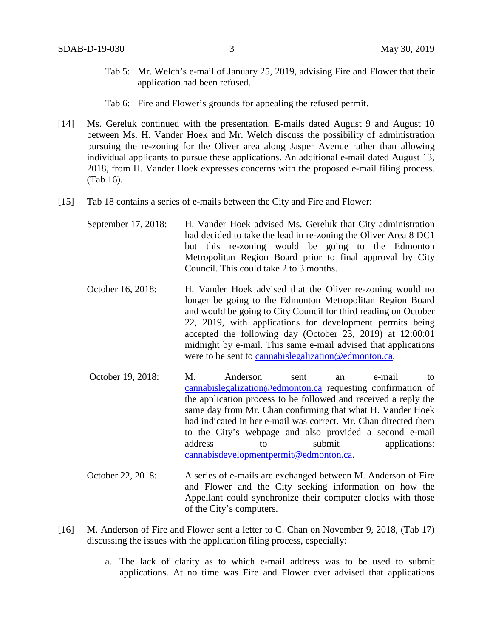- Tab 5: Mr. Welch's e-mail of January 25, 2019, advising Fire and Flower that their application had been refused.
- Tab 6: Fire and Flower's grounds for appealing the refused permit.
- [14] Ms. Gereluk continued with the presentation. E-mails dated August 9 and August 10 between Ms. H. Vander Hoek and Mr. Welch discuss the possibility of administration pursuing the re-zoning for the Oliver area along Jasper Avenue rather than allowing individual applicants to pursue these applications. An additional e-mail dated August 13, 2018, from H. Vander Hoek expresses concerns with the proposed e-mail filing process. (Tab 16).
- [15] Tab 18 contains a series of e-mails between the City and Fire and Flower:
	- September 17, 2018: H. Vander Hoek advised Ms. Gereluk that City administration had decided to take the lead in re-zoning the Oliver Area 8 DC1 but this re-zoning would be going to the Edmonton Metropolitan Region Board prior to final approval by City Council. This could take 2 to 3 months.
	- October 16, 2018: H. Vander Hoek advised that the Oliver re-zoning would no longer be going to the Edmonton Metropolitan Region Board and would be going to City Council for third reading on October 22, 2019, with applications for development permits being accepted the following day (October 23, 2019) at 12:00:01 midnight by e-mail. This same e-mail advised that applications were to be sent to cannabislegalization@edmonton.ca.
	- October 19, 2018: M. Anderson sent an e-mail to cannabislegalization@edmonton.ca requesting confirmation of the application process to be followed and received a reply the same day from Mr. Chan confirming that what H. Vander Hoek had indicated in her e-mail was correct. Mr. Chan directed them to the City's webpage and also provided a second e-mail address to submit applications: cannabisdevelopmentpermit@edmonton.ca.
	- October 22, 2018: A series of e-mails are exchanged between M. Anderson of Fire and Flower and the City seeking information on how the Appellant could synchronize their computer clocks with those of the City's computers.
- [16] M. Anderson of Fire and Flower sent a letter to C. Chan on November 9, 2018, (Tab 17) discussing the issues with the application filing process, especially:
	- a. The lack of clarity as to which e-mail address was to be used to submit applications. At no time was Fire and Flower ever advised that applications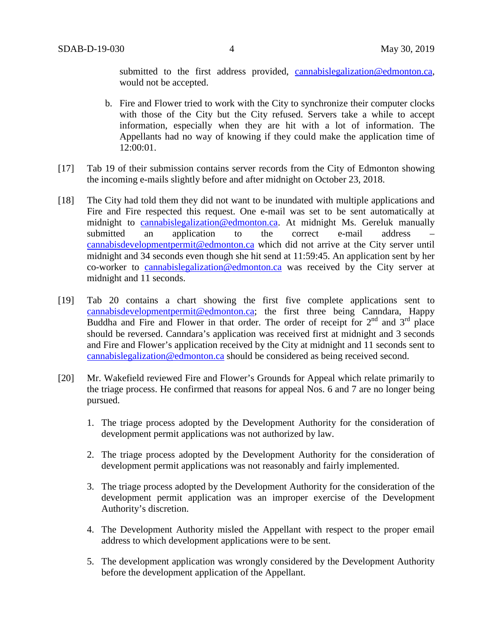submitted to the first address provided, cannabislegalization@edmonton.ca, would not be accepted.

- b. Fire and Flower tried to work with the City to synchronize their computer clocks with those of the City but the City refused. Servers take a while to accept information, especially when they are hit with a lot of information. The Appellants had no way of knowing if they could make the application time of 12:00:01.
- [17] Tab 19 of their submission contains server records from the City of Edmonton showing the incoming e-mails slightly before and after midnight on October 23, 2018.
- [18] The City had told them they did not want to be inundated with multiple applications and Fire and Fire respected this request. One e-mail was set to be sent automatically at midnight to cannabislegalization@edmonton.ca. At midnight Ms. Gereluk manually submitted an application to the correct e-mail address cannabisdevelopmentpermit@edmonton.ca which did not arrive at the City server until midnight and 34 seconds even though she hit send at 11:59:45. An application sent by her co-worker to cannabislegalization@edmonton.ca was received by the City server at midnight and 11 seconds.
- [19] Tab 20 contains a chart showing the first five complete applications sent to cannabisdevelopmentpermit@edmonton.ca; the first three being Canndara, Happy Buddha and Fire and Flower in that order. The order of receipt for  $2<sup>nd</sup>$  and  $3<sup>rd</sup>$  place should be reversed. Canndara's application was received first at midnight and 3 seconds and Fire and Flower's application received by the City at midnight and 11 seconds sent to cannabislegalization@edmonton.ca should be considered as being received second.
- [20] Mr. Wakefield reviewed Fire and Flower's Grounds for Appeal which relate primarily to the triage process. He confirmed that reasons for appeal Nos. 6 and 7 are no longer being pursued.
	- 1. The triage process adopted by the Development Authority for the consideration of development permit applications was not authorized by law.
	- 2. The triage process adopted by the Development Authority for the consideration of development permit applications was not reasonably and fairly implemented.
	- 3. The triage process adopted by the Development Authority for the consideration of the development permit application was an improper exercise of the Development Authority's discretion.
	- 4. The Development Authority misled the Appellant with respect to the proper email address to which development applications were to be sent.
	- 5. The development application was wrongly considered by the Development Authority before the development application of the Appellant.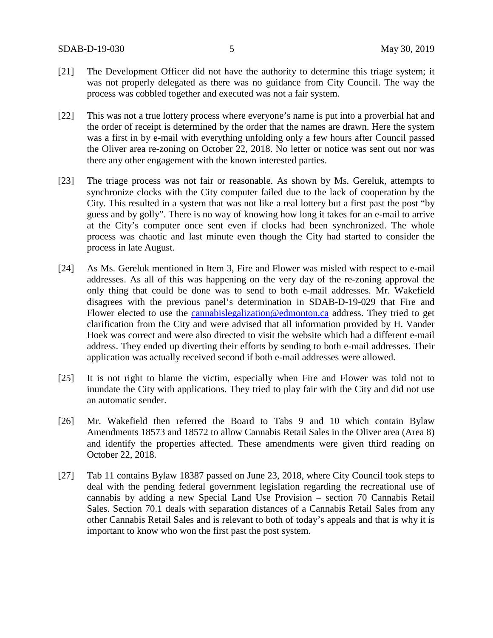- [21] The Development Officer did not have the authority to determine this triage system; it was not properly delegated as there was no guidance from City Council. The way the process was cobbled together and executed was not a fair system.
- [22] This was not a true lottery process where everyone's name is put into a proverbial hat and the order of receipt is determined by the order that the names are drawn. Here the system was a first in by e-mail with everything unfolding only a few hours after Council passed the Oliver area re-zoning on October 22, 2018. No letter or notice was sent out nor was there any other engagement with the known interested parties.
- [23] The triage process was not fair or reasonable. As shown by Ms. Gereluk, attempts to synchronize clocks with the City computer failed due to the lack of cooperation by the City. This resulted in a system that was not like a real lottery but a first past the post "by guess and by golly". There is no way of knowing how long it takes for an e-mail to arrive at the City's computer once sent even if clocks had been synchronized. The whole process was chaotic and last minute even though the City had started to consider the process in late August.
- [24] As Ms. Gereluk mentioned in Item 3, Fire and Flower was misled with respect to e-mail addresses. As all of this was happening on the very day of the re-zoning approval the only thing that could be done was to send to both e-mail addresses. Mr. Wakefield disagrees with the previous panel's determination in SDAB-D-19-029 that Fire and Flower elected to use the cannabislegalization@edmonton.ca address. They tried to get clarification from the City and were advised that all information provided by H. Vander Hoek was correct and were also directed to visit the website which had a different e-mail address. They ended up diverting their efforts by sending to both e-mail addresses. Their application was actually received second if both e-mail addresses were allowed.
- [25] It is not right to blame the victim, especially when Fire and Flower was told not to inundate the City with applications. They tried to play fair with the City and did not use an automatic sender.
- [26] Mr. Wakefield then referred the Board to Tabs 9 and 10 which contain Bylaw Amendments 18573 and 18572 to allow Cannabis Retail Sales in the Oliver area (Area 8) and identify the properties affected. These amendments were given third reading on October 22, 2018.
- [27] Tab 11 contains Bylaw 18387 passed on June 23, 2018, where City Council took steps to deal with the pending federal government legislation regarding the recreational use of cannabis by adding a new Special Land Use Provision – section 70 Cannabis Retail Sales. Section 70.1 deals with separation distances of a Cannabis Retail Sales from any other Cannabis Retail Sales and is relevant to both of today's appeals and that is why it is important to know who won the first past the post system.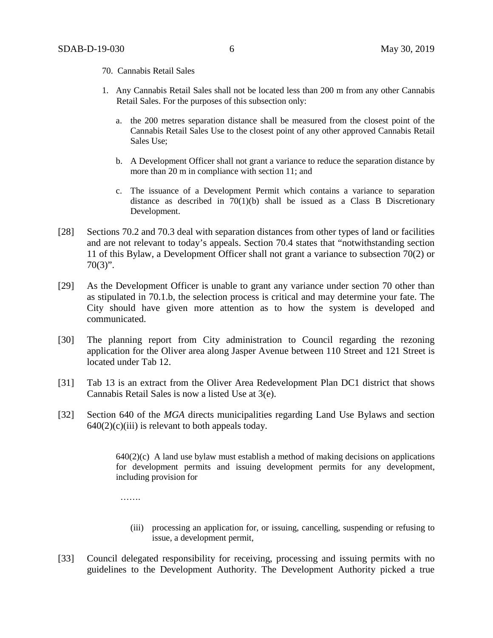- 70. Cannabis Retail Sales
- 1. Any Cannabis Retail Sales shall not be located less than 200 m from any other Cannabis Retail Sales. For the purposes of this subsection only:
	- a. the 200 metres separation distance shall be measured from the closest point of the Cannabis Retail Sales Use to the closest point of any other approved Cannabis Retail Sales Use;
	- b. A Development Officer shall not grant a variance to reduce the separation distance by more than 20 m in compliance with section 11; and
	- c. The issuance of a Development Permit which contains a variance to separation distance as described in  $70(1)(b)$  shall be issued as a Class B Discretionary Development.
- [28] Sections 70.2 and 70.3 deal with separation distances from other types of land or facilities and are not relevant to today's appeals. Section 70.4 states that "notwithstanding section 11 of this Bylaw, a Development Officer shall not grant a variance to subsection 70(2) or  $70(3)$ ".
- [29] As the Development Officer is unable to grant any variance under section 70 other than as stipulated in 70.1.b, the selection process is critical and may determine your fate. The City should have given more attention as to how the system is developed and communicated.
- [30] The planning report from City administration to Council regarding the rezoning application for the Oliver area along Jasper Avenue between 110 Street and 121 Street is located under Tab 12.
- [31] Tab 13 is an extract from the Oliver Area Redevelopment Plan DC1 district that shows Cannabis Retail Sales is now a listed Use at 3(e).
- [32] Section 640 of the *MGA* directs municipalities regarding Land Use Bylaws and section  $640(2)(c)(iii)$  is relevant to both appeals today.

 $640(2)(c)$  A land use bylaw must establish a method of making decisions on applications for development permits and issuing development permits for any development, including provision for

…….

- (iii) processing an application for, or issuing, cancelling, suspending or refusing to issue, a development permit,
- [33] Council delegated responsibility for receiving, processing and issuing permits with no guidelines to the Development Authority. The Development Authority picked a true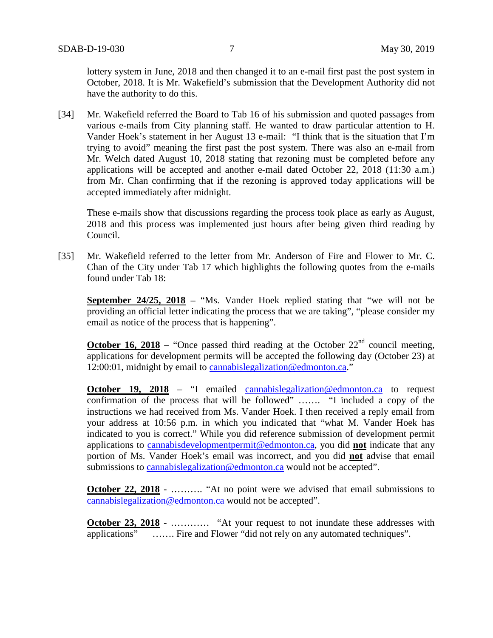lottery system in June, 2018 and then changed it to an e-mail first past the post system in October, 2018. It is Mr. Wakefield's submission that the Development Authority did not have the authority to do this.

[34] Mr. Wakefield referred the Board to Tab 16 of his submission and quoted passages from various e-mails from City planning staff. He wanted to draw particular attention to H. Vander Hoek's statement in her August 13 e-mail: "I think that is the situation that I'm trying to avoid" meaning the first past the post system. There was also an e-mail from Mr. Welch dated August 10, 2018 stating that rezoning must be completed before any applications will be accepted and another e-mail dated October 22, 2018 (11:30 a.m.) from Mr. Chan confirming that if the rezoning is approved today applications will be accepted immediately after midnight.

These e-mails show that discussions regarding the process took place as early as August, 2018 and this process was implemented just hours after being given third reading by Council.

[35] Mr. Wakefield referred to the letter from Mr. Anderson of Fire and Flower to Mr. C. Chan of the City under Tab 17 which highlights the following quotes from the e-mails found under Tab 18:

**September 24/25, 2018 –** "Ms. Vander Hoek replied stating that "we will not be providing an official letter indicating the process that we are taking", "please consider my email as notice of the process that is happening".

**October 16, 2018** – "Once passed third reading at the October  $22<sup>nd</sup>$  council meeting, applications for development permits will be accepted the following day (October 23) at 12:00:01, midnight by email to cannabislegalization@edmonton.ca."

**October 19, 2018** – "I emailed cannabislegalization@edmonton.ca to request confirmation of the process that will be followed" ……. "I included a copy of the instructions we had received from Ms. Vander Hoek. I then received a reply email from your address at 10:56 p.m. in which you indicated that "what M. Vander Hoek has indicated to you is correct." While you did reference submission of development permit applications to cannabisdevelopmentpermit@edmonton.ca, you did **not** indicate that any portion of Ms. Vander Hoek's email was incorrect, and you did **not** advise that email submissions to cannabislegalization@edmonton.ca would not be accepted".

**October 22, 2018** - ……….. "At no point were we advised that email submissions to cannabislegalization@edmonton.ca would not be accepted".

**October 23, 2018** - ………… "At your request to not inundate these addresses with applications" ……. Fire and Flower "did not rely on any automated techniques".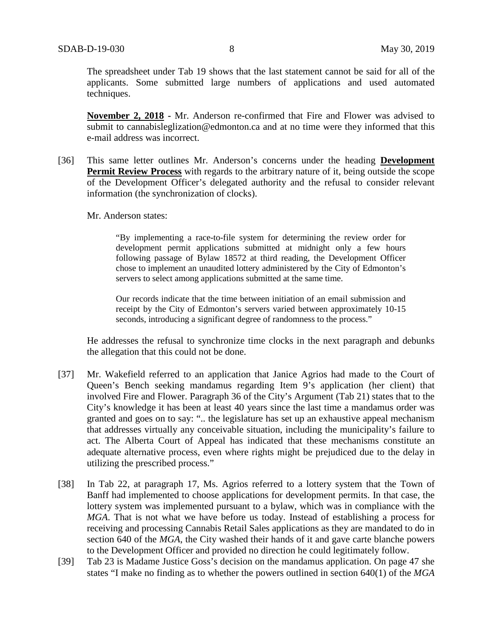The spreadsheet under Tab 19 shows that the last statement cannot be said for all of the applicants. Some submitted large numbers of applications and used automated techniques.

**November 2, 2018 -** Mr. Anderson re-confirmed that Fire and Flower was advised to submit to cannabisleglization@edmonton.ca and at no time were they informed that this e-mail address was incorrect.

- [36] This same letter outlines Mr. Anderson's concerns under the heading **Development Permit Review Process** with regards to the arbitrary nature of it, being outside the scope of the Development Officer's delegated authority and the refusal to consider relevant information (the synchronization of clocks).
	- Mr. Anderson states:

"By implementing a race-to-file system for determining the review order for development permit applications submitted at midnight only a few hours following passage of Bylaw 18572 at third reading, the Development Officer chose to implement an unaudited lottery administered by the City of Edmonton's servers to select among applications submitted at the same time.

Our records indicate that the time between initiation of an email submission and receipt by the City of Edmonton's servers varied between approximately 10-15 seconds, introducing a significant degree of randomness to the process."

He addresses the refusal to synchronize time clocks in the next paragraph and debunks the allegation that this could not be done.

- [37] Mr. Wakefield referred to an application that Janice Agrios had made to the Court of Queen's Bench seeking mandamus regarding Item 9's application (her client) that involved Fire and Flower. Paragraph 36 of the City's Argument (Tab 21) states that to the City's knowledge it has been at least 40 years since the last time a mandamus order was granted and goes on to say: ".. the legislature has set up an exhaustive appeal mechanism that addresses virtually any conceivable situation, including the municipality's failure to act. The Alberta Court of Appeal has indicated that these mechanisms constitute an adequate alternative process, even where rights might be prejudiced due to the delay in utilizing the prescribed process."
- [38] In Tab 22, at paragraph 17, Ms. Agrios referred to a lottery system that the Town of Banff had implemented to choose applications for development permits. In that case, the lottery system was implemented pursuant to a bylaw, which was in compliance with the *MGA*. That is not what we have before us today. Instead of establishing a process for receiving and processing Cannabis Retail Sales applications as they are mandated to do in section 640 of the *MGA*, the City washed their hands of it and gave carte blanche powers to the Development Officer and provided no direction he could legitimately follow.
- [39] Tab 23 is Madame Justice Goss's decision on the mandamus application. On page 47 she states "I make no finding as to whether the powers outlined in section 640(1) of the *MGA*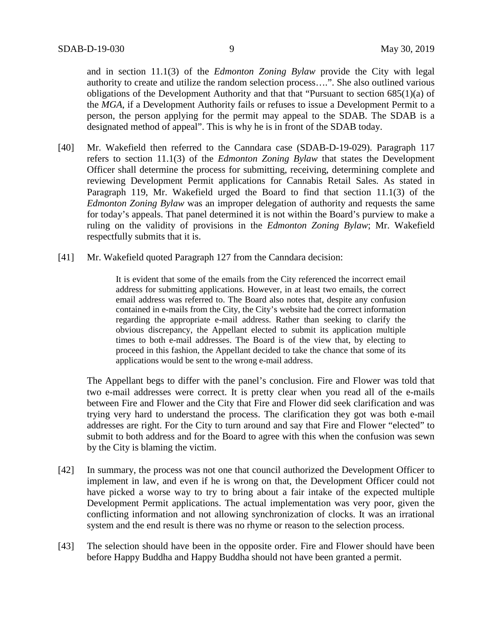and in section 11.1(3) of the *Edmonton Zoning Bylaw* provide the City with legal authority to create and utilize the random selection process….". She also outlined various obligations of the Development Authority and that that "Pursuant to section 685(1)(a) of the *MGA*, if a Development Authority fails or refuses to issue a Development Permit to a person, the person applying for the permit may appeal to the SDAB. The SDAB is a designated method of appeal". This is why he is in front of the SDAB today.

- [40] Mr. Wakefield then referred to the Canndara case (SDAB-D-19-029). Paragraph 117 refers to section 11.1(3) of the *Edmonton Zoning Bylaw* that states the Development Officer shall determine the process for submitting, receiving, determining complete and reviewing Development Permit applications for Cannabis Retail Sales. As stated in Paragraph 119, Mr. Wakefield urged the Board to find that section 11.1(3) of the *Edmonton Zoning Bylaw* was an improper delegation of authority and requests the same for today's appeals. That panel determined it is not within the Board's purview to make a ruling on the validity of provisions in the *Edmonton Zoning Bylaw*; Mr. Wakefield respectfully submits that it is.
- [41] Mr. Wakefield quoted Paragraph 127 from the Canndara decision:

It is evident that some of the emails from the City referenced the incorrect email address for submitting applications. However, in at least two emails, the correct email address was referred to. The Board also notes that, despite any confusion contained in e-mails from the City, the City's website had the correct information regarding the appropriate e-mail address. Rather than seeking to clarify the obvious discrepancy, the Appellant elected to submit its application multiple times to both e-mail addresses. The Board is of the view that, by electing to proceed in this fashion, the Appellant decided to take the chance that some of its applications would be sent to the wrong e-mail address.

The Appellant begs to differ with the panel's conclusion. Fire and Flower was told that two e-mail addresses were correct. It is pretty clear when you read all of the e-mails between Fire and Flower and the City that Fire and Flower did seek clarification and was trying very hard to understand the process. The clarification they got was both e-mail addresses are right. For the City to turn around and say that Fire and Flower "elected" to submit to both address and for the Board to agree with this when the confusion was sewn by the City is blaming the victim.

- [42] In summary, the process was not one that council authorized the Development Officer to implement in law, and even if he is wrong on that, the Development Officer could not have picked a worse way to try to bring about a fair intake of the expected multiple Development Permit applications. The actual implementation was very poor, given the conflicting information and not allowing synchronization of clocks. It was an irrational system and the end result is there was no rhyme or reason to the selection process.
- [43] The selection should have been in the opposite order. Fire and Flower should have been before Happy Buddha and Happy Buddha should not have been granted a permit.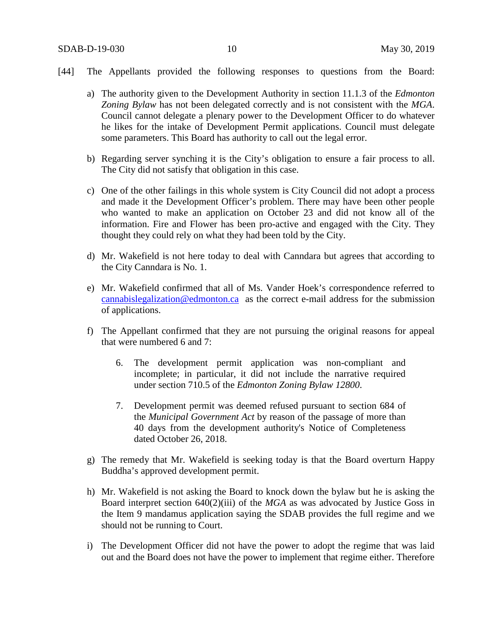- [44] The Appellants provided the following responses to questions from the Board:
	- a) The authority given to the Development Authority in section 11.1.3 of the *Edmonton Zoning Bylaw* has not been delegated correctly and is not consistent with the *MGA*. Council cannot delegate a plenary power to the Development Officer to do whatever he likes for the intake of Development Permit applications. Council must delegate some parameters. This Board has authority to call out the legal error.
	- b) Regarding server synching it is the City's obligation to ensure a fair process to all. The City did not satisfy that obligation in this case.
	- c) One of the other failings in this whole system is City Council did not adopt a process and made it the Development Officer's problem. There may have been other people who wanted to make an application on October 23 and did not know all of the information. Fire and Flower has been pro-active and engaged with the City. They thought they could rely on what they had been told by the City.
	- d) Mr. Wakefield is not here today to deal with Canndara but agrees that according to the City Canndara is No. 1.
	- e) Mr. Wakefield confirmed that all of Ms. Vander Hoek's correspondence referred to cannabislegalization@edmonton.ca as the correct e-mail address for the submission of applications.
	- f) The Appellant confirmed that they are not pursuing the original reasons for appeal that were numbered 6 and 7:
		- 6. The development permit application was non-compliant and incomplete; in particular, it did not include the narrative required under section 710.5 of the *Edmonton Zoning Bylaw 12800*.
		- 7. Development permit was deemed refused pursuant to section 684 of the *Municipal Government Act* by reason of the passage of more than 40 days from the development authority's Notice of Completeness dated October 26, 2018.
	- g) The remedy that Mr. Wakefield is seeking today is that the Board overturn Happy Buddha's approved development permit.
	- h) Mr. Wakefield is not asking the Board to knock down the bylaw but he is asking the Board interpret section 640(2)(iii) of the *MGA* as was advocated by Justice Goss in the Item 9 mandamus application saying the SDAB provides the full regime and we should not be running to Court.
	- i) The Development Officer did not have the power to adopt the regime that was laid out and the Board does not have the power to implement that regime either. Therefore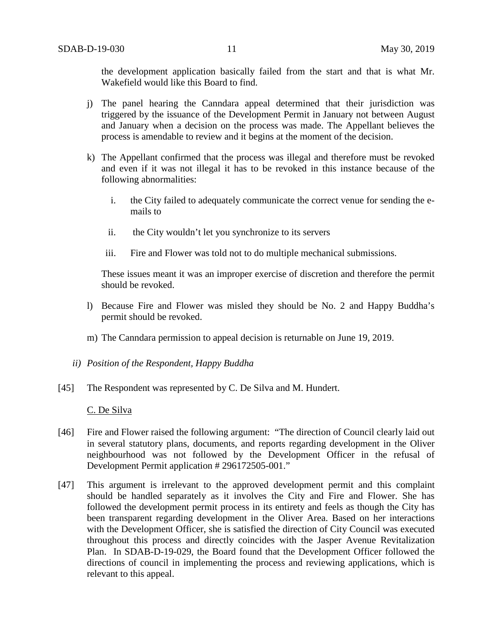the development application basically failed from the start and that is what Mr. Wakefield would like this Board to find.

- j) The panel hearing the Canndara appeal determined that their jurisdiction was triggered by the issuance of the Development Permit in January not between August and January when a decision on the process was made. The Appellant believes the process is amendable to review and it begins at the moment of the decision.
- k) The Appellant confirmed that the process was illegal and therefore must be revoked and even if it was not illegal it has to be revoked in this instance because of the following abnormalities:
	- i. the City failed to adequately communicate the correct venue for sending the emails to
	- ii. the City wouldn't let you synchronize to its servers
	- iii. Fire and Flower was told not to do multiple mechanical submissions.

These issues meant it was an improper exercise of discretion and therefore the permit should be revoked.

- l) Because Fire and Flower was misled they should be No. 2 and Happy Buddha's permit should be revoked.
- m) The Canndara permission to appeal decision is returnable on June 19, 2019.
- *ii) Position of the Respondent, Happy Buddha*
- [45] The Respondent was represented by C. De Silva and M. Hundert.

C. De Silva

- [46] Fire and Flower raised the following argument: "The direction of Council clearly laid out in several statutory plans, documents, and reports regarding development in the Oliver neighbourhood was not followed by the Development Officer in the refusal of Development Permit application # 296172505-001."
- [47] This argument is irrelevant to the approved development permit and this complaint should be handled separately as it involves the City and Fire and Flower. She has followed the development permit process in its entirety and feels as though the City has been transparent regarding development in the Oliver Area. Based on her interactions with the Development Officer, she is satisfied the direction of City Council was executed throughout this process and directly coincides with the Jasper Avenue Revitalization Plan. In SDAB-D-19-029, the Board found that the Development Officer followed the directions of council in implementing the process and reviewing applications, which is relevant to this appeal.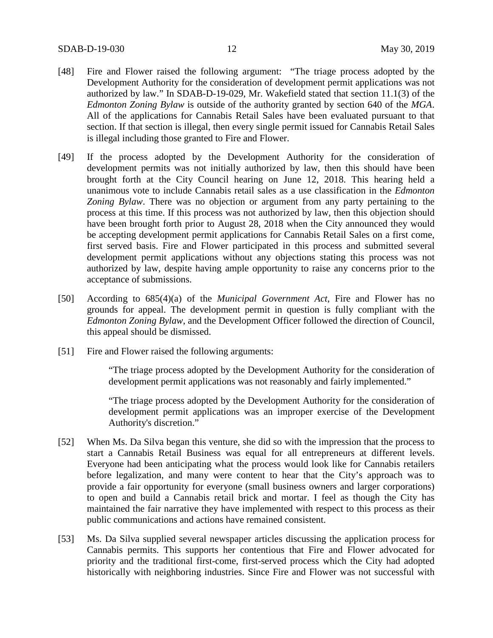- [48] Fire and Flower raised the following argument: "The triage process adopted by the Development Authority for the consideration of development permit applications was not authorized by law." In SDAB-D-19-029, Mr. Wakefield stated that section 11.1(3) of the *Edmonton Zoning Bylaw* is outside of the authority granted by section 640 of the *MGA*. All of the applications for Cannabis Retail Sales have been evaluated pursuant to that section. If that section is illegal, then every single permit issued for Cannabis Retail Sales is illegal including those granted to Fire and Flower.
- [49] If the process adopted by the Development Authority for the consideration of development permits was not initially authorized by law, then this should have been brought forth at the City Council hearing on June 12, 2018. This hearing held a unanimous vote to include Cannabis retail sales as a use classification in the *Edmonton Zoning Bylaw*. There was no objection or argument from any party pertaining to the process at this time. If this process was not authorized by law, then this objection should have been brought forth prior to August 28, 2018 when the City announced they would be accepting development permit applications for Cannabis Retail Sales on a first come, first served basis. Fire and Flower participated in this process and submitted several development permit applications without any objections stating this process was not authorized by law, despite having ample opportunity to raise any concerns prior to the acceptance of submissions.
- [50] According to 685(4)(a) of the *Municipal Government Act*, Fire and Flower has no grounds for appeal. The development permit in question is fully compliant with the *Edmonton Zoning Bylaw*, and the Development Officer followed the direction of Council, this appeal should be dismissed.
- [51] Fire and Flower raised the following arguments:

"The triage process adopted by the Development Authority for the consideration of development permit applications was not reasonably and fairly implemented."

"The triage process adopted by the Development Authority for the consideration of development permit applications was an improper exercise of the Development Authority's discretion."

- [52] When Ms. Da Silva began this venture, she did so with the impression that the process to start a Cannabis Retail Business was equal for all entrepreneurs at different levels. Everyone had been anticipating what the process would look like for Cannabis retailers before legalization, and many were content to hear that the City's approach was to provide a fair opportunity for everyone (small business owners and larger corporations) to open and build a Cannabis retail brick and mortar. I feel as though the City has maintained the fair narrative they have implemented with respect to this process as their public communications and actions have remained consistent.
- [53] Ms. Da Silva supplied several newspaper articles discussing the application process for Cannabis permits. This supports her contentious that Fire and Flower advocated for priority and the traditional first-come, first-served process which the City had adopted historically with neighboring industries. Since Fire and Flower was not successful with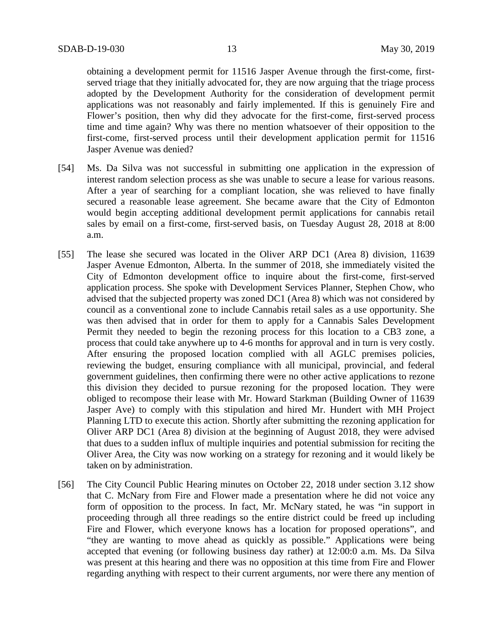obtaining a development permit for 11516 Jasper Avenue through the first-come, firstserved triage that they initially advocated for, they are now arguing that the triage process adopted by the Development Authority for the consideration of development permit applications was not reasonably and fairly implemented. If this is genuinely Fire and Flower's position, then why did they advocate for the first-come, first-served process time and time again? Why was there no mention whatsoever of their opposition to the first-come, first-served process until their development application permit for 11516 Jasper Avenue was denied?

- [54] Ms. Da Silva was not successful in submitting one application in the expression of interest random selection process as she was unable to secure a lease for various reasons. After a year of searching for a compliant location, she was relieved to have finally secured a reasonable lease agreement. She became aware that the City of Edmonton would begin accepting additional development permit applications for cannabis retail sales by email on a first-come, first-served basis, on Tuesday August 28, 2018 at 8:00 a.m.
- [55] The lease she secured was located in the Oliver ARP DC1 (Area 8) division, 11639 Jasper Avenue Edmonton, Alberta. In the summer of 2018, she immediately visited the City of Edmonton development office to inquire about the first-come, first-served application process. She spoke with Development Services Planner, Stephen Chow, who advised that the subjected property was zoned DC1 (Area 8) which was not considered by council as a conventional zone to include Cannabis retail sales as a use opportunity. She was then advised that in order for them to apply for a Cannabis Sales Development Permit they needed to begin the rezoning process for this location to a CB3 zone, a process that could take anywhere up to 4-6 months for approval and in turn is very costly. After ensuring the proposed location complied with all AGLC premises policies, reviewing the budget, ensuring compliance with all municipal, provincial, and federal government guidelines, then confirming there were no other active applications to rezone this division they decided to pursue rezoning for the proposed location. They were obliged to recompose their lease with Mr. Howard Starkman (Building Owner of 11639 Jasper Ave) to comply with this stipulation and hired Mr. Hundert with MH Project Planning LTD to execute this action. Shortly after submitting the rezoning application for Oliver ARP DC1 (Area 8) division at the beginning of August 2018, they were advised that dues to a sudden influx of multiple inquiries and potential submission for reciting the Oliver Area, the City was now working on a strategy for rezoning and it would likely be taken on by administration.
- [56] The City Council Public Hearing minutes on October 22, 2018 under section 3.12 show that C. McNary from Fire and Flower made a presentation where he did not voice any form of opposition to the process. In fact, Mr. McNary stated, he was "in support in proceeding through all three readings so the entire district could be freed up including Fire and Flower, which everyone knows has a location for proposed operations", and "they are wanting to move ahead as quickly as possible." Applications were being accepted that evening (or following business day rather) at 12:00:0 a.m. Ms. Da Silva was present at this hearing and there was no opposition at this time from Fire and Flower regarding anything with respect to their current arguments, nor were there any mention of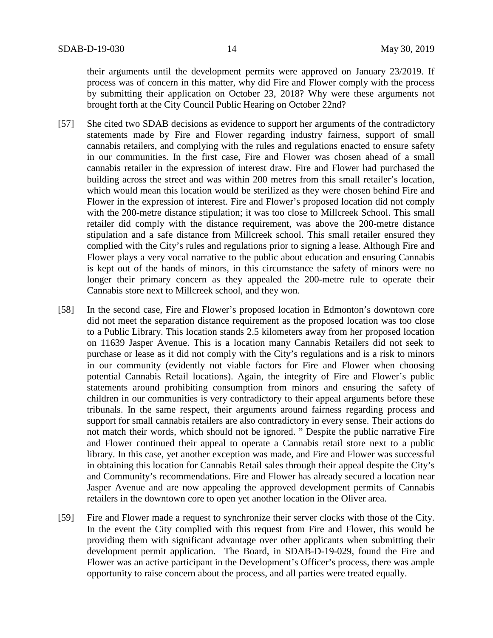their arguments until the development permits were approved on January 23/2019. If process was of concern in this matter, why did Fire and Flower comply with the process by submitting their application on October 23, 2018? Why were these arguments not brought forth at the City Council Public Hearing on October 22nd?

- [57] She cited two SDAB decisions as evidence to support her arguments of the contradictory statements made by Fire and Flower regarding industry fairness, support of small cannabis retailers, and complying with the rules and regulations enacted to ensure safety in our communities. In the first case, Fire and Flower was chosen ahead of a small cannabis retailer in the expression of interest draw. Fire and Flower had purchased the building across the street and was within 200 metres from this small retailer's location, which would mean this location would be sterilized as they were chosen behind Fire and Flower in the expression of interest. Fire and Flower's proposed location did not comply with the 200-metre distance stipulation; it was too close to Millcreek School. This small retailer did comply with the distance requirement, was above the 200-metre distance stipulation and a safe distance from Millcreek school. This small retailer ensured they complied with the City's rules and regulations prior to signing a lease. Although Fire and Flower plays a very vocal narrative to the public about education and ensuring Cannabis is kept out of the hands of minors, in this circumstance the safety of minors were no longer their primary concern as they appealed the 200-metre rule to operate their Cannabis store next to Millcreek school, and they won.
- [58] In the second case, Fire and Flower's proposed location in Edmonton's downtown core did not meet the separation distance requirement as the proposed location was too close to a Public Library. This location stands 2.5 kilometers away from her proposed location on 11639 Jasper Avenue. This is a location many Cannabis Retailers did not seek to purchase or lease as it did not comply with the City's regulations and is a risk to minors in our community (evidently not viable factors for Fire and Flower when choosing potential Cannabis Retail locations). Again, the integrity of Fire and Flower's public statements around prohibiting consumption from minors and ensuring the safety of children in our communities is very contradictory to their appeal arguments before these tribunals. In the same respect, their arguments around fairness regarding process and support for small cannabis retailers are also contradictory in every sense. Their actions do not match their words, which should not be ignored. " Despite the public narrative Fire and Flower continued their appeal to operate a Cannabis retail store next to a public library. In this case, yet another exception was made, and Fire and Flower was successful in obtaining this location for Cannabis Retail sales through their appeal despite the City's and Community's recommendations. Fire and Flower has already secured a location near Jasper Avenue and are now appealing the approved development permits of Cannabis retailers in the downtown core to open yet another location in the Oliver area.
- [59] Fire and Flower made a request to synchronize their server clocks with those of the City. In the event the City complied with this request from Fire and Flower, this would be providing them with significant advantage over other applicants when submitting their development permit application. The Board, in SDAB-D-19-029, found the Fire and Flower was an active participant in the Development's Officer's process, there was ample opportunity to raise concern about the process, and all parties were treated equally.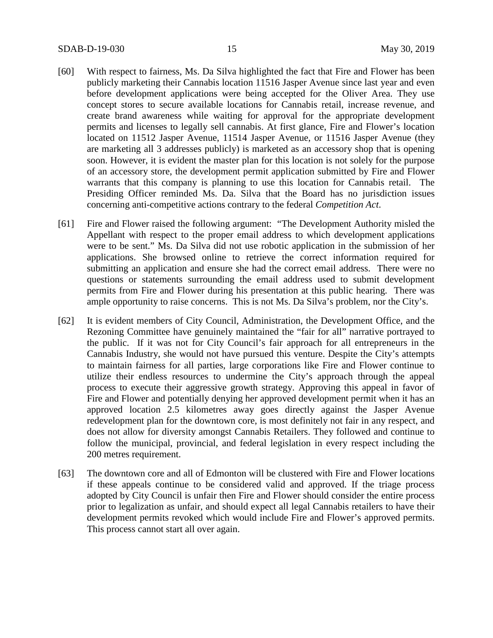- [60] With respect to fairness, Ms. Da Silva highlighted the fact that Fire and Flower has been publicly marketing their Cannabis location 11516 Jasper Avenue since last year and even before development applications were being accepted for the Oliver Area. They use concept stores to secure available locations for Cannabis retail, increase revenue, and create brand awareness while waiting for approval for the appropriate development permits and licenses to legally sell cannabis. At first glance, Fire and Flower's location located on 11512 Jasper Avenue, 11514 Jasper Avenue, or 11516 Jasper Avenue (they are marketing all 3 addresses publicly) is marketed as an accessory shop that is opening soon. However, it is evident the master plan for this location is not solely for the purpose of an accessory store, the development permit application submitted by Fire and Flower warrants that this company is planning to use this location for Cannabis retail. The Presiding Officer reminded Ms. Da. Silva that the Board has no jurisdiction issues concerning anti-competitive actions contrary to the federal *Competition Act*.
- [61] Fire and Flower raised the following argument: "The Development Authority misled the Appellant with respect to the proper email address to which development applications were to be sent." Ms. Da Silva did not use robotic application in the submission of her applications. She browsed online to retrieve the correct information required for submitting an application and ensure she had the correct email address. There were no questions or statements surrounding the email address used to submit development permits from Fire and Flower during his presentation at this public hearing. There was ample opportunity to raise concerns. This is not Ms. Da Silva's problem, nor the City's.
- [62] It is evident members of City Council, Administration, the Development Office, and the Rezoning Committee have genuinely maintained the "fair for all" narrative portrayed to the public. If it was not for City Council's fair approach for all entrepreneurs in the Cannabis Industry, she would not have pursued this venture. Despite the City's attempts to maintain fairness for all parties, large corporations like Fire and Flower continue to utilize their endless resources to undermine the City's approach through the appeal process to execute their aggressive growth strategy. Approving this appeal in favor of Fire and Flower and potentially denying her approved development permit when it has an approved location 2.5 kilometres away goes directly against the Jasper Avenue redevelopment plan for the downtown core, is most definitely not fair in any respect, and does not allow for diversity amongst Cannabis Retailers. They followed and continue to follow the municipal, provincial, and federal legislation in every respect including the 200 metres requirement.
- [63] The downtown core and all of Edmonton will be clustered with Fire and Flower locations if these appeals continue to be considered valid and approved. If the triage process adopted by City Council is unfair then Fire and Flower should consider the entire process prior to legalization as unfair, and should expect all legal Cannabis retailers to have their development permits revoked which would include Fire and Flower's approved permits. This process cannot start all over again.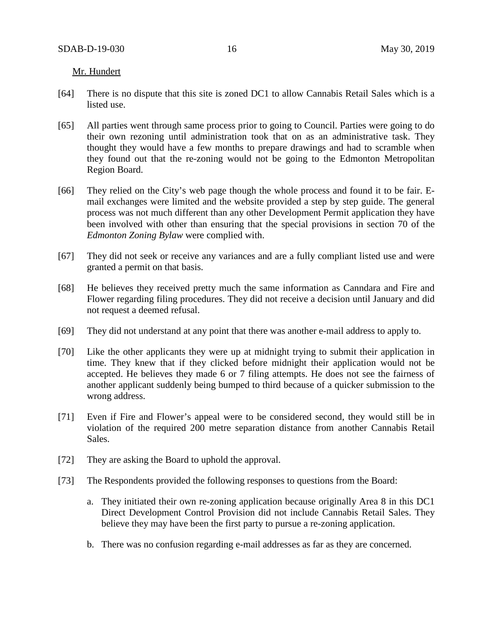Mr. Hundert

- [64] There is no dispute that this site is zoned DC1 to allow Cannabis Retail Sales which is a listed use.
- [65] All parties went through same process prior to going to Council. Parties were going to do their own rezoning until administration took that on as an administrative task. They thought they would have a few months to prepare drawings and had to scramble when they found out that the re-zoning would not be going to the Edmonton Metropolitan Region Board.
- [66] They relied on the City's web page though the whole process and found it to be fair. Email exchanges were limited and the website provided a step by step guide. The general process was not much different than any other Development Permit application they have been involved with other than ensuring that the special provisions in section 70 of the *Edmonton Zoning Bylaw* were complied with.
- [67] They did not seek or receive any variances and are a fully compliant listed use and were granted a permit on that basis.
- [68] He believes they received pretty much the same information as Canndara and Fire and Flower regarding filing procedures. They did not receive a decision until January and did not request a deemed refusal.
- [69] They did not understand at any point that there was another e-mail address to apply to.
- [70] Like the other applicants they were up at midnight trying to submit their application in time. They knew that if they clicked before midnight their application would not be accepted. He believes they made 6 or 7 filing attempts. He does not see the fairness of another applicant suddenly being bumped to third because of a quicker submission to the wrong address.
- [71] Even if Fire and Flower's appeal were to be considered second, they would still be in violation of the required 200 metre separation distance from another Cannabis Retail Sales.
- [72] They are asking the Board to uphold the approval.
- [73] The Respondents provided the following responses to questions from the Board:
	- a. They initiated their own re-zoning application because originally Area 8 in this DC1 Direct Development Control Provision did not include Cannabis Retail Sales. They believe they may have been the first party to pursue a re-zoning application.
	- b. There was no confusion regarding e-mail addresses as far as they are concerned.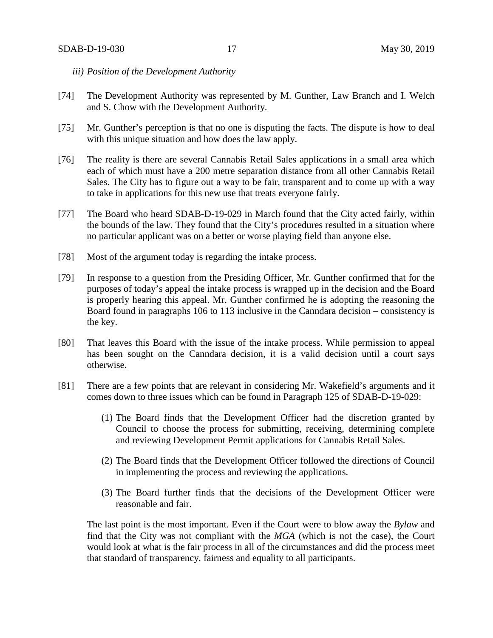- *iii) Position of the Development Authority*
- [74] The Development Authority was represented by M. Gunther, Law Branch and I. Welch and S. Chow with the Development Authority.
- [75] Mr. Gunther's perception is that no one is disputing the facts. The dispute is how to deal with this unique situation and how does the law apply.
- [76] The reality is there are several Cannabis Retail Sales applications in a small area which each of which must have a 200 metre separation distance from all other Cannabis Retail Sales. The City has to figure out a way to be fair, transparent and to come up with a way to take in applications for this new use that treats everyone fairly.
- [77] The Board who heard SDAB-D-19-029 in March found that the City acted fairly, within the bounds of the law. They found that the City's procedures resulted in a situation where no particular applicant was on a better or worse playing field than anyone else.
- [78] Most of the argument today is regarding the intake process.
- [79] In response to a question from the Presiding Officer, Mr. Gunther confirmed that for the purposes of today's appeal the intake process is wrapped up in the decision and the Board is properly hearing this appeal. Mr. Gunther confirmed he is adopting the reasoning the Board found in paragraphs 106 to 113 inclusive in the Canndara decision – consistency is the key.
- [80] That leaves this Board with the issue of the intake process. While permission to appeal has been sought on the Canndara decision, it is a valid decision until a court says otherwise.
- [81] There are a few points that are relevant in considering Mr. Wakefield's arguments and it comes down to three issues which can be found in Paragraph 125 of SDAB-D-19-029:
	- (1) The Board finds that the Development Officer had the discretion granted by Council to choose the process for submitting, receiving, determining complete and reviewing Development Permit applications for Cannabis Retail Sales.
	- (2) The Board finds that the Development Officer followed the directions of Council in implementing the process and reviewing the applications.
	- (3) The Board further finds that the decisions of the Development Officer were reasonable and fair.

The last point is the most important. Even if the Court were to blow away the *Bylaw* and find that the City was not compliant with the *MGA* (which is not the case), the Court would look at what is the fair process in all of the circumstances and did the process meet that standard of transparency, fairness and equality to all participants.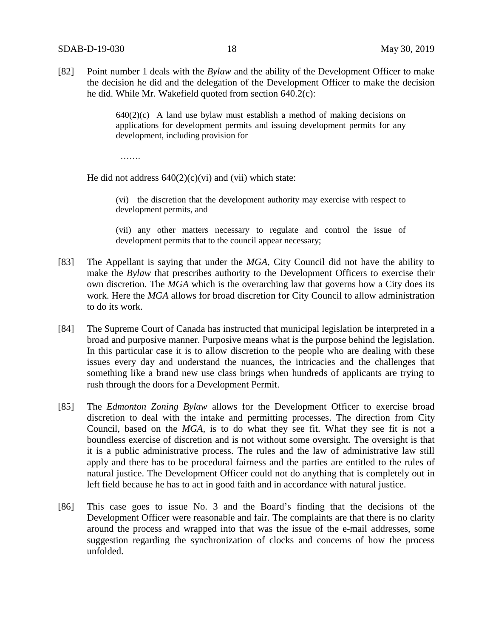[82] Point number 1 deals with the *Bylaw* and the ability of the Development Officer to make the decision he did and the delegation of the Development Officer to make the decision he did. While Mr. Wakefield quoted from section 640.2(c):

> $640(2)(c)$  A land use bylaw must establish a method of making decisions on applications for development permits and issuing development permits for any development, including provision for

…….

He did not address  $640(2)(c)(vi)$  and (vii) which state:

(vi) the discretion that the development authority may exercise with respect to development permits, and

(vii) any other matters necessary to regulate and control the issue of development permits that to the council appear necessary;

- [83] The Appellant is saying that under the *MGA*, City Council did not have the ability to make the *Bylaw* that prescribes authority to the Development Officers to exercise their own discretion. The *MGA* which is the overarching law that governs how a City does its work. Here the *MGA* allows for broad discretion for City Council to allow administration to do its work.
- [84] The Supreme Court of Canada has instructed that municipal legislation be interpreted in a broad and purposive manner. Purposive means what is the purpose behind the legislation. In this particular case it is to allow discretion to the people who are dealing with these issues every day and understand the nuances, the intricacies and the challenges that something like a brand new use class brings when hundreds of applicants are trying to rush through the doors for a Development Permit.
- [85] The *Edmonton Zoning Bylaw* allows for the Development Officer to exercise broad discretion to deal with the intake and permitting processes. The direction from City Council, based on the *MGA*, is to do what they see fit. What they see fit is not a boundless exercise of discretion and is not without some oversight. The oversight is that it is a public administrative process. The rules and the law of administrative law still apply and there has to be procedural fairness and the parties are entitled to the rules of natural justice. The Development Officer could not do anything that is completely out in left field because he has to act in good faith and in accordance with natural justice.
- [86] This case goes to issue No. 3 and the Board's finding that the decisions of the Development Officer were reasonable and fair. The complaints are that there is no clarity around the process and wrapped into that was the issue of the e-mail addresses, some suggestion regarding the synchronization of clocks and concerns of how the process unfolded.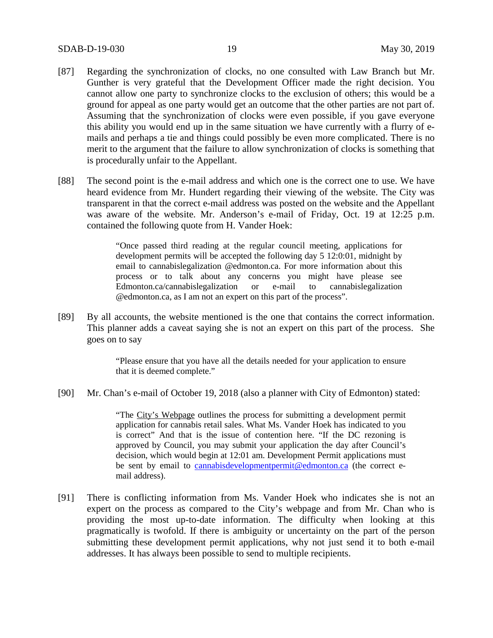- [87] Regarding the synchronization of clocks, no one consulted with Law Branch but Mr. Gunther is very grateful that the Development Officer made the right decision. You cannot allow one party to synchronize clocks to the exclusion of others; this would be a ground for appeal as one party would get an outcome that the other parties are not part of. Assuming that the synchronization of clocks were even possible, if you gave everyone this ability you would end up in the same situation we have currently with a flurry of emails and perhaps a tie and things could possibly be even more complicated. There is no merit to the argument that the failure to allow synchronization of clocks is something that is procedurally unfair to the Appellant.
- [88] The second point is the e-mail address and which one is the correct one to use. We have heard evidence from Mr. Hundert regarding their viewing of the website. The City was transparent in that the correct e-mail address was posted on the website and the Appellant was aware of the website. Mr. Anderson's e-mail of Friday, Oct. 19 at 12:25 p.m. contained the following quote from H. Vander Hoek:

"Once passed third reading at the regular council meeting, applications for development permits will be accepted the following day 5 12:0:01, midnight by email to cannabislegalization @edmonton.ca. For more information about this process or to talk about any concerns you might have please see Edmonton.ca/cannabislegalization or e-mail to cannabislegalization @edmonton.ca, as I am not an expert on this part of the process".

[89] By all accounts, the website mentioned is the one that contains the correct information. This planner adds a caveat saying she is not an expert on this part of the process. She goes on to say

> "Please ensure that you have all the details needed for your application to ensure that it is deemed complete."

[90] Mr. Chan's e-mail of October 19, 2018 (also a planner with City of Edmonton) stated:

"The City's Webpage outlines the process for submitting a development permit application for cannabis retail sales. What Ms. Vander Hoek has indicated to you is correct" And that is the issue of contention here. "If the DC rezoning is approved by Council, you may submit your application the day after Council's decision, which would begin at 12:01 am. Development Permit applications must be sent by email to cannabisdevelopmentpermit@edmonton.ca (the correct email address).

[91] There is conflicting information from Ms. Vander Hoek who indicates she is not an expert on the process as compared to the City's webpage and from Mr. Chan who is providing the most up-to-date information. The difficulty when looking at this pragmatically is twofold. If there is ambiguity or uncertainty on the part of the person submitting these development permit applications, why not just send it to both e-mail addresses. It has always been possible to send to multiple recipients.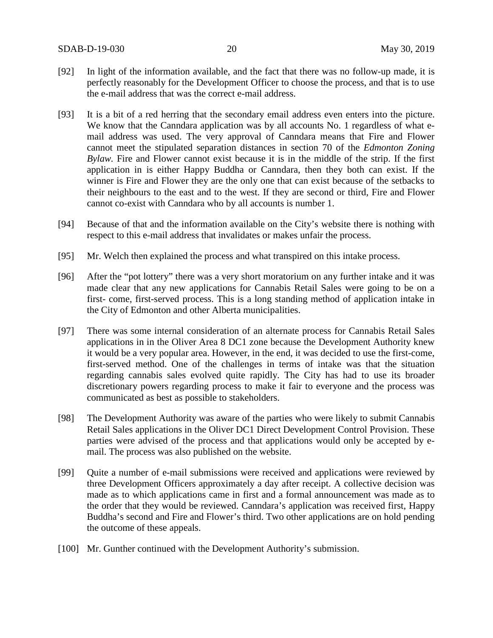- [92] In light of the information available, and the fact that there was no follow-up made, it is perfectly reasonably for the Development Officer to choose the process, and that is to use the e-mail address that was the correct e-mail address.
- [93] It is a bit of a red herring that the secondary email address even enters into the picture. We know that the Canndara application was by all accounts No. 1 regardless of what email address was used. The very approval of Canndara means that Fire and Flower cannot meet the stipulated separation distances in section 70 of the *Edmonton Zoning Bylaw.* Fire and Flower cannot exist because it is in the middle of the strip. If the first application in is either Happy Buddha or Canndara, then they both can exist. If the winner is Fire and Flower they are the only one that can exist because of the setbacks to their neighbours to the east and to the west. If they are second or third, Fire and Flower cannot co-exist with Canndara who by all accounts is number 1.
- [94] Because of that and the information available on the City's website there is nothing with respect to this e-mail address that invalidates or makes unfair the process.
- [95] Mr. Welch then explained the process and what transpired on this intake process.
- [96] After the "pot lottery" there was a very short moratorium on any further intake and it was made clear that any new applications for Cannabis Retail Sales were going to be on a first- come, first-served process. This is a long standing method of application intake in the City of Edmonton and other Alberta municipalities.
- [97] There was some internal consideration of an alternate process for Cannabis Retail Sales applications in in the Oliver Area 8 DC1 zone because the Development Authority knew it would be a very popular area. However, in the end, it was decided to use the first-come, first-served method. One of the challenges in terms of intake was that the situation regarding cannabis sales evolved quite rapidly. The City has had to use its broader discretionary powers regarding process to make it fair to everyone and the process was communicated as best as possible to stakeholders.
- [98] The Development Authority was aware of the parties who were likely to submit Cannabis Retail Sales applications in the Oliver DC1 Direct Development Control Provision. These parties were advised of the process and that applications would only be accepted by email. The process was also published on the website.
- [99] Quite a number of e-mail submissions were received and applications were reviewed by three Development Officers approximately a day after receipt. A collective decision was made as to which applications came in first and a formal announcement was made as to the order that they would be reviewed. Canndara's application was received first, Happy Buddha's second and Fire and Flower's third. Two other applications are on hold pending the outcome of these appeals.
- [100] Mr. Gunther continued with the Development Authority's submission.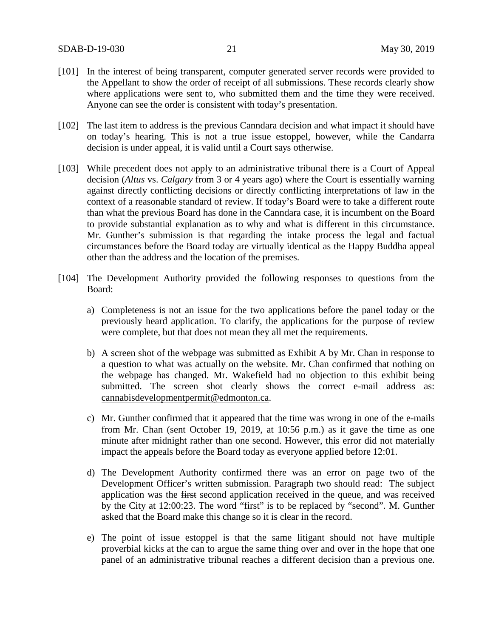- [101] In the interest of being transparent, computer generated server records were provided to the Appellant to show the order of receipt of all submissions. These records clearly show where applications were sent to, who submitted them and the time they were received. Anyone can see the order is consistent with today's presentation.
- [102] The last item to address is the previous Canndara decision and what impact it should have on today's hearing. This is not a true issue estoppel, however, while the Candarra decision is under appeal, it is valid until a Court says otherwise.
- [103] While precedent does not apply to an administrative tribunal there is a Court of Appeal decision (*Altus* vs. *Calgary* from 3 or 4 years ago) where the Court is essentially warning against directly conflicting decisions or directly conflicting interpretations of law in the context of a reasonable standard of review. If today's Board were to take a different route than what the previous Board has done in the Canndara case, it is incumbent on the Board to provide substantial explanation as to why and what is different in this circumstance. Mr. Gunther's submission is that regarding the intake process the legal and factual circumstances before the Board today are virtually identical as the Happy Buddha appeal other than the address and the location of the premises.
- [104] The Development Authority provided the following responses to questions from the Board:
	- a) Completeness is not an issue for the two applications before the panel today or the previously heard application. To clarify, the applications for the purpose of review were complete, but that does not mean they all met the requirements.
	- b) A screen shot of the webpage was submitted as Exhibit A by Mr. Chan in response to a question to what was actually on the website. Mr. Chan confirmed that nothing on the webpage has changed. Mr. Wakefield had no objection to this exhibit being submitted. The screen shot clearly shows the correct e-mail address as: cannabisdevelopmentpermit@edmonton.ca.
	- c) Mr. Gunther confirmed that it appeared that the time was wrong in one of the e-mails from Mr. Chan (sent October 19, 2019, at 10:56 p.m.) as it gave the time as one minute after midnight rather than one second. However, this error did not materially impact the appeals before the Board today as everyone applied before 12:01.
	- d) The Development Authority confirmed there was an error on page two of the Development Officer's written submission. Paragraph two should read: The subject application was the first second application received in the queue, and was received by the City at 12:00:23. The word "first" is to be replaced by "second". M. Gunther asked that the Board make this change so it is clear in the record.
	- e) The point of issue estoppel is that the same litigant should not have multiple proverbial kicks at the can to argue the same thing over and over in the hope that one panel of an administrative tribunal reaches a different decision than a previous one.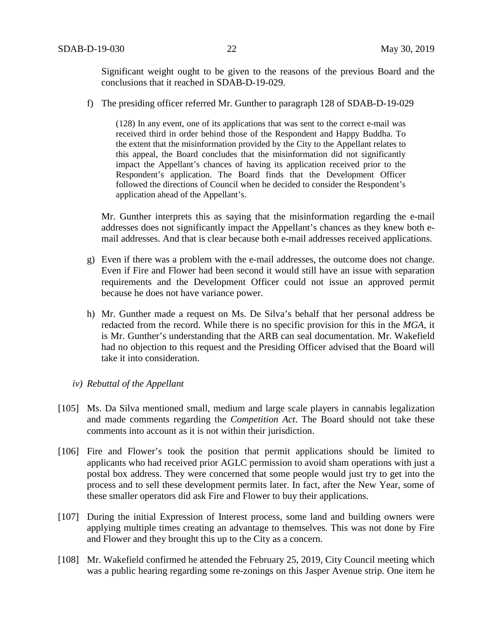Significant weight ought to be given to the reasons of the previous Board and the conclusions that it reached in SDAB-D-19-029.

f) The presiding officer referred Mr. Gunther to paragraph 128 of SDAB-D-19-029

(128) In any event, one of its applications that was sent to the correct e-mail was received third in order behind those of the Respondent and Happy Buddha. To the extent that the misinformation provided by the City to the Appellant relates to this appeal, the Board concludes that the misinformation did not significantly impact the Appellant's chances of having its application received prior to the Respondent's application. The Board finds that the Development Officer followed the directions of Council when he decided to consider the Respondent's application ahead of the Appellant's.

Mr. Gunther interprets this as saying that the misinformation regarding the e-mail addresses does not significantly impact the Appellant's chances as they knew both email addresses. And that is clear because both e-mail addresses received applications.

- g) Even if there was a problem with the e-mail addresses, the outcome does not change. Even if Fire and Flower had been second it would still have an issue with separation requirements and the Development Officer could not issue an approved permit because he does not have variance power.
- h) Mr. Gunther made a request on Ms. De Silva's behalf that her personal address be redacted from the record. While there is no specific provision for this in the *MGA*, it is Mr. Gunther's understanding that the ARB can seal documentation. Mr. Wakefield had no objection to this request and the Presiding Officer advised that the Board will take it into consideration.
- *iv) Rebuttal of the Appellant*
- [105] Ms. Da Silva mentioned small, medium and large scale players in cannabis legalization and made comments regarding the *Competition Act*. The Board should not take these comments into account as it is not within their jurisdiction.
- [106] Fire and Flower's took the position that permit applications should be limited to applicants who had received prior AGLC permission to avoid sham operations with just a postal box address. They were concerned that some people would just try to get into the process and to sell these development permits later. In fact, after the New Year, some of these smaller operators did ask Fire and Flower to buy their applications.
- [107] During the initial Expression of Interest process, some land and building owners were applying multiple times creating an advantage to themselves. This was not done by Fire and Flower and they brought this up to the City as a concern.
- [108] Mr. Wakefield confirmed he attended the February 25, 2019, City Council meeting which was a public hearing regarding some re-zonings on this Jasper Avenue strip. One item he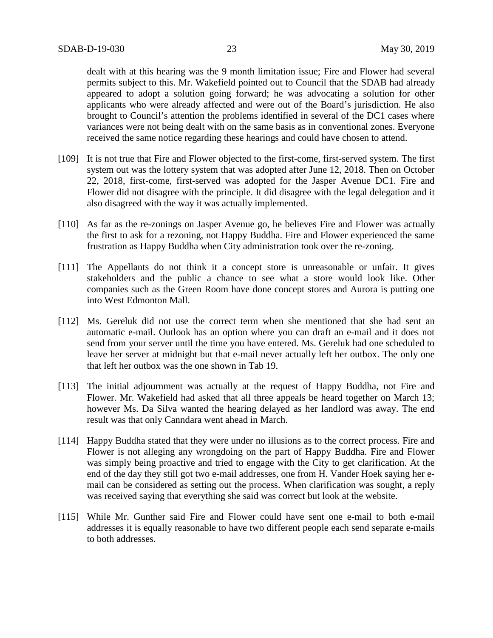dealt with at this hearing was the 9 month limitation issue; Fire and Flower had several permits subject to this. Mr. Wakefield pointed out to Council that the SDAB had already appeared to adopt a solution going forward; he was advocating a solution for other applicants who were already affected and were out of the Board's jurisdiction. He also brought to Council's attention the problems identified in several of the DC1 cases where variances were not being dealt with on the same basis as in conventional zones. Everyone received the same notice regarding these hearings and could have chosen to attend.

- [109] It is not true that Fire and Flower objected to the first-come, first-served system. The first system out was the lottery system that was adopted after June 12, 2018. Then on October 22, 2018, first-come, first-served was adopted for the Jasper Avenue DC1. Fire and Flower did not disagree with the principle. It did disagree with the legal delegation and it also disagreed with the way it was actually implemented.
- [110] As far as the re-zonings on Jasper Avenue go, he believes Fire and Flower was actually the first to ask for a rezoning, not Happy Buddha. Fire and Flower experienced the same frustration as Happy Buddha when City administration took over the re-zoning.
- [111] The Appellants do not think it a concept store is unreasonable or unfair. It gives stakeholders and the public a chance to see what a store would look like. Other companies such as the Green Room have done concept stores and Aurora is putting one into West Edmonton Mall.
- [112] Ms. Gereluk did not use the correct term when she mentioned that she had sent an automatic e-mail. Outlook has an option where you can draft an e-mail and it does not send from your server until the time you have entered. Ms. Gereluk had one scheduled to leave her server at midnight but that e-mail never actually left her outbox. The only one that left her outbox was the one shown in Tab 19.
- [113] The initial adjournment was actually at the request of Happy Buddha, not Fire and Flower. Mr. Wakefield had asked that all three appeals be heard together on March 13; however Ms. Da Silva wanted the hearing delayed as her landlord was away. The end result was that only Canndara went ahead in March.
- [114] Happy Buddha stated that they were under no illusions as to the correct process. Fire and Flower is not alleging any wrongdoing on the part of Happy Buddha. Fire and Flower was simply being proactive and tried to engage with the City to get clarification. At the end of the day they still got two e-mail addresses, one from H. Vander Hoek saying her email can be considered as setting out the process. When clarification was sought, a reply was received saying that everything she said was correct but look at the website.
- [115] While Mr. Gunther said Fire and Flower could have sent one e-mail to both e-mail addresses it is equally reasonable to have two different people each send separate e-mails to both addresses.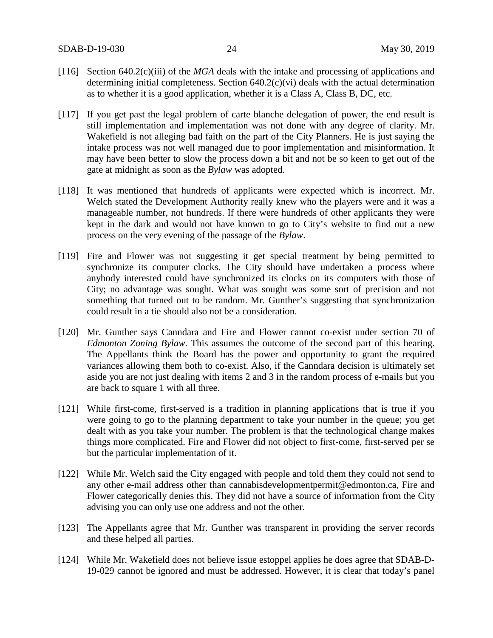- [116] Section 640.2(c)(iii) of the *MGA* deals with the intake and processing of applications and determining initial completeness. Section 640.2(c)(vi) deals with the actual determination as to whether it is a good application, whether it is a Class A, Class B, DC, etc.
- [117] If you get past the legal problem of carte blanche delegation of power, the end result is still implementation and implementation was not done with any degree of clarity. Mr. Wakefield is not alleging bad faith on the part of the City Planners. He is just saying the intake process was not well managed due to poor implementation and misinformation. It may have been better to slow the process down a bit and not be so keen to get out of the gate at midnight as soon as the *Bylaw* was adopted.
- [118] It was mentioned that hundreds of applicants were expected which is incorrect. Mr. Welch stated the Development Authority really knew who the players were and it was a manageable number, not hundreds. If there were hundreds of other applicants they were kept in the dark and would not have known to go to City's website to find out a new process on the very evening of the passage of the *Bylaw*.
- [119] Fire and Flower was not suggesting it get special treatment by being permitted to synchronize its computer clocks. The City should have undertaken a process where anybody interested could have synchronized its clocks on its computers with those of City; no advantage was sought. What was sought was some sort of precision and not something that turned out to be random. Mr. Gunther's suggesting that synchronization could result in a tie should also not be a consideration.
- [120] Mr. Gunther says Canndara and Fire and Flower cannot co-exist under section 70 of *Edmonton Zoning Bylaw*. This assumes the outcome of the second part of this hearing. The Appellants think the Board has the power and opportunity to grant the required variances allowing them both to co-exist. Also, if the Canndara decision is ultimately set aside you are not just dealing with items 2 and 3 in the random process of e-mails but you are back to square 1 with all three.
- [121] While first-come, first-served is a tradition in planning applications that is true if you were going to go to the planning department to take your number in the queue; you get dealt with as you take your number. The problem is that the technological change makes things more complicated. Fire and Flower did not object to first-come, first-served per se but the particular implementation of it.
- [122] While Mr. Welch said the City engaged with people and told them they could not send to any other e-mail address other than cannabisdevelopmentpermit@edmonton.ca, Fire and Flower categorically denies this. They did not have a source of information from the City advising you can only use one address and not the other.
- [123] The Appellants agree that Mr. Gunther was transparent in providing the server records and these helped all parties.
- [124] While Mr. Wakefield does not believe issue estoppel applies he does agree that SDAB-D-19-029 cannot be ignored and must be addressed. However, it is clear that today's panel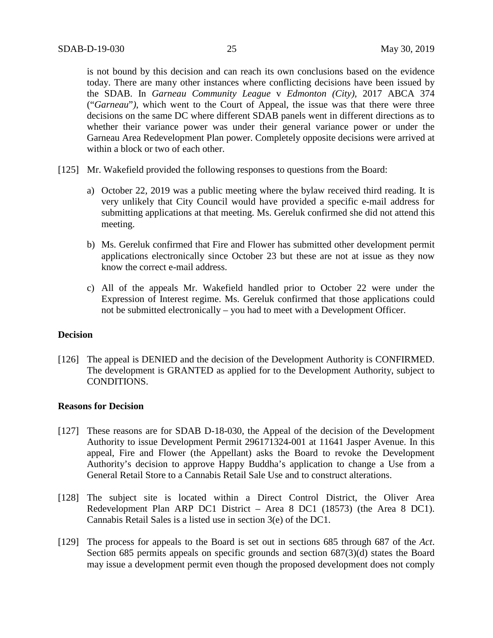is not bound by this decision and can reach its own conclusions based on the evidence today. There are many other instances where conflicting decisions have been issued by the SDAB. In *Garneau Community League* v *Edmonton (City)*, 2017 ABCA 374 ("*Garneau*"*)*, which went to the Court of Appeal, the issue was that there were three decisions on the same DC where different SDAB panels went in different directions as to whether their variance power was under their general variance power or under the Garneau Area Redevelopment Plan power. Completely opposite decisions were arrived at within a block or two of each other.

- [125] Mr. Wakefield provided the following responses to questions from the Board:
	- a) October 22, 2019 was a public meeting where the bylaw received third reading. It is very unlikely that City Council would have provided a specific e-mail address for submitting applications at that meeting. Ms. Gereluk confirmed she did not attend this meeting.
	- b) Ms. Gereluk confirmed that Fire and Flower has submitted other development permit applications electronically since October 23 but these are not at issue as they now know the correct e-mail address.
	- c) All of the appeals Mr. Wakefield handled prior to October 22 were under the Expression of Interest regime. Ms. Gereluk confirmed that those applications could not be submitted electronically – you had to meet with a Development Officer.

### **Decision**

[126] The appeal is DENIED and the decision of the Development Authority is CONFIRMED. The development is GRANTED as applied for to the Development Authority, subject to CONDITIONS.

### **Reasons for Decision**

- [127] These reasons are for SDAB D-18-030, the Appeal of the decision of the Development Authority to issue Development Permit 296171324-001 at 11641 Jasper Avenue. In this appeal, Fire and Flower (the Appellant) asks the Board to revoke the Development Authority's decision to approve Happy Buddha's application to change a Use from a General Retail Store to a Cannabis Retail Sale Use and to construct alterations.
- [128] The subject site is located within a Direct Control District, the Oliver Area Redevelopment Plan ARP DC1 District – Area 8 DC1 (18573) (the Area 8 DC1). Cannabis Retail Sales is a listed use in section 3(e) of the DC1.
- [129] The process for appeals to the Board is set out in sections 685 through 687 of the *Act*. Section 685 permits appeals on specific grounds and section 687(3)(d) states the Board may issue a development permit even though the proposed development does not comply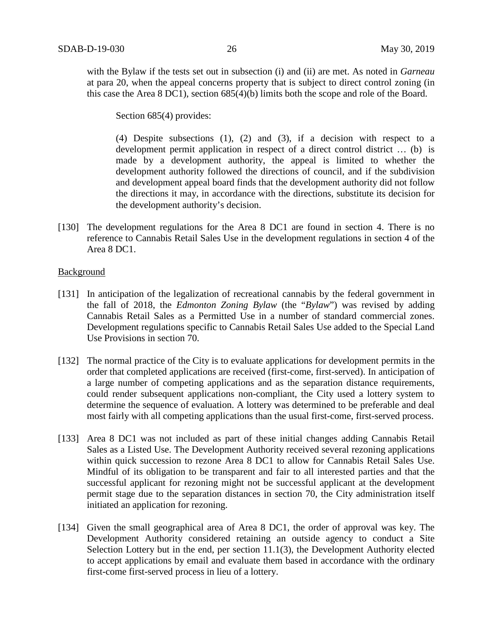with the Bylaw if the tests set out in subsection (i) and (ii) are met. As noted in *Garneau* at para 20, when the appeal concerns property that is subject to direct control zoning (in this case the Area 8 DC1), section 685(4)(b) limits both the scope and role of the Board.

Section 685(4) provides:

(4) Despite subsections (1), (2) and (3), if a decision with respect to a development permit application in respect of a direct control district … (b) is made by a development authority, the appeal is limited to whether the development authority followed the directions of council, and if the subdivision and development appeal board finds that the development authority did not follow the directions it may, in accordance with the directions, substitute its decision for the development authority's decision.

[130] The development regulations for the Area 8 DC1 are found in section 4. There is no reference to Cannabis Retail Sales Use in the development regulations in section 4 of the Area 8 DC1.

## Background

- [131] In anticipation of the legalization of recreational cannabis by the federal government in the fall of 2018, the *Edmonton Zoning Bylaw* (the "*Bylaw*") was revised by adding Cannabis Retail Sales as a Permitted Use in a number of standard commercial zones. Development regulations specific to Cannabis Retail Sales Use added to the Special Land Use Provisions in section 70.
- [132] The normal practice of the City is to evaluate applications for development permits in the order that completed applications are received (first-come, first-served). In anticipation of a large number of competing applications and as the separation distance requirements, could render subsequent applications non-compliant, the City used a lottery system to determine the sequence of evaluation. A lottery was determined to be preferable and deal most fairly with all competing applications than the usual first-come, first-served process.
- [133] Area 8 DC1 was not included as part of these initial changes adding Cannabis Retail Sales as a Listed Use. The Development Authority received several rezoning applications within quick succession to rezone Area 8 DC1 to allow for Cannabis Retail Sales Use. Mindful of its obligation to be transparent and fair to all interested parties and that the successful applicant for rezoning might not be successful applicant at the development permit stage due to the separation distances in section 70, the City administration itself initiated an application for rezoning.
- [134] Given the small geographical area of Area 8 DC1, the order of approval was key. The Development Authority considered retaining an outside agency to conduct a Site Selection Lottery but in the end, per section 11.1(3), the Development Authority elected to accept applications by email and evaluate them based in accordance with the ordinary first-come first-served process in lieu of a lottery.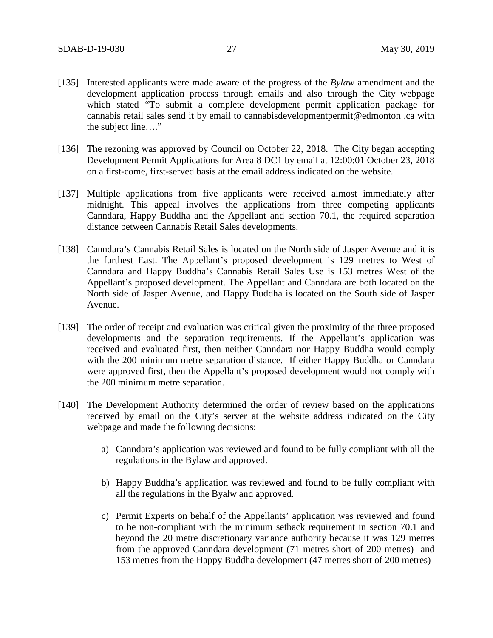- [135] Interested applicants were made aware of the progress of the *Bylaw* amendment and the development application process through emails and also through the City webpage which stated "To submit a complete development permit application package for cannabis retail sales send it by email to cannabisdevelopmentpermit@edmonton .ca with the subject line…."
- [136] The rezoning was approved by Council on October 22, 2018. The City began accepting Development Permit Applications for Area 8 DC1 by email at 12:00:01 October 23, 2018 on a first-come, first-served basis at the email address indicated on the website.
- [137] Multiple applications from five applicants were received almost immediately after midnight. This appeal involves the applications from three competing applicants Canndara, Happy Buddha and the Appellant and section 70.1, the required separation distance between Cannabis Retail Sales developments.
- [138] Canndara's Cannabis Retail Sales is located on the North side of Jasper Avenue and it is the furthest East. The Appellant's proposed development is 129 metres to West of Canndara and Happy Buddha's Cannabis Retail Sales Use is 153 metres West of the Appellant's proposed development. The Appellant and Canndara are both located on the North side of Jasper Avenue, and Happy Buddha is located on the South side of Jasper Avenue.
- [139] The order of receipt and evaluation was critical given the proximity of the three proposed developments and the separation requirements. If the Appellant's application was received and evaluated first, then neither Canndara nor Happy Buddha would comply with the 200 minimum metre separation distance. If either Happy Buddha or Canndara were approved first, then the Appellant's proposed development would not comply with the 200 minimum metre separation.
- [140] The Development Authority determined the order of review based on the applications received by email on the City's server at the website address indicated on the City webpage and made the following decisions:
	- a) Canndara's application was reviewed and found to be fully compliant with all the regulations in the Bylaw and approved.
	- b) Happy Buddha's application was reviewed and found to be fully compliant with all the regulations in the Byalw and approved.
	- c) Permit Experts on behalf of the Appellants' application was reviewed and found to be non-compliant with the minimum setback requirement in section 70.1 and beyond the 20 metre discretionary variance authority because it was 129 metres from the approved Canndara development (71 metres short of 200 metres) and 153 metres from the Happy Buddha development (47 metres short of 200 metres)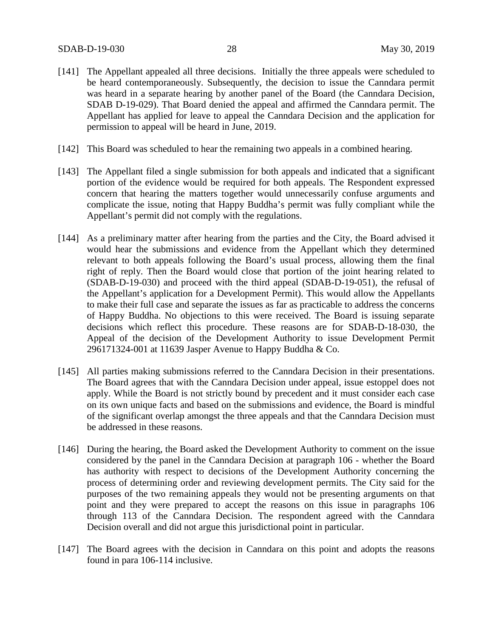- [141] The Appellant appealed all three decisions. Initially the three appeals were scheduled to be heard contemporaneously. Subsequently, the decision to issue the Canndara permit was heard in a separate hearing by another panel of the Board (the Canndara Decision, SDAB D-19-029). That Board denied the appeal and affirmed the Canndara permit. The Appellant has applied for leave to appeal the Canndara Decision and the application for permission to appeal will be heard in June, 2019.
- [142] This Board was scheduled to hear the remaining two appeals in a combined hearing.
- [143] The Appellant filed a single submission for both appeals and indicated that a significant portion of the evidence would be required for both appeals. The Respondent expressed concern that hearing the matters together would unnecessarily confuse arguments and complicate the issue, noting that Happy Buddha's permit was fully compliant while the Appellant's permit did not comply with the regulations.
- [144] As a preliminary matter after hearing from the parties and the City, the Board advised it would hear the submissions and evidence from the Appellant which they determined relevant to both appeals following the Board's usual process, allowing them the final right of reply. Then the Board would close that portion of the joint hearing related to (SDAB-D-19-030) and proceed with the third appeal (SDAB-D-19-051), the refusal of the Appellant's application for a Development Permit). This would allow the Appellants to make their full case and separate the issues as far as practicable to address the concerns of Happy Buddha. No objections to this were received. The Board is issuing separate decisions which reflect this procedure. These reasons are for SDAB-D-18-030, the Appeal of the decision of the Development Authority to issue Development Permit 296171324-001 at 11639 Jasper Avenue to Happy Buddha  $& Co.$
- [145] All parties making submissions referred to the Canndara Decision in their presentations. The Board agrees that with the Canndara Decision under appeal, issue estoppel does not apply. While the Board is not strictly bound by precedent and it must consider each case on its own unique facts and based on the submissions and evidence, the Board is mindful of the significant overlap amongst the three appeals and that the Canndara Decision must be addressed in these reasons.
- [146] During the hearing, the Board asked the Development Authority to comment on the issue considered by the panel in the Canndara Decision at paragraph 106 - whether the Board has authority with respect to decisions of the Development Authority concerning the process of determining order and reviewing development permits. The City said for the purposes of the two remaining appeals they would not be presenting arguments on that point and they were prepared to accept the reasons on this issue in paragraphs 106 through 113 of the Canndara Decision. The respondent agreed with the Canndara Decision overall and did not argue this jurisdictional point in particular.
- [147] The Board agrees with the decision in Canndara on this point and adopts the reasons found in para 106-114 inclusive.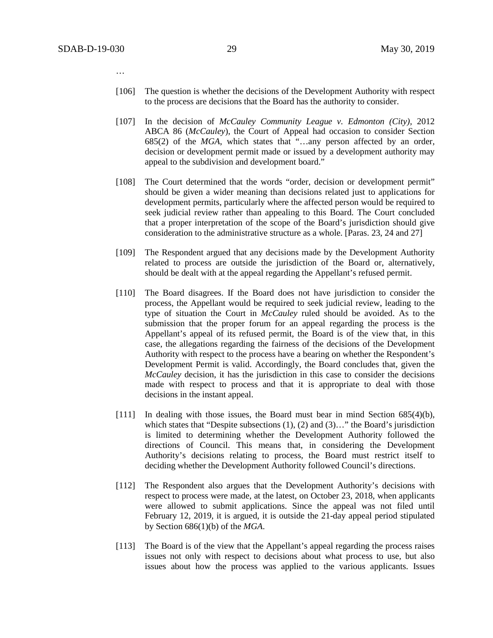…

- [106] The question is whether the decisions of the Development Authority with respect to the process are decisions that the Board has the authority to consider.
- [107] In the decision of *McCauley Community League v. Edmonton (City),* 2012 ABCA 86 (*McCauley*), the Court of Appeal had occasion to consider Section 685(2) of the *MGA*, which states that "…any person affected by an order, decision or development permit made or issued by a development authority may appeal to the subdivision and development board."
- [108] The Court determined that the words "order, decision or development permit" should be given a wider meaning than decisions related just to applications for development permits, particularly where the affected person would be required to seek judicial review rather than appealing to this Board. The Court concluded that a proper interpretation of the scope of the Board's jurisdiction should give consideration to the administrative structure as a whole. [Paras. 23, 24 and 27]
- [109] The Respondent argued that any decisions made by the Development Authority related to process are outside the jurisdiction of the Board or, alternatively, should be dealt with at the appeal regarding the Appellant's refused permit.
- [110] The Board disagrees. If the Board does not have jurisdiction to consider the process, the Appellant would be required to seek judicial review, leading to the type of situation the Court in *McCauley* ruled should be avoided. As to the submission that the proper forum for an appeal regarding the process is the Appellant's appeal of its refused permit, the Board is of the view that, in this case, the allegations regarding the fairness of the decisions of the Development Authority with respect to the process have a bearing on whether the Respondent's Development Permit is valid. Accordingly, the Board concludes that, given the *McCauley* decision, it has the jurisdiction in this case to consider the decisions made with respect to process and that it is appropriate to deal with those decisions in the instant appeal.
- [111] In dealing with those issues, the Board must bear in mind Section 685(4)(b), which states that "Despite subsections (1), (2) and (3)..." the Board's jurisdiction is limited to determining whether the Development Authority followed the directions of Council. This means that, in considering the Development Authority's decisions relating to process, the Board must restrict itself to deciding whether the Development Authority followed Council's directions.
- [112] The Respondent also argues that the Development Authority's decisions with respect to process were made, at the latest, on October 23, 2018, when applicants were allowed to submit applications. Since the appeal was not filed until February 12, 2019, it is argued, it is outside the 21-day appeal period stipulated by Section 686(1)(b) of the *MGA*.
- [113] The Board is of the view that the Appellant's appeal regarding the process raises issues not only with respect to decisions about what process to use, but also issues about how the process was applied to the various applicants. Issues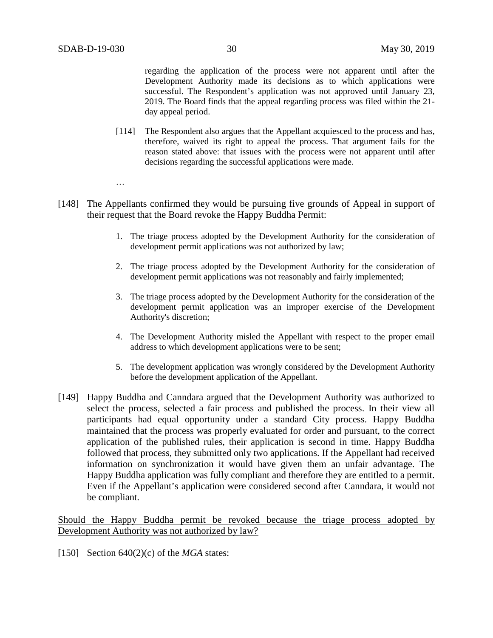regarding the application of the process were not apparent until after the Development Authority made its decisions as to which applications were successful. The Respondent's application was not approved until January 23, 2019. The Board finds that the appeal regarding process was filed within the 21 day appeal period.

[114] The Respondent also argues that the Appellant acquiesced to the process and has, therefore, waived its right to appeal the process. That argument fails for the reason stated above: that issues with the process were not apparent until after decisions regarding the successful applications were made.

…

- [148] The Appellants confirmed they would be pursuing five grounds of Appeal in support of their request that the Board revoke the Happy Buddha Permit:
	- 1. The triage process adopted by the Development Authority for the consideration of development permit applications was not authorized by law;
	- 2. The triage process adopted by the Development Authority for the consideration of development permit applications was not reasonably and fairly implemented;
	- 3. The triage process adopted by the Development Authority for the consideration of the development permit application was an improper exercise of the Development Authority's discretion;
	- 4. The Development Authority misled the Appellant with respect to the proper email address to which development applications were to be sent;
	- 5. The development application was wrongly considered by the Development Authority before the development application of the Appellant.
- [149] Happy Buddha and Canndara argued that the Development Authority was authorized to select the process, selected a fair process and published the process. In their view all participants had equal opportunity under a standard City process. Happy Buddha maintained that the process was properly evaluated for order and pursuant, to the correct application of the published rules, their application is second in time. Happy Buddha followed that process, they submitted only two applications. If the Appellant had received information on synchronization it would have given them an unfair advantage. The Happy Buddha application was fully compliant and therefore they are entitled to a permit. Even if the Appellant's application were considered second after Canndara, it would not be compliant.

Should the Happy Buddha permit be revoked because the triage process adopted by Development Authority was not authorized by law?

[150] Section 640(2)(c) of the *MGA* states: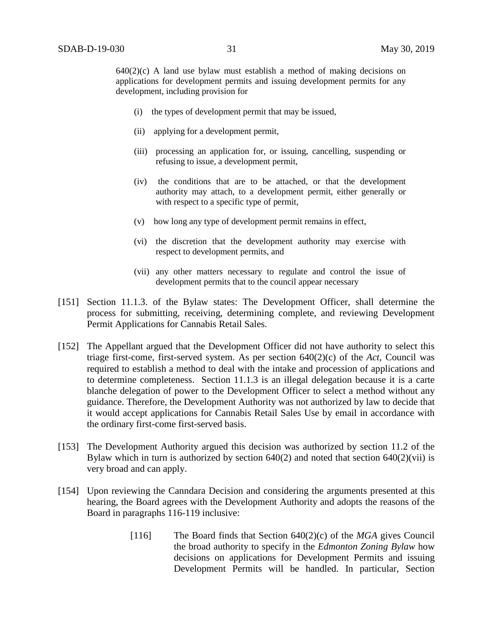$640(2)(c)$  A land use bylaw must establish a method of making decisions on applications for development permits and issuing development permits for any development, including provision for

- (i) the types of development permit that may be issued,
- (ii) applying for a development permit,
- (iii) processing an application for, or issuing, cancelling, suspending or refusing to issue, a development permit,
- (iv) the conditions that are to be attached, or that the development authority may attach, to a development permit, either generally or with respect to a specific type of permit,
- (v) how long any type of development permit remains in effect,
- (vi) the discretion that the development authority may exercise with respect to development permits, and
- (vii) any other matters necessary to regulate and control the issue of development permits that to the council appear necessary
- [151] Section 11.1.3. of the Bylaw states: The Development Officer, shall determine the process for submitting, receiving, determining complete, and reviewing Development Permit Applications for Cannabis Retail Sales.
- [152] The Appellant argued that the Development Officer did not have authority to select this triage first-come, first-served system. As per section 640(2)(c) of the *Act*, Council was required to establish a method to deal with the intake and procession of applications and to determine completeness. Section 11.1.3 is an illegal delegation because it is a carte blanche delegation of power to the Development Officer to select a method without any guidance. Therefore, the Development Authority was not authorized by law to decide that it would accept applications for Cannabis Retail Sales Use by email in accordance with the ordinary first-come first-served basis.
- [153] The Development Authority argued this decision was authorized by section 11.2 of the Bylaw which in turn is authorized by section  $640(2)$  and noted that section  $640(2)(\n \text{vii})$  is very broad and can apply.
- [154] Upon reviewing the Canndara Decision and considering the arguments presented at this hearing, the Board agrees with the Development Authority and adopts the reasons of the Board in paragraphs 116-119 inclusive:
	- [116] The Board finds that Section 640(2)(c) of the *MGA* gives Council the broad authority to specify in the *Edmonton Zoning Bylaw* how decisions on applications for Development Permits and issuing Development Permits will be handled. In particular, Section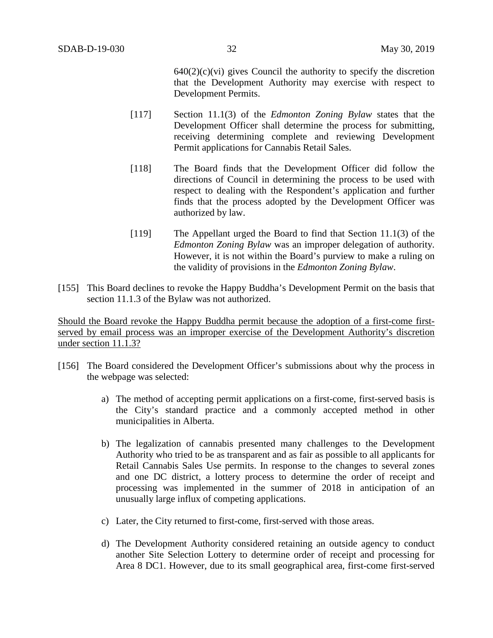$640(2)(c)(vi)$  gives Council the authority to specify the discretion that the Development Authority may exercise with respect to Development Permits.

- [117] Section 11.1(3) of the *Edmonton Zoning Bylaw* states that the Development Officer shall determine the process for submitting, receiving determining complete and reviewing Development Permit applications for Cannabis Retail Sales.
- [118] The Board finds that the Development Officer did follow the directions of Council in determining the process to be used with respect to dealing with the Respondent's application and further finds that the process adopted by the Development Officer was authorized by law.
- [119] The Appellant urged the Board to find that Section 11.1(3) of the *Edmonton Zoning Bylaw* was an improper delegation of authority. However, it is not within the Board's purview to make a ruling on the validity of provisions in the *Edmonton Zoning Bylaw*.
- [155] This Board declines to revoke the Happy Buddha's Development Permit on the basis that section 11.1.3 of the Bylaw was not authorized.

Should the Board revoke the Happy Buddha permit because the adoption of a first-come firstserved by email process was an improper exercise of the Development Authority's discretion under section 11.1.3?

- [156] The Board considered the Development Officer's submissions about why the process in the webpage was selected:
	- a) The method of accepting permit applications on a first-come, first-served basis is the City's standard practice and a commonly accepted method in other municipalities in Alberta.
	- b) The legalization of cannabis presented many challenges to the Development Authority who tried to be as transparent and as fair as possible to all applicants for Retail Cannabis Sales Use permits. In response to the changes to several zones and one DC district, a lottery process to determine the order of receipt and processing was implemented in the summer of 2018 in anticipation of an unusually large influx of competing applications.
	- c) Later, the City returned to first-come, first-served with those areas.
	- d) The Development Authority considered retaining an outside agency to conduct another Site Selection Lottery to determine order of receipt and processing for Area 8 DC1. However, due to its small geographical area, first-come first-served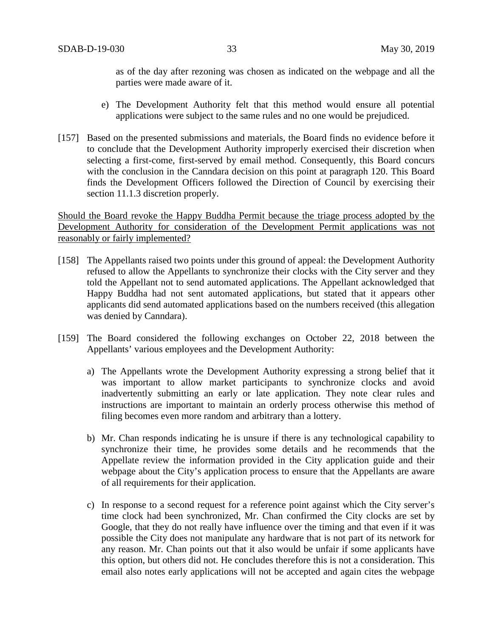as of the day after rezoning was chosen as indicated on the webpage and all the parties were made aware of it.

- e) The Development Authority felt that this method would ensure all potential applications were subject to the same rules and no one would be prejudiced.
- [157] Based on the presented submissions and materials, the Board finds no evidence before it to conclude that the Development Authority improperly exercised their discretion when selecting a first-come, first-served by email method. Consequently, this Board concurs with the conclusion in the Canndara decision on this point at paragraph 120. This Board finds the Development Officers followed the Direction of Council by exercising their section 11.1.3 discretion properly.

Should the Board revoke the Happy Buddha Permit because the triage process adopted by the Development Authority for consideration of the Development Permit applications was not reasonably or fairly implemented?

- [158] The Appellants raised two points under this ground of appeal: the Development Authority refused to allow the Appellants to synchronize their clocks with the City server and they told the Appellant not to send automated applications. The Appellant acknowledged that Happy Buddha had not sent automated applications, but stated that it appears other applicants did send automated applications based on the numbers received (this allegation was denied by Canndara).
- [159] The Board considered the following exchanges on October 22, 2018 between the Appellants' various employees and the Development Authority:
	- a) The Appellants wrote the Development Authority expressing a strong belief that it was important to allow market participants to synchronize clocks and avoid inadvertently submitting an early or late application. They note clear rules and instructions are important to maintain an orderly process otherwise this method of filing becomes even more random and arbitrary than a lottery.
	- b) Mr. Chan responds indicating he is unsure if there is any technological capability to synchronize their time, he provides some details and he recommends that the Appellate review the information provided in the City application guide and their webpage about the City's application process to ensure that the Appellants are aware of all requirements for their application.
	- c) In response to a second request for a reference point against which the City server's time clock had been synchronized, Mr. Chan confirmed the City clocks are set by Google, that they do not really have influence over the timing and that even if it was possible the City does not manipulate any hardware that is not part of its network for any reason. Mr. Chan points out that it also would be unfair if some applicants have this option, but others did not. He concludes therefore this is not a consideration. This email also notes early applications will not be accepted and again cites the webpage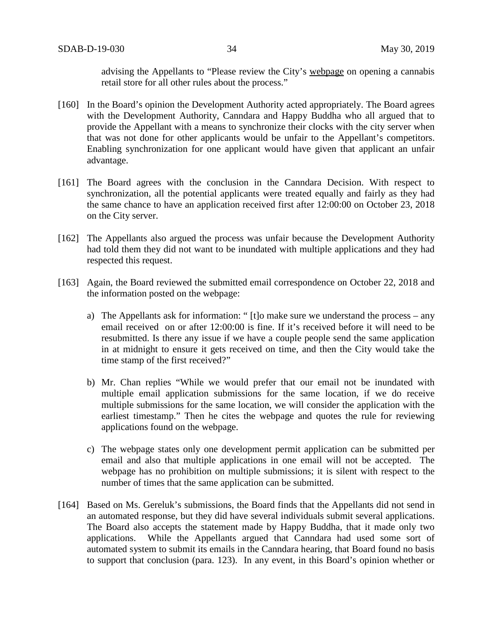advising the Appellants to "Please review the City's webpage on opening a cannabis retail store for all other rules about the process."

- [160] In the Board's opinion the Development Authority acted appropriately. The Board agrees with the Development Authority, Canndara and Happy Buddha who all argued that to provide the Appellant with a means to synchronize their clocks with the city server when that was not done for other applicants would be unfair to the Appellant's competitors. Enabling synchronization for one applicant would have given that applicant an unfair advantage.
- [161] The Board agrees with the conclusion in the Canndara Decision. With respect to synchronization, all the potential applicants were treated equally and fairly as they had the same chance to have an application received first after 12:00:00 on October 23, 2018 on the City server.
- [162] The Appellants also argued the process was unfair because the Development Authority had told them they did not want to be inundated with multiple applications and they had respected this request.
- [163] Again, the Board reviewed the submitted email correspondence on October 22, 2018 and the information posted on the webpage:
	- a) The Appellants ask for information: " [t]o make sure we understand the process any email received on or after 12:00:00 is fine. If it's received before it will need to be resubmitted. Is there any issue if we have a couple people send the same application in at midnight to ensure it gets received on time, and then the City would take the time stamp of the first received?"
	- b) Mr. Chan replies "While we would prefer that our email not be inundated with multiple email application submissions for the same location, if we do receive multiple submissions for the same location, we will consider the application with the earliest timestamp." Then he cites the webpage and quotes the rule for reviewing applications found on the webpage.
	- c) The webpage states only one development permit application can be submitted per email and also that multiple applications in one email will not be accepted. The webpage has no prohibition on multiple submissions; it is silent with respect to the number of times that the same application can be submitted.
- [164] Based on Ms. Gereluk's submissions, the Board finds that the Appellants did not send in an automated response, but they did have several individuals submit several applications. The Board also accepts the statement made by Happy Buddha, that it made only two applications. While the Appellants argued that Canndara had used some sort of automated system to submit its emails in the Canndara hearing, that Board found no basis to support that conclusion (para. 123). In any event, in this Board's opinion whether or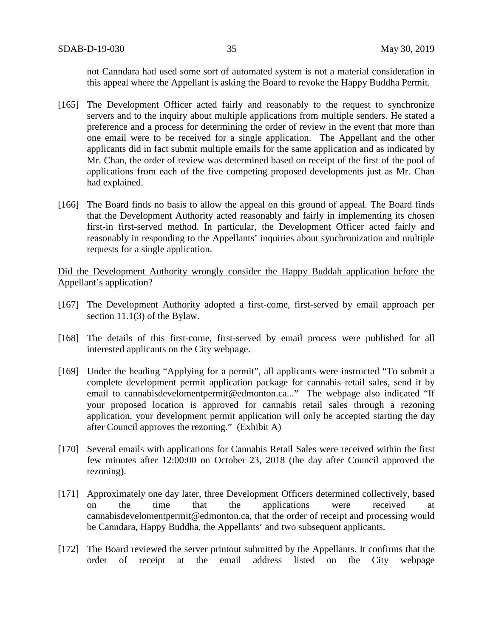not Canndara had used some sort of automated system is not a material consideration in this appeal where the Appellant is asking the Board to revoke the Happy Buddha Permit.

- [165] The Development Officer acted fairly and reasonably to the request to synchronize servers and to the inquiry about multiple applications from multiple senders. He stated a preference and a process for determining the order of review in the event that more than one email were to be received for a single application. The Appellant and the other applicants did in fact submit multiple emails for the same application and as indicated by Mr. Chan, the order of review was determined based on receipt of the first of the pool of applications from each of the five competing proposed developments just as Mr. Chan had explained.
- [166] The Board finds no basis to allow the appeal on this ground of appeal. The Board finds that the Development Authority acted reasonably and fairly in implementing its chosen first-in first-served method. In particular, the Development Officer acted fairly and reasonably in responding to the Appellants' inquiries about synchronization and multiple requests for a single application.

Did the Development Authority wrongly consider the Happy Buddah application before the Appellant's application?

- [167] The Development Authority adopted a first-come, first-served by email approach per section 11.1(3) of the Bylaw.
- [168] The details of this first-come, first-served by email process were published for all interested applicants on the City webpage.
- [169] Under the heading "Applying for a permit", all applicants were instructed "To submit a complete development permit application package for cannabis retail sales, send it by email to cannabisdevelomentpermit@edmonton.ca..." The webpage also indicated "If your proposed location is approved for cannabis retail sales through a rezoning application, your development permit application will only be accepted starting the day after Council approves the rezoning." (Exhibit A)
- [170] Several emails with applications for Cannabis Retail Sales were received within the first few minutes after 12:00:00 on October 23, 2018 (the day after Council approved the rezoning).
- [171] Approximately one day later, three Development Officers determined collectively, based on the time that the applications were received at cannabisdevelomentpermit@edmonton.ca, that the order of receipt and processing would be Canndara, Happy Buddha, the Appellants' and two subsequent applicants.
- [172] The Board reviewed the server printout submitted by the Appellants. It confirms that the order of receipt at the email address listed on the City webpage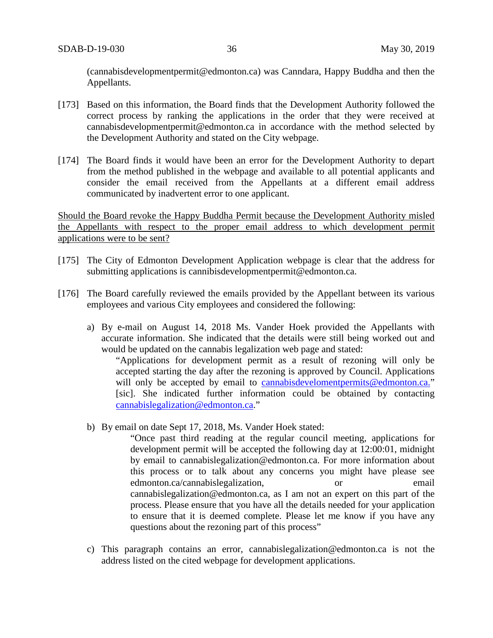(cannabisdevelopmentpermit@edmonton.ca) was Canndara, Happy Buddha and then the Appellants.

- [173] Based on this information, the Board finds that the Development Authority followed the correct process by ranking the applications in the order that they were received at cannabisdevelopmentpermit@edmonton.ca in accordance with the method selected by the Development Authority and stated on the City webpage.
- [174] The Board finds it would have been an error for the Development Authority to depart from the method published in the webpage and available to all potential applicants and consider the email received from the Appellants at a different email address communicated by inadvertent error to one applicant.

Should the Board revoke the Happy Buddha Permit because the Development Authority misled the Appellants with respect to the proper email address to which development permit applications were to be sent?

- [175] The City of Edmonton Development Application webpage is clear that the address for submitting applications is cannibisdevelopmentpermit@edmonton.ca.
- [176] The Board carefully reviewed the emails provided by the Appellant between its various employees and various City employees and considered the following:
	- a) By e-mail on August 14, 2018 Ms. Vander Hoek provided the Appellants with accurate information. She indicated that the details were still being worked out and would be updated on the cannabis legalization web page and stated:

"Applications for development permit as a result of rezoning will only be accepted starting the day after the rezoning is approved by Council. Applications will only be accepted by email to cannabisdevelomentpermits@edmonton.ca." [sic]. She indicated further information could be obtained by contacting cannabislegalization@edmonton.ca."

b) By email on date Sept 17, 2018, Ms. Vander Hoek stated:

"Once past third reading at the regular council meeting, applications for development permit will be accepted the following day at 12:00:01, midnight by email to cannabislegalization@edmonton.ca. For more information about this process or to talk about any concerns you might have please see edmonton.ca/cannabislegalization, or email cannabislegalization@edmonton.ca, as I am not an expert on this part of the process. Please ensure that you have all the details needed for your application to ensure that it is deemed complete. Please let me know if you have any questions about the rezoning part of this process"

c) This paragraph contains an error, cannabislegalization@edmonton.ca is not the address listed on the cited webpage for development applications.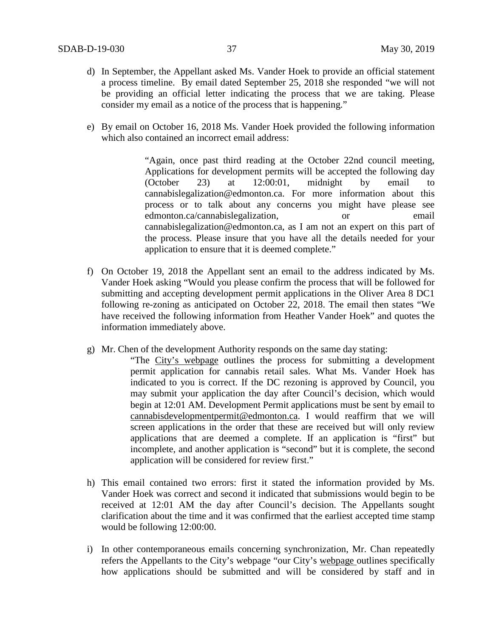- d) In September, the Appellant asked Ms. Vander Hoek to provide an official statement a process timeline. By email dated September 25, 2018 she responded "we will not be providing an official letter indicating the process that we are taking. Please consider my email as a notice of the process that is happening."
- e) By email on October 16, 2018 Ms. Vander Hoek provided the following information which also contained an incorrect email address:

"Again, once past third reading at the October 22nd council meeting, Applications for development permits will be accepted the following day (October 23) at 12:00:01, midnight by email to cannabislegalization@edmonton.ca. For more information about this process or to talk about any concerns you might have please see edmonton.ca/cannabislegalization, or email cannabislegalization@edmonton.ca, as I am not an expert on this part of the process. Please insure that you have all the details needed for your application to ensure that it is deemed complete."

- f) On October 19, 2018 the Appellant sent an email to the address indicated by Ms. Vander Hoek asking "Would you please confirm the process that will be followed for submitting and accepting development permit applications in the Oliver Area 8 DC1 following re-zoning as anticipated on October 22, 2018. The email then states "We have received the following information from Heather Vander Hoek" and quotes the information immediately above.
- g) Mr. Chen of the development Authority responds on the same day stating:

"The City's webpage outlines the process for submitting a development permit application for cannabis retail sales. What Ms. Vander Hoek has indicated to you is correct. If the DC rezoning is approved by Council, you may submit your application the day after Council's decision, which would begin at 12:01 AM. Development Permit applications must be sent by email to cannabisdevelopmentpermit@edmonton.ca. I would reaffirm that we will screen applications in the order that these are received but will only review applications that are deemed a complete. If an application is "first" but incomplete, and another application is "second" but it is complete, the second application will be considered for review first."

- h) This email contained two errors: first it stated the information provided by Ms. Vander Hoek was correct and second it indicated that submissions would begin to be received at 12:01 AM the day after Council's decision. The Appellants sought clarification about the time and it was confirmed that the earliest accepted time stamp would be following 12:00:00.
- i) In other contemporaneous emails concerning synchronization, Mr. Chan repeatedly refers the Appellants to the City's webpage "our City's webpage outlines specifically how applications should be submitted and will be considered by staff and in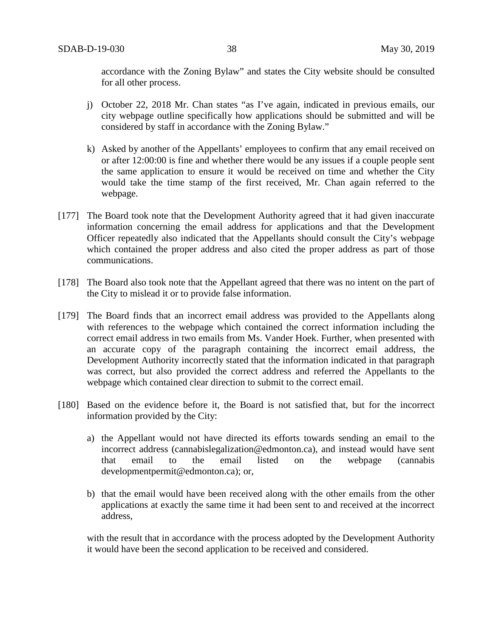accordance with the Zoning Bylaw" and states the City website should be consulted for all other process.

- j) October 22, 2018 Mr. Chan states "as I've again, indicated in previous emails, our city webpage outline specifically how applications should be submitted and will be considered by staff in accordance with the Zoning Bylaw."
- k) Asked by another of the Appellants' employees to confirm that any email received on or after 12:00:00 is fine and whether there would be any issues if a couple people sent the same application to ensure it would be received on time and whether the City would take the time stamp of the first received, Mr. Chan again referred to the webpage.
- [177] The Board took note that the Development Authority agreed that it had given inaccurate information concerning the email address for applications and that the Development Officer repeatedly also indicated that the Appellants should consult the City's webpage which contained the proper address and also cited the proper address as part of those communications.
- [178] The Board also took note that the Appellant agreed that there was no intent on the part of the City to mislead it or to provide false information.
- [179] The Board finds that an incorrect email address was provided to the Appellants along with references to the webpage which contained the correct information including the correct email address in two emails from Ms. Vander Hoek. Further, when presented with an accurate copy of the paragraph containing the incorrect email address, the Development Authority incorrectly stated that the information indicated in that paragraph was correct, but also provided the correct address and referred the Appellants to the webpage which contained clear direction to submit to the correct email.
- [180] Based on the evidence before it, the Board is not satisfied that, but for the incorrect information provided by the City:
	- a) the Appellant would not have directed its efforts towards sending an email to the incorrect address (cannabislegalization@edmonton.ca), and instead would have sent that email to the email listed on the webpage (cannabis that email to the email listed on the webpage (cannabis developmentpermit@edmonton.ca); or,
	- b) that the email would have been received along with the other emails from the other applications at exactly the same time it had been sent to and received at the incorrect address,

with the result that in accordance with the process adopted by the Development Authority it would have been the second application to be received and considered.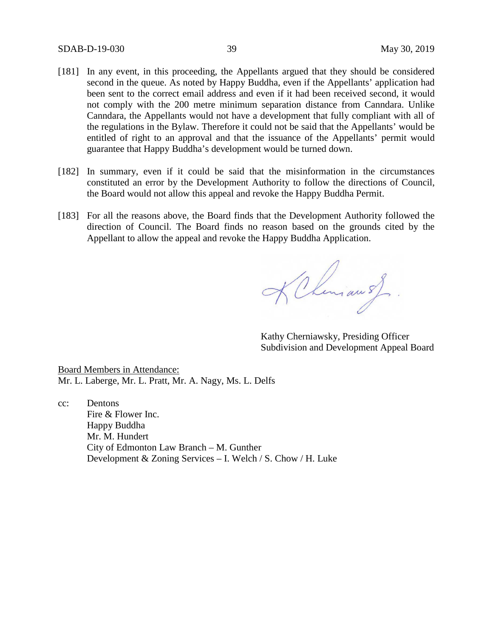- [181] In any event, in this proceeding, the Appellants argued that they should be considered second in the queue. As noted by Happy Buddha, even if the Appellants' application had been sent to the correct email address and even if it had been received second, it would not comply with the 200 metre minimum separation distance from Canndara. Unlike Canndara, the Appellants would not have a development that fully compliant with all of the regulations in the Bylaw. Therefore it could not be said that the Appellants' would be entitled of right to an approval and that the issuance of the Appellants' permit would guarantee that Happy Buddha's development would be turned down.
- [182] In summary, even if it could be said that the misinformation in the circumstances constituted an error by the Development Authority to follow the directions of Council, the Board would not allow this appeal and revoke the Happy Buddha Permit.
- [183] For all the reasons above, the Board finds that the Development Authority followed the direction of Council. The Board finds no reason based on the grounds cited by the Appellant to allow the appeal and revoke the Happy Buddha Application.

KChemian of

Kathy Cherniawsky, Presiding Officer Subdivision and Development Appeal Board

Board Members in Attendance: Mr. L. Laberge, Mr. L. Pratt, Mr. A. Nagy, Ms. L. Delfs

cc: Dentons Fire & Flower Inc. Happy Buddha Mr. M. Hundert City of Edmonton Law Branch – M. Gunther Development & Zoning Services – I. Welch / S. Chow / H. Luke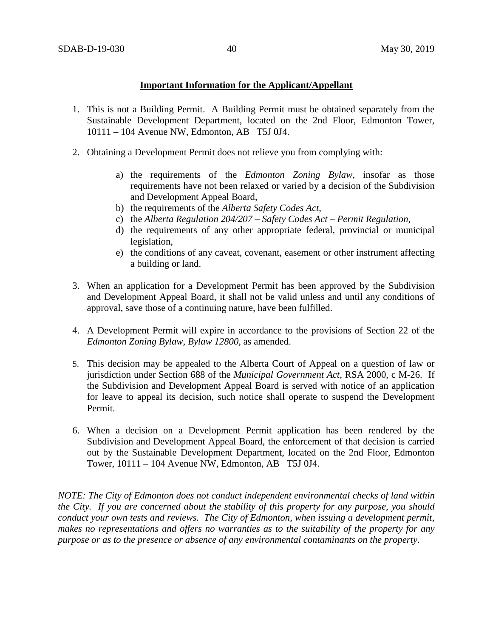### **Important Information for the Applicant/Appellant**

- 1. This is not a Building Permit. A Building Permit must be obtained separately from the Sustainable Development Department, located on the 2nd Floor, Edmonton Tower, 10111 – 104 Avenue NW, Edmonton, AB T5J 0J4.
- 2. Obtaining a Development Permit does not relieve you from complying with:
	- a) the requirements of the *Edmonton Zoning Bylaw*, insofar as those requirements have not been relaxed or varied by a decision of the Subdivision and Development Appeal Board,
	- b) the requirements of the *Alberta Safety Codes Act*,
	- c) the *Alberta Regulation 204/207 – Safety Codes Act – Permit Regulation*,
	- d) the requirements of any other appropriate federal, provincial or municipal legislation,
	- e) the conditions of any caveat, covenant, easement or other instrument affecting a building or land.
- 3. When an application for a Development Permit has been approved by the Subdivision and Development Appeal Board, it shall not be valid unless and until any conditions of approval, save those of a continuing nature, have been fulfilled.
- 4. A Development Permit will expire in accordance to the provisions of Section 22 of the *Edmonton Zoning Bylaw, Bylaw 12800*, as amended.
- 5. This decision may be appealed to the Alberta Court of Appeal on a question of law or jurisdiction under Section 688 of the *Municipal Government Act*, RSA 2000, c M-26. If the Subdivision and Development Appeal Board is served with notice of an application for leave to appeal its decision, such notice shall operate to suspend the Development Permit.
- 6. When a decision on a Development Permit application has been rendered by the Subdivision and Development Appeal Board, the enforcement of that decision is carried out by the Sustainable Development Department, located on the 2nd Floor, Edmonton Tower, 10111 – 104 Avenue NW, Edmonton, AB T5J 0J4.

*NOTE: The City of Edmonton does not conduct independent environmental checks of land within the City. If you are concerned about the stability of this property for any purpose, you should conduct your own tests and reviews. The City of Edmonton, when issuing a development permit, makes no representations and offers no warranties as to the suitability of the property for any purpose or as to the presence or absence of any environmental contaminants on the property.*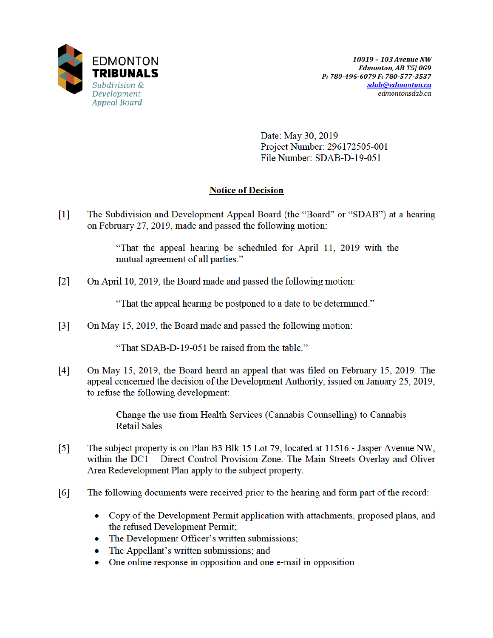

Date: May 30, 2019 Project Number: 296172505-001 File Number: SDAB-D-19-051

# **Notice of Decision**

 $\lceil 1 \rceil$ The Subdivision and Development Appeal Board (the "Board" or "SDAB") at a hearing on February 27, 2019, made and passed the following motion:

> "That the appeal hearing be scheduled for April 11, 2019 with the mutual agreement of all parties."

 $\lceil 2 \rceil$ On April 10, 2019, the Board made and passed the following motion:

"That the appeal hearing be postponed to a date to be determined."

 $\lceil 3 \rceil$ On May 15, 2019, the Board made and passed the following motion:

"That SDAB-D-19-051 be raised from the table."

On May 15, 2019, the Board heard an appeal that was filed on February 15, 2019. The  $\lceil 4 \rceil$ appeal concerned the decision of the Development Authority, issued on January 25, 2019, to refuse the following development:

> Change the use from Health Services (Cannabis Counselling) to Cannabis **Retail Sales**

- $\lceil 5 \rceil$ The subject property is on Plan B3 Blk 15 Lot 79, located at 11516 - Jasper Avenue NW, within the DC1 – Direct Control Provision Zone. The Main Streets Overlay and Oliver Area Redevelopment Plan apply to the subject property.
- $[6]$ The following documents were received prior to the hearing and form part of the record:
	- Copy of the Development Permit application with attachments, proposed plans, and the refused Development Permit;
	- The Development Officer's written submissions;
	- The Appellant's written submissions; and  $\bullet$
	- One online response in opposition and one e-mail in opposition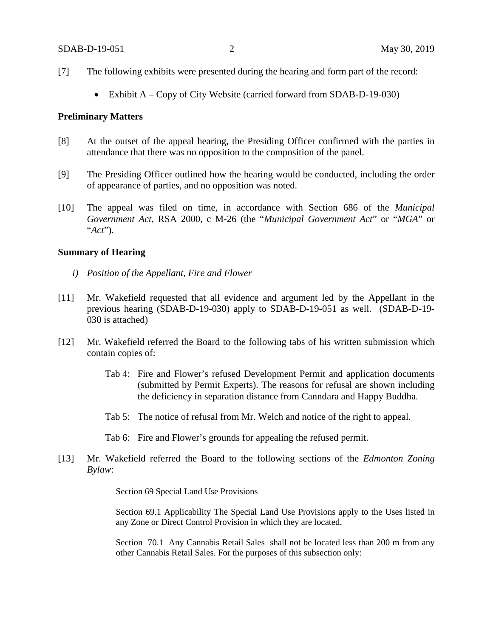- [7] The following exhibits were presented during the hearing and form part of the record:
	- Exhibit A Copy of City Website (carried forward from SDAB-D-19-030)

#### **Preliminary Matters**

- [8] At the outset of the appeal hearing, the Presiding Officer confirmed with the parties in attendance that there was no opposition to the composition of the panel.
- [9] The Presiding Officer outlined how the hearing would be conducted, including the order of appearance of parties, and no opposition was noted.
- [10] The appeal was filed on time, in accordance with Section 686 of the *Municipal Government Act*, RSA 2000, c M-26 (the "*Municipal Government Act*" or "*MGA*" or "*Act*").

### **Summary of Hearing**

- *i) Position of the Appellant, Fire and Flower*
- [11] Mr. Wakefield requested that all evidence and argument led by the Appellant in the previous hearing (SDAB-D-19-030) apply to SDAB-D-19-051 as well. (SDAB-D-19- 030 is attached)
- [12] Mr. Wakefield referred the Board to the following tabs of his written submission which contain copies of:
	- Tab 4: Fire and Flower's refused Development Permit and application documents (submitted by Permit Experts). The reasons for refusal are shown including the deficiency in separation distance from Canndara and Happy Buddha.
	- Tab 5: The notice of refusal from Mr. Welch and notice of the right to appeal.
	- Tab 6: Fire and Flower's grounds for appealing the refused permit.
- [13] Mr. Wakefield referred the Board to the following sections of the *Edmonton Zoning Bylaw*:

Section 69 Special Land Use Provisions

Section 69.1 Applicability The Special Land Use Provisions apply to the Uses listed in any Zone or Direct Control Provision in which they are located.

Section 70.1 Any Cannabis Retail Sales shall not be located less than 200 m from any other Cannabis Retail Sales. For the purposes of this subsection only: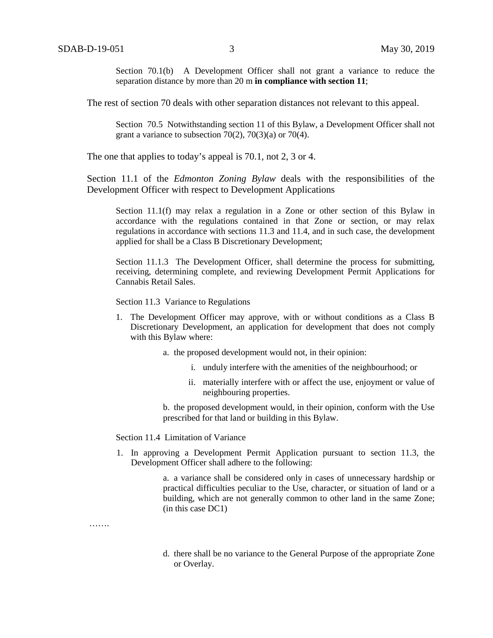Section 70.1(b) A Development Officer shall not grant a variance to reduce the separation distance by more than 20 m **in compliance with section 11**;

The rest of section 70 deals with other separation distances not relevant to this appeal.

Section 70.5 Notwithstanding section 11 of this Bylaw, a Development Officer shall not grant a variance to subsection  $70(2)$ ,  $70(3)(a)$  or  $70(4)$ .

The one that applies to today's appeal is 70.1, not 2, 3 or 4.

Section 11.1 of the *Edmonton Zoning Bylaw* deals with the responsibilities of the Development Officer with respect to Development Applications

Section 11.1(f) may relax a regulation in a Zone or other section of this Bylaw in accordance with the regulations contained in that Zone or section, or may relax regulations in accordance with sections 11.3 and 11.4, and in such case, the development applied for shall be a Class B Discretionary Development;

Section 11.1.3 The Development Officer, shall determine the process for submitting, receiving, determining complete, and reviewing Development Permit Applications for Cannabis Retail Sales.

Section 11.3 Variance to Regulations

- 1. The Development Officer may approve, with or without conditions as a Class B Discretionary Development, an application for development that does not comply with this Bylaw where:
	- a. the proposed development would not, in their opinion:
		- i. unduly interfere with the amenities of the neighbourhood; or
		- ii. materially interfere with or affect the use, enjoyment or value of neighbouring properties.

b. the proposed development would, in their opinion, conform with the Use prescribed for that land or building in this Bylaw.

Section 11.4 Limitation of Variance

1. In approving a Development Permit Application pursuant to section 11.3, the Development Officer shall adhere to the following:

> a. a variance shall be considered only in cases of unnecessary hardship or practical difficulties peculiar to the Use, character, or situation of land or a building, which are not generally common to other land in the same Zone; (in this case DC1)

…….

d. there shall be no variance to the General Purpose of the appropriate Zone or Overlay.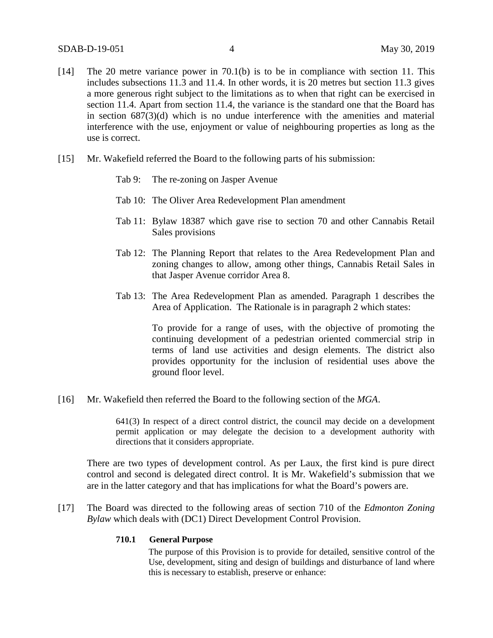- [14] The 20 metre variance power in 70.1(b) is to be in compliance with section 11. This includes subsections 11.3 and 11.4. In other words, it is 20 metres but section 11.3 gives a more generous right subject to the limitations as to when that right can be exercised in section 11.4. Apart from section 11.4, the variance is the standard one that the Board has in section 687(3)(d) which is no undue interference with the amenities and material interference with the use, enjoyment or value of neighbouring properties as long as the use is correct.
- [15] Mr. Wakefield referred the Board to the following parts of his submission:
	- Tab 9: The re-zoning on Jasper Avenue
	- Tab 10: The Oliver Area Redevelopment Plan amendment
	- Tab 11: Bylaw 18387 which gave rise to section 70 and other Cannabis Retail Sales provisions
	- Tab 12: The Planning Report that relates to the Area Redevelopment Plan and zoning changes to allow, among other things, Cannabis Retail Sales in that Jasper Avenue corridor Area 8.
	- Tab 13: The Area Redevelopment Plan as amended. Paragraph 1 describes the Area of Application. The Rationale is in paragraph 2 which states:

To provide for a range of uses, with the objective of promoting the continuing development of a pedestrian oriented commercial strip in terms of land use activities and design elements. The district also provides opportunity for the inclusion of residential uses above the ground floor level.

[16] Mr. Wakefield then referred the Board to the following section of the *MGA*.

641(3) In respect of a direct control district, the council may decide on a development permit application or may delegate the decision to a development authority with directions that it considers appropriate.

There are two types of development control. As per Laux, the first kind is pure direct control and second is delegated direct control. It is Mr. Wakefield's submission that we are in the latter category and that has implications for what the Board's powers are.

[17] The Board was directed to the following areas of section 710 of the *Edmonton Zoning Bylaw* which deals with (DC1) Direct Development Control Provision.

#### **710.1 General Purpose**

The purpose of this Provision is to provide for detailed, sensitive control of the Use, development, siting and design of buildings and disturbance of land where this is necessary to establish, preserve or enhance: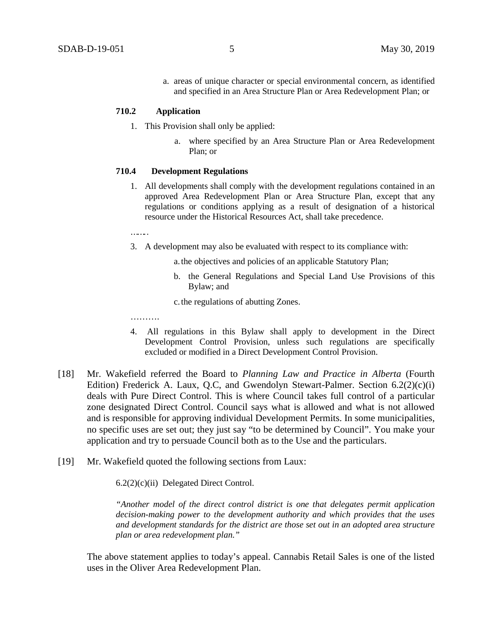a. areas of unique character or special environmental concern, as identified and specified in an Area Structure Plan or Area Redevelopment Plan; or

#### **710.2 Application**

- 1. This Provision shall only be applied:
	- a. where specified by an Area Structure Plan or Area Redevelopment Plan; or

#### **710.4 Development Regulations**

- 1. All developments shall comply with the development regulations contained in an approved Area Redevelopment Plan or Area Structure Plan, except that any regulations or conditions applying as a result of designation of a historical resource under the Historical Resources Act, shall take precedence.
- 
- 3. A development may also be evaluated with respect to its compliance with:
	- a.the objectives and policies of an applicable Statutory Plan;
	- b. the General Regulations and Special Land Use Provisions of this Bylaw; and
	- c.the regulations of abutting Zones.
- …………
- 4. All regulations in this Bylaw shall apply to development in the Direct Development Control Provision, unless such regulations are specifically excluded or modified in a Direct Development Control Provision.
- [18] Mr. Wakefield referred the Board to *Planning Law and Practice in Alberta* (Fourth Edition) Frederick A. Laux, Q.C, and Gwendolyn Stewart-Palmer. Section 6.2(2)(c)(i) deals with Pure Direct Control. This is where Council takes full control of a particular zone designated Direct Control. Council says what is allowed and what is not allowed and is responsible for approving individual Development Permits. In some municipalities, no specific uses are set out; they just say "to be determined by Council". You make your application and try to persuade Council both as to the Use and the particulars.
- [19] Mr. Wakefield quoted the following sections from Laux:

6.2(2)(c)(ii) Delegated Direct Control.

*"Another model of the direct control district is one that delegates permit application decision-making power to the development authority and which provides that the uses and development standards for the district are those set out in an adopted area structure plan or area redevelopment plan."*

The above statement applies to today's appeal. Cannabis Retail Sales is one of the listed uses in the Oliver Area Redevelopment Plan.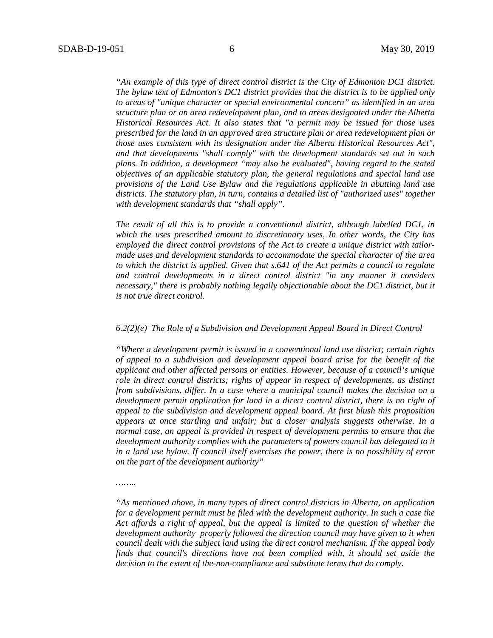*……..*

*"An example of this type of direct control district is the City of Edmonton DC1 district. The bylaw text of Edmonton's DC1 district provides that the district is to be applied only to areas of "unique character or special environmental concern" as identified in an area structure plan or an area redevelopment plan, and to areas designated under the Alberta Historical Resources Act. It also states that "a permit may be issued for those uses prescribed for the land in an approved area structure plan or area redevelopment plan or those uses consistent with its designation under the Alberta Historical Resources Act", and that developments "shall comply" with the development standards set out in such plans. In addition, a development "may also be evaluated", having regard to the stated objectives of an applicable statutory plan, the general regulations and special land use provisions of the Land Use Bylaw and the regulations applicable in abutting land use districts. The statutory plan, in turn, contains a detailed list of "authorized uses" together with development standards that "shall apply".* 

*The result of all this is to provide a conventional district, although labelled DC1, in which the uses prescribed amount to discretionary uses, In other words, the City has employed the direct control provisions of the Act to create a unique district with tailormade uses and development standards to accommodate the special character of the area to which the district is applied. Given that s.641 of the Act permits a council to regulate and control developments in a direct control district "in any manner it considers necessary," there is probably nothing legally objectionable about the DC1 district, but it is not true direct control.* 

#### *6.2(2)(e) The Role of a Subdivision and Development Appeal Board in Direct Control*

*"Where a development permit is issued in a conventional land use district; certain rights of appeal to a subdivision and development appeal board arise for the benefit of the applicant and other affected persons or entities. However, because of a council's unique role in direct control districts; rights of appear in respect of developments, as distinct from subdivisions, differ. In a case where a municipal council makes the decision on a development permit application for land in a direct control district, there is no right of appeal to the subdivision and development appeal board. At first blush this proposition appears at once startling and unfair; but a closer analysis suggests otherwise. In a normal case, an appeal is provided in respect of development permits to ensure that the development authority complies with the parameters of powers council has delegated to it in a land use bylaw. If council itself exercises the power, there is no possibility of error on the part of the development authority"*

*<sup>&</sup>quot;As mentioned above, in many types of direct control districts in Alberta, an application for a development permit must be filed with the development authority. In such a case the Act affords a right of appeal, but the appeal is limited to the question of whether the development authority properly followed the direction council may have given to it when council dealt with the subject land using the direct control mechanism. If the appeal body finds that council's directions have not been complied with, it should set aside the decision to the extent of the-non-compliance and substitute terms that do comply.*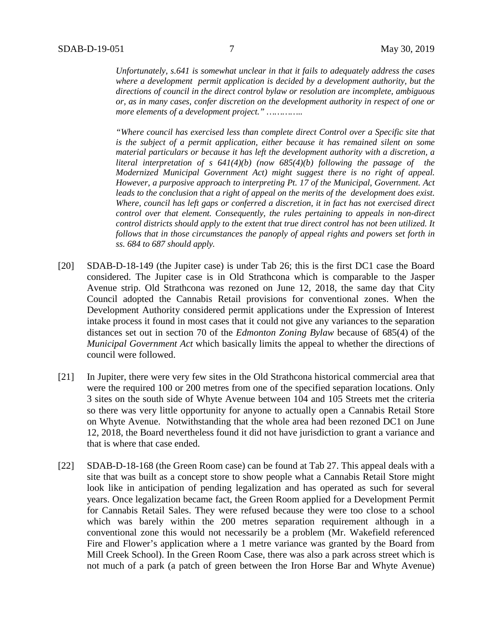*Unfortunately, s.641 is somewhat unclear in that it fails to adequately address the cases where a development permit application is decided by a development authority, but the directions of council in the direct control bylaw or resolution are incomplete, ambiguous or, as in many cases, confer discretion on the development authority in respect of one or more elements of a development project." …………..*

*"Where council has exercised less than complete direct Control over a Specific site that is the subject of a permit application, either because it has remained silent on some material particulars or because it has left the development authority with a discretion, a literal interpretation of s 641(4)(b) (now 685(4)(b) following the passage of the Modernized Municipal Government Act) might suggest there is no right of appeal. However, a purposive approach to interpreting Pt. 17 of the Municipal, Government. Act leads to the conclusion that a right of appeal on the merits of the development does exist. Where, council has left gaps or conferred a discretion, it in fact has not exercised direct control over that element. Consequently, the rules pertaining to appeals in non-direct control districts should apply to the extent that true direct control has not been utilized. It follows that in those circumstances the panoply of appeal rights and powers set forth in ss. 684 to 687 should apply.* 

- [20] SDAB-D-18-149 (the Jupiter case) is under Tab 26; this is the first DC1 case the Board considered. The Jupiter case is in Old Strathcona which is comparable to the Jasper Avenue strip. Old Strathcona was rezoned on June 12, 2018, the same day that City Council adopted the Cannabis Retail provisions for conventional zones. When the Development Authority considered permit applications under the Expression of Interest intake process it found in most cases that it could not give any variances to the separation distances set out in section 70 of the *Edmonton Zoning Bylaw* because of 685(4) of the *Municipal Government Act* which basically limits the appeal to whether the directions of council were followed.
- [21] In Jupiter, there were very few sites in the Old Strathcona historical commercial area that were the required 100 or 200 metres from one of the specified separation locations. Only 3 sites on the south side of Whyte Avenue between 104 and 105 Streets met the criteria so there was very little opportunity for anyone to actually open a Cannabis Retail Store on Whyte Avenue. Notwithstanding that the whole area had been rezoned DC1 on June 12, 2018, the Board nevertheless found it did not have jurisdiction to grant a variance and that is where that case ended.
- [22] SDAB-D-18-168 (the Green Room case) can be found at Tab 27. This appeal deals with a site that was built as a concept store to show people what a Cannabis Retail Store might look like in anticipation of pending legalization and has operated as such for several years. Once legalization became fact, the Green Room applied for a Development Permit for Cannabis Retail Sales. They were refused because they were too close to a school which was barely within the 200 metres separation requirement although in a conventional zone this would not necessarily be a problem (Mr. Wakefield referenced Fire and Flower's application where a 1 metre variance was granted by the Board from Mill Creek School). In the Green Room Case, there was also a park across street which is not much of a park (a patch of green between the Iron Horse Bar and Whyte Avenue)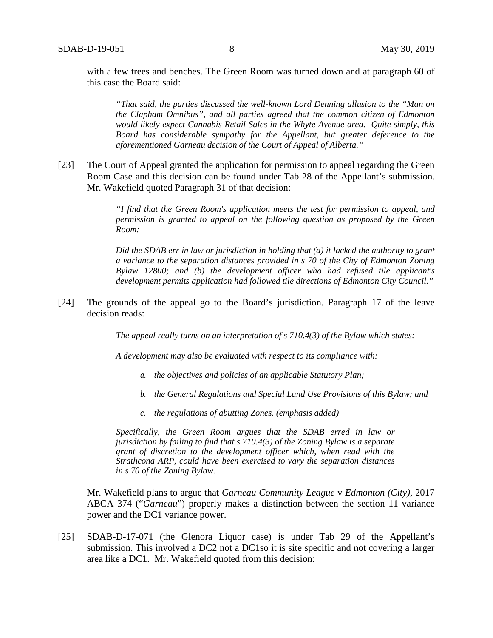with a few trees and benches. The Green Room was turned down and at paragraph 60 of this case the Board said:

*"That said, the parties discussed the well-known Lord Denning allusion to the "Man on the Clapham Omnibus", and all parties agreed that the common citizen of Edmonton would likely expect Cannabis Retail Sales in the Whyte Avenue area. Quite simply, this Board has considerable sympathy for the Appellant, but greater deference to the aforementioned Garneau decision of the Court of Appeal of Alberta."*

[23] The Court of Appeal granted the application for permission to appeal regarding the Green Room Case and this decision can be found under Tab 28 of the Appellant's submission. Mr. Wakefield quoted Paragraph 31 of that decision:

> *"I find that the Green Room's application meets the test for permission to appeal, and permission is granted to appeal on the following question as proposed by the Green Room:*

> *Did the SDAB err in law or jurisdiction in holding that (a) it lacked the authority to grant a variance to the separation distances provided in s 70 of the City of Edmonton Zoning Bylaw 12800; and (b) the development officer who had refused tile applicant's development permits application had followed tile directions of Edmonton City Council."*

[24] The grounds of the appeal go to the Board's jurisdiction. Paragraph 17 of the leave decision reads:

*The appeal really turns on an interpretation of s 710.4(3) of the Bylaw which states:*

*A development may also be evaluated with respect to its compliance with:*

- *a. the objectives and policies of an applicable Statutory Plan;*
- *b. the General Regulations and Special Land Use Provisions of this Bylaw; and*
- *c. the regulations of abutting Zones. (emphasis added)*

*Specifically, the Green Room argues that the SDAB erred in law or jurisdiction by failing to find that s 710.4(3) of the Zoning Bylaw is a separate grant of discretion to the development officer which, when read with the Strathcona ARP, could have been exercised to vary the separation distances in s 70 of the Zoning Bylaw.*

Mr. Wakefield plans to argue that *Garneau Community League* v *Edmonton (City)*, 2017 ABCA 374 ("*Garneau*") properly makes a distinction between the section 11 variance power and the DC1 variance power.

[25] SDAB-D-17-071 (the Glenora Liquor case) is under Tab 29 of the Appellant's submission. This involved a DC2 not a DC1so it is site specific and not covering a larger area like a DC1. Mr. Wakefield quoted from this decision: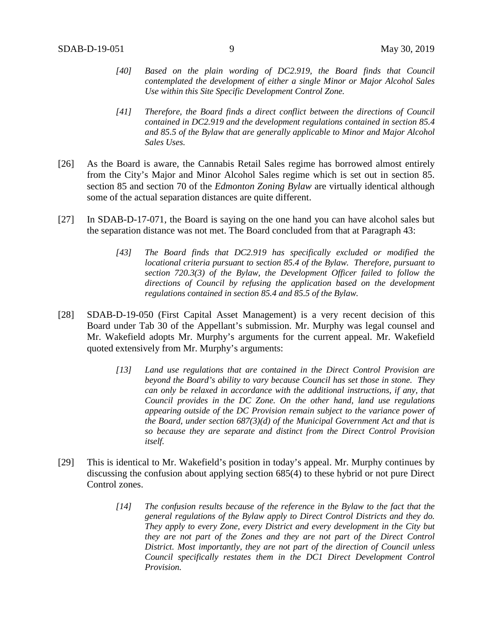- *[40] Based on the plain wording of DC2.919, the Board finds that Council contemplated the development of either a single Minor or Major Alcohol Sales Use within this Site Specific Development Control Zone.*
- *[41] Therefore, the Board finds a direct conflict between the directions of Council contained in DC2.919 and the development regulations contained in section 85.4 and 85.5 of the Bylaw that are generally applicable to Minor and Major Alcohol Sales Uses.*
- [26] As the Board is aware, the Cannabis Retail Sales regime has borrowed almost entirely from the City's Major and Minor Alcohol Sales regime which is set out in section 85. section 85 and section 70 of the *Edmonton Zoning Bylaw* are virtually identical although some of the actual separation distances are quite different.
- [27] In SDAB-D-17-071, the Board is saying on the one hand you can have alcohol sales but the separation distance was not met. The Board concluded from that at Paragraph 43:
	- *[43] The Board finds that DC2.919 has specifically excluded or modified the locational criteria pursuant to section 85.4 of the Bylaw. Therefore, pursuant to section 720.3(3) of the Bylaw, the Development Officer failed to follow the directions of Council by refusing the application based on the development regulations contained in section 85.4 and 85.5 of the Bylaw.*
- [28] SDAB-D-19-050 (First Capital Asset Management) is a very recent decision of this Board under Tab 30 of the Appellant's submission. Mr. Murphy was legal counsel and Mr. Wakefield adopts Mr. Murphy's arguments for the current appeal. Mr. Wakefield quoted extensively from Mr. Murphy's arguments:
	- *[13] Land use regulations that are contained in the Direct Control Provision are beyond the Board's ability to vary because Council has set those in stone. They can only be relaxed in accordance with the additional instructions, if any, that Council provides in the DC Zone. On the other hand, land use regulations appearing outside of the DC Provision remain subject to the variance power of the Board, under section 687(3)(d) of the Municipal Government Act and that is so because they are separate and distinct from the Direct Control Provision itself.*
- [29] This is identical to Mr. Wakefield's position in today's appeal. Mr. Murphy continues by discussing the confusion about applying section 685(4) to these hybrid or not pure Direct Control zones.
	- *[14] The confusion results because of the reference in the Bylaw to the fact that the general regulations of the Bylaw apply to Direct Control Districts and they do. They apply to every Zone, every District and every development in the City but they are not part of the Zones and they are not part of the Direct Control District. Most importantly, they are not part of the direction of Council unless Council specifically restates them in the DC1 Direct Development Control Provision.*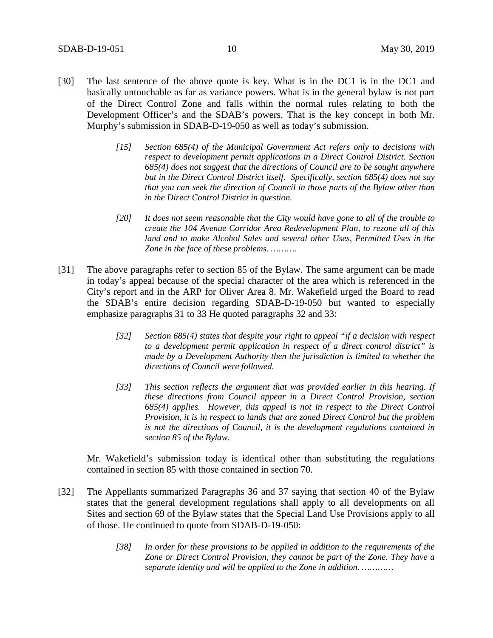- [30] The last sentence of the above quote is key. What is in the DC1 is in the DC1 and basically untouchable as far as variance powers. What is in the general bylaw is not part of the Direct Control Zone and falls within the normal rules relating to both the Development Officer's and the SDAB's powers. That is the key concept in both Mr. Murphy's submission in SDAB-D-19-050 as well as today's submission.
	- *[15] Section 685(4) of the Municipal Government Act refers only to decisions with respect to development permit applications in a Direct Control District. Section 685(4) does not suggest that the directions of Council are to be sought anywhere but in the Direct Control District itself. Specifically, section 685(4) does not say that you can seek the direction of Council in those parts of the Bylaw other than in the Direct Control District in question.*
	- *[20] It does not seem reasonable that the City would have gone to all of the trouble to create the 104 Avenue Corridor Area Redevelopment Plan, to rezone all of this*  land and to make Alcohol Sales and several other Uses, Permitted Uses in the *Zone in the face of these problems. ……….*
- [31] The above paragraphs refer to section 85 of the Bylaw. The same argument can be made in today's appeal because of the special character of the area which is referenced in the City's report and in the ARP for Oliver Area 8. Mr. Wakefield urged the Board to read the SDAB's entire decision regarding SDAB-D-19-050 but wanted to especially emphasize paragraphs 31 to 33 He quoted paragraphs 32 and 33:
	- *[32] Section 685(4) states that despite your right to appeal "if a decision with respect to a development permit application in respect of a direct control district" is made by a Development Authority then the jurisdiction is limited to whether the directions of Council were followed.*
	- *[33] This section reflects the argument that was provided earlier in this hearing. If these directions from Council appear in a Direct Control Provision, section 685(4) applies. However, this appeal is not in respect to the Direct Control Provision, it is in respect to lands that are zoned Direct Control but the problem is not the directions of Council, it is the development regulations contained in section 85 of the Bylaw.*

Mr. Wakefield's submission today is identical other than substituting the regulations contained in section 85 with those contained in section 70.

- [32] The Appellants summarized Paragraphs 36 and 37 saying that section 40 of the Bylaw states that the general development regulations shall apply to all developments on all Sites and section 69 of the Bylaw states that the Special Land Use Provisions apply to all of those. He continued to quote from SDAB-D-19-050:
	- *[38] In order for these provisions to be applied in addition to the requirements of the Zone or Direct Control Provision, they cannot be part of the Zone. They have a separate identity and will be applied to the Zone in addition. …………*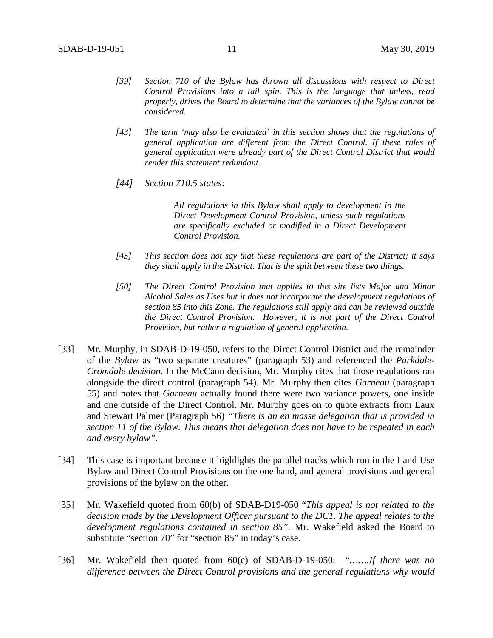- *[39] Section 710 of the Bylaw has thrown all discussions with respect to Direct Control Provisions into a tail spin. This is the language that unless, read properly, drives the Board to determine that the variances of the Bylaw cannot be considered.*
- *[43] The term 'may also be evaluated' in this section shows that the regulations of general application are different from the Direct Control. If these rules of general application were already part of the Direct Control District that would render this statement redundant.*
- *[44] Section 710.5 states:*

*All regulations in this Bylaw shall apply to development in the Direct Development Control Provision, unless such regulations are specifically excluded or modified in a Direct Development Control Provision.*

- *[45] This section does not say that these regulations are part of the District; it says they shall apply in the District. That is the split between these two things.*
- *[50] The Direct Control Provision that applies to this site lists Major and Minor Alcohol Sales as Uses but it does not incorporate the development regulations of section 85 into this Zone. The regulations still apply and can be reviewed outside the Direct Control Provision. However, it is not part of the Direct Control Provision, but rather a regulation of general application.*
- [33] Mr. Murphy, in SDAB-D-19-050, refers to the Direct Control District and the remainder of the *Bylaw* as "two separate creatures" (paragraph 53) and referenced the *Parkdale-Cromdale decision.* In the McCann decision, Mr. Murphy cites that those regulations ran alongside the direct control (paragraph 54). Mr. Murphy then cites *Garneau* (paragraph 55) and notes that *Garneau* actually found there were two variance powers, one inside and one outside of the Direct Control. Mr. Murphy goes on to quote extracts from Laux and Stewart Palmer (Paragraph 56) *"There is an en masse delegation that is provided in section 11 of the Bylaw. This means that delegation does not have to be repeated in each and every bylaw".*
- [34] This case is important because it highlights the parallel tracks which run in the Land Use Bylaw and Direct Control Provisions on the one hand, and general provisions and general provisions of the bylaw on the other.
- [35] Mr. Wakefield quoted from 60(b) of SDAB-D19-050 "*This appeal is not related to the decision made by the Development Officer pursuant to the DC1. The appeal relates to the development regulations contained in section 85".* Mr. Wakefield asked the Board to substitute "section 70" for "section 85" in today's case.
- [36] Mr. Wakefield then quoted from 60(c) of SDAB-D-19-050: "*…….If there was no difference between the Direct Control provisions and the general regulations why would*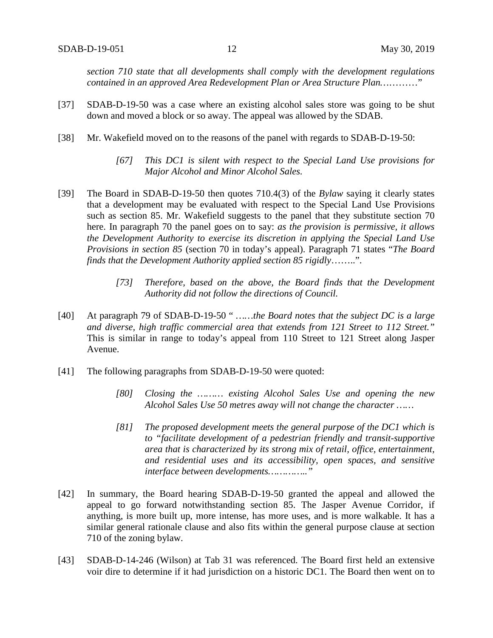*section 710 state that all developments shall comply with the development regulations contained in an approved Area Redevelopment Plan or Area Structure Plan…*………"

- [37] SDAB-D-19-50 was a case where an existing alcohol sales store was going to be shut down and moved a block or so away. The appeal was allowed by the SDAB.
- [38] Mr. Wakefield moved on to the reasons of the panel with regards to SDAB-D-19-50:
	- *[67] This DC1 is silent with respect to the Special Land Use provisions for Major Alcohol and Minor Alcohol Sales.*
- [39] The Board in SDAB-D-19-50 then quotes 710.4(3) of the *Bylaw* saying it clearly states that a development may be evaluated with respect to the Special Land Use Provisions such as section 85. Mr. Wakefield suggests to the panel that they substitute section 70 here. In paragraph 70 the panel goes on to say: *as the provision is permissive, it allows the Development Authority to exercise its discretion in applying the Special Land Use Provisions in section 85* (section 70 in today's appeal). Paragraph 71 states "*The Board finds that the Development Authority applied section 85 rigidly*……..".
	- *[73] Therefore, based on the above, the Board finds that the Development Authority did not follow the directions of Council.*
- [40] At paragraph 79 of SDAB-D-19-50 " *……the Board notes that the subject DC is a large and diverse, high traffic commercial area that extends from 121 Street to 112 Street."* This is similar in range to today's appeal from 110 Street to 121 Street along Jasper Avenue.
- [41] The following paragraphs from SDAB-D-19-50 were quoted:
	- *[80] Closing the ……… existing Alcohol Sales Use and opening the new Alcohol Sales Use 50 metres away will not change the character ……*
	- *[81] The proposed development meets the general purpose of the DC1 which is to "facilitate development of a pedestrian friendly and transit-supportive area that is characterized by its strong mix of retail, office, entertainment, and residential uses and its accessibility, open spaces, and sensitive interface between developments………….."*
- [42] In summary, the Board hearing SDAB-D-19-50 granted the appeal and allowed the appeal to go forward notwithstanding section 85. The Jasper Avenue Corridor, if anything, is more built up, more intense, has more uses, and is more walkable. It has a similar general rationale clause and also fits within the general purpose clause at section 710 of the zoning bylaw.
- [43] SDAB-D-14-246 (Wilson) at Tab 31 was referenced. The Board first held an extensive voir dire to determine if it had jurisdiction on a historic DC1. The Board then went on to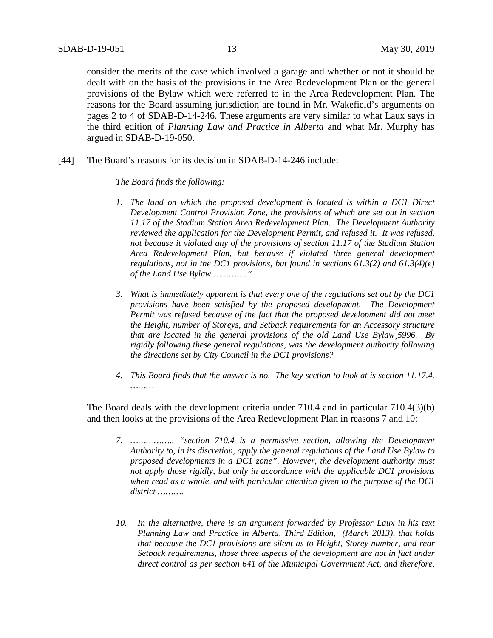consider the merits of the case which involved a garage and whether or not it should be dealt with on the basis of the provisions in the Area Redevelopment Plan or the general provisions of the Bylaw which were referred to in the Area Redevelopment Plan. The reasons for the Board assuming jurisdiction are found in Mr. Wakefield's arguments on pages 2 to 4 of SDAB-D-14-246. These arguments are very similar to what Laux says in the third edition of *Planning Law and Practice in Alberta* and what Mr. Murphy has argued in SDAB-D-19-050.

[44] The Board's reasons for its decision in SDAB-D-14-246 include:

### *The Board finds the following:*

- *1. The land on which the proposed development is located is within a DC1 Direct Development Control Provision Zone, the provisions of which are set out in section 11.17 of the Stadium Station Area Redevelopment Plan. The Development Authority reviewed the application for the Development Permit, and refused it. It was refused, not because it violated any of the provisions of section 11.17 of the Stadium Station Area Redevelopment Plan, but because if violated three general development regulations, not in the DC1 provisions, but found in sections 61.3(2) and 61.3(4)(e) of the Land Use Bylaw …………."*
- *3. What is immediately apparent is that every one of the regulations set out by the DC1 provisions have been satisfied by the proposed development. The Development Permit was refused because of the fact that the proposed development did not meet the Height, number of Storeys, and Setback requirements for an Accessory structure that are located in the general provisions of the old Land Use Bylaw¸5996. By rigidly following these general regulations, was the development authority following the directions set by City Council in the DC1 provisions?*
- *4. This Board finds that the answer is no. The key section to look at is section 11.17.4. ………*

The Board deals with the development criteria under 710.4 and in particular 710.4(3)(b) and then looks at the provisions of the Area Redevelopment Plan in reasons 7 and 10:

- *7. …………….. "section 710.4 is a permissive section, allowing the Development Authority to, in its discretion, apply the general regulations of the Land Use Bylaw to proposed developments in a DC1 zone". However, the development authority must not apply those rigidly, but only in accordance with the applicable DC1 provisions when read as a whole, and with particular attention given to the purpose of the DC1 district ……….*
- *10. In the alternative, there is an argument forwarded by Professor Laux in his text Planning Law and Practice in Alberta, Third Edition, (March 2013), that holds that because the DC1 provisions are silent as to Height, Storey number, and rear Setback requirements, those three aspects of the development are not in fact under direct control as per section 641 of the Municipal Government Act, and therefore,*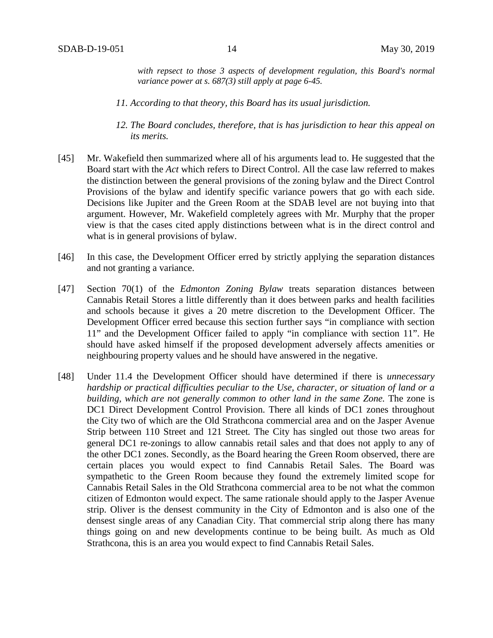*with repsect to those 3 aspects of development regulation, this Board's normal variance power at s. 687(3) still apply at page 6-45.*

- *11. According to that theory, this Board has its usual jurisdiction.*
- *12. The Board concludes, therefore, that is has jurisdiction to hear this appeal on its merits.*
- [45] Mr. Wakefield then summarized where all of his arguments lead to. He suggested that the Board start with the *Act* which refers to Direct Control. All the case law referred to makes the distinction between the general provisions of the zoning bylaw and the Direct Control Provisions of the bylaw and identify specific variance powers that go with each side. Decisions like Jupiter and the Green Room at the SDAB level are not buying into that argument. However, Mr. Wakefield completely agrees with Mr. Murphy that the proper view is that the cases cited apply distinctions between what is in the direct control and what is in general provisions of bylaw.
- [46] In this case, the Development Officer erred by strictly applying the separation distances and not granting a variance.
- [47] Section 70(1) of the *Edmonton Zoning Bylaw* treats separation distances between Cannabis Retail Stores a little differently than it does between parks and health facilities and schools because it gives a 20 metre discretion to the Development Officer. The Development Officer erred because this section further says "in compliance with section 11" and the Development Officer failed to apply "in compliance with section 11". He should have asked himself if the proposed development adversely affects amenities or neighbouring property values and he should have answered in the negative.
- [48] Under 11.4 the Development Officer should have determined if there is *unnecessary hardship or practical difficulties peculiar to the Use, character, or situation of land or a building, which are not generally common to other land in the same Zone.* The zone is DC1 Direct Development Control Provision. There all kinds of DC1 zones throughout the City two of which are the Old Strathcona commercial area and on the Jasper Avenue Strip between 110 Street and 121 Street*.* The City has singled out those two areas for general DC1 re-zonings to allow cannabis retail sales and that does not apply to any of the other DC1 zones. Secondly, as the Board hearing the Green Room observed, there are certain places you would expect to find Cannabis Retail Sales. The Board was sympathetic to the Green Room because they found the extremely limited scope for Cannabis Retail Sales in the Old Strathcona commercial area to be not what the common citizen of Edmonton would expect. The same rationale should apply to the Jasper Avenue strip. Oliver is the densest community in the City of Edmonton and is also one of the densest single areas of any Canadian City. That commercial strip along there has many things going on and new developments continue to be being built. As much as Old Strathcona, this is an area you would expect to find Cannabis Retail Sales.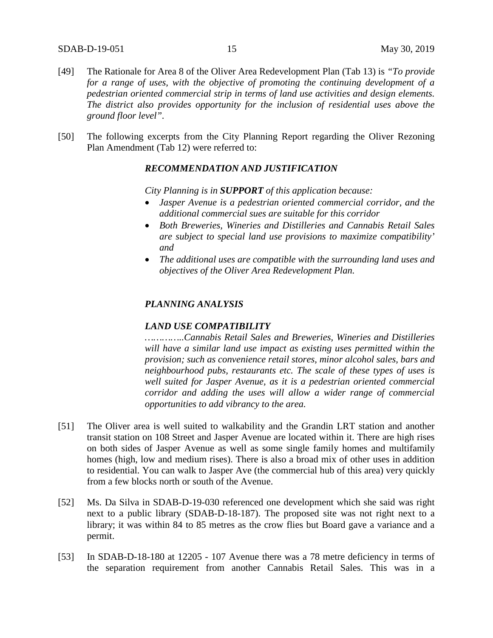- [49] The Rationale for Area 8 of the Oliver Area Redevelopment Plan (Tab 13) is *"To provide for a range of uses, with the objective of promoting the continuing development of a pedestrian oriented commercial strip in terms of land use activities and design elements. The district also provides opportunity for the inclusion of residential uses above the ground floor level".*
- [50] The following excerpts from the City Planning Report regarding the Oliver Rezoning Plan Amendment (Tab 12) were referred to:

### *RECOMMENDATION AND JUSTIFICATION*

*City Planning is in SUPPORT of this application because:*

- *Jasper Avenue is a pedestrian oriented commercial corridor, and the additional commercial sues are suitable for this corridor*
- *Both Breweries, Wineries and Distilleries and Cannabis Retail Sales are subject to special land use provisions to maximize compatibility' and*
- *The additional uses are compatible with the surrounding land uses and objectives of the Oliver Area Redevelopment Plan.*

### *PLANNING ANALYSIS*

### *LAND USE COMPATIBILITY*

*…………..Cannabis Retail Sales and Breweries, Wineries and Distilleries will have a similar land use impact as existing uses permitted within the provision; such as convenience retail stores, minor alcohol sales, bars and neighbourhood pubs, restaurants etc. The scale of these types of uses is well suited for Jasper Avenue, as it is a pedestrian oriented commercial corridor and adding the uses will allow a wider range of commercial opportunities to add vibrancy to the area.*

- [51] The Oliver area is well suited to walkability and the Grandin LRT station and another transit station on 108 Street and Jasper Avenue are located within it. There are high rises on both sides of Jasper Avenue as well as some single family homes and multifamily homes (high, low and medium rises). There is also a broad mix of other uses in addition to residential. You can walk to Jasper Ave (the commercial hub of this area) very quickly from a few blocks north or south of the Avenue.
- [52] Ms. Da Silva in SDAB-D-19-030 referenced one development which she said was right next to a public library (SDAB-D-18-187). The proposed site was not right next to a library; it was within 84 to 85 metres as the crow flies but Board gave a variance and a permit.
- [53] In SDAB-D-18-180 at 12205 107 Avenue there was a 78 metre deficiency in terms of the separation requirement from another Cannabis Retail Sales. This was in a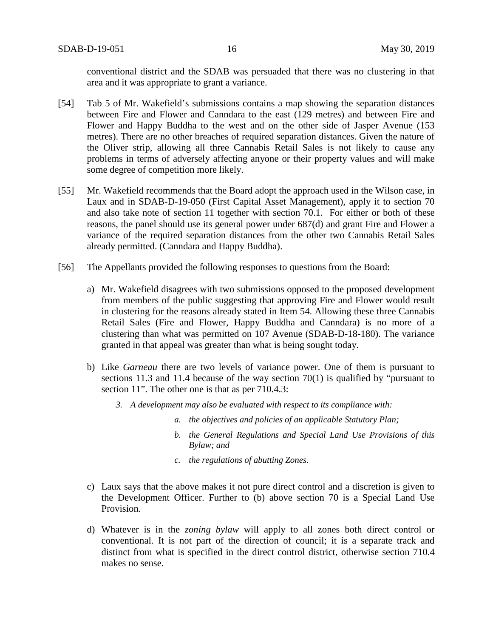conventional district and the SDAB was persuaded that there was no clustering in that area and it was appropriate to grant a variance.

- [54] Tab 5 of Mr. Wakefield's submissions contains a map showing the separation distances between Fire and Flower and Canndara to the east (129 metres) and between Fire and Flower and Happy Buddha to the west and on the other side of Jasper Avenue (153 metres). There are no other breaches of required separation distances. Given the nature of the Oliver strip, allowing all three Cannabis Retail Sales is not likely to cause any problems in terms of adversely affecting anyone or their property values and will make some degree of competition more likely.
- [55] Mr. Wakefield recommends that the Board adopt the approach used in the Wilson case, in Laux and in SDAB-D-19-050 (First Capital Asset Management), apply it to section 70 and also take note of section 11 together with section 70.1. For either or both of these reasons, the panel should use its general power under 687(d) and grant Fire and Flower a variance of the required separation distances from the other two Cannabis Retail Sales already permitted. (Canndara and Happy Buddha).
- [56] The Appellants provided the following responses to questions from the Board:
	- a) Mr. Wakefield disagrees with two submissions opposed to the proposed development from members of the public suggesting that approving Fire and Flower would result in clustering for the reasons already stated in Item 54. Allowing these three Cannabis Retail Sales (Fire and Flower, Happy Buddha and Canndara) is no more of a clustering than what was permitted on 107 Avenue (SDAB-D-18-180). The variance granted in that appeal was greater than what is being sought today.
	- b) Like *Garneau* there are two levels of variance power. One of them is pursuant to sections 11.3 and 11.4 because of the way section 70(1) is qualified by "pursuant to section 11". The other one is that as per 710.4.3:
		- *3. A development may also be evaluated with respect to its compliance with:*
			- *a. the objectives and policies of an applicable Statutory Plan;*
			- *b. the General Regulations and Special Land Use Provisions of this Bylaw; and*
			- *c. the regulations of abutting Zones.*
	- c) Laux says that the above makes it not pure direct control and a discretion is given to the Development Officer. Further to (b) above section 70 is a Special Land Use Provision.
	- d) Whatever is in the *zoning bylaw* will apply to all zones both direct control or conventional. It is not part of the direction of council; it is a separate track and distinct from what is specified in the direct control district, otherwise section 710.4 makes no sense.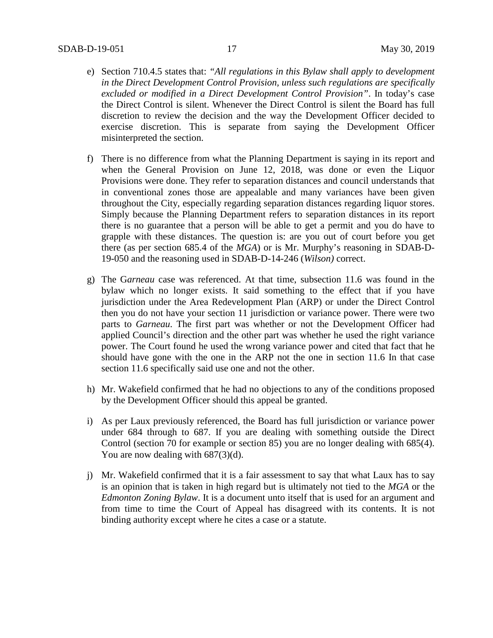- e) Section 710.4.5 states that: *"All regulations in this Bylaw shall apply to development in the Direct Development Control Provision, unless such regulations are specifically excluded or modified in a Direct Development Control Provision"*. In today's case the Direct Control is silent. Whenever the Direct Control is silent the Board has full discretion to review the decision and the way the Development Officer decided to exercise discretion. This is separate from saying the Development Officer misinterpreted the section.
- f) There is no difference from what the Planning Department is saying in its report and when the General Provision on June 12, 2018, was done or even the Liquor Provisions were done. They refer to separation distances and council understands that in conventional zones those are appealable and many variances have been given throughout the City, especially regarding separation distances regarding liquor stores. Simply because the Planning Department refers to separation distances in its report there is no guarantee that a person will be able to get a permit and you do have to grapple with these distances. The question is: are you out of court before you get there (as per section 685.4 of the *MGA*) or is Mr. Murphy's reasoning in SDAB-D-19-050 and the reasoning used in SDAB-D-14-246 (*Wilson)* correct.
- g) The G*arneau* case was referenced. At that time, subsection 11.6 was found in the bylaw which no longer exists. It said something to the effect that if you have jurisdiction under the Area Redevelopment Plan (ARP) or under the Direct Control then you do not have your section 11 jurisdiction or variance power. There were two parts to *Garneau*. The first part was whether or not the Development Officer had applied Council's direction and the other part was whether he used the right variance power. The Court found he used the wrong variance power and cited that fact that he should have gone with the one in the ARP not the one in section 11.6 In that case section 11.6 specifically said use one and not the other.
- h) Mr. Wakefield confirmed that he had no objections to any of the conditions proposed by the Development Officer should this appeal be granted.
- i) As per Laux previously referenced, the Board has full jurisdiction or variance power under 684 through to 687. If you are dealing with something outside the Direct Control (section 70 for example or section 85) you are no longer dealing with 685(4). You are now dealing with  $687(3)(d)$ .
- j) Mr. Wakefield confirmed that it is a fair assessment to say that what Laux has to say is an opinion that is taken in high regard but is ultimately not tied to the *MGA* or the *Edmonton Zoning Bylaw*. It is a document unto itself that is used for an argument and from time to time the Court of Appeal has disagreed with its contents. It is not binding authority except where he cites a case or a statute.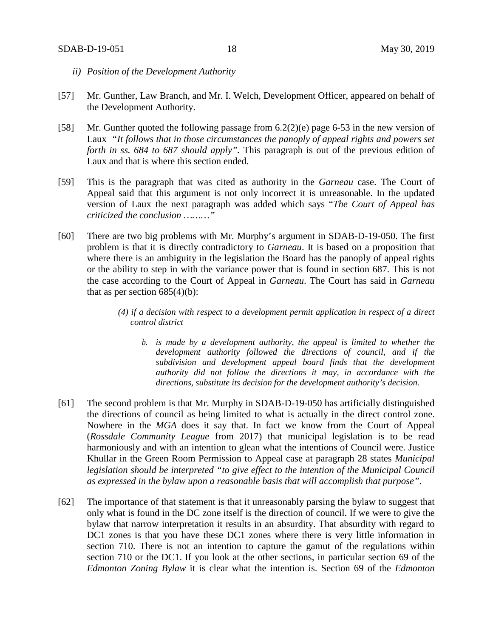- *ii) Position of the Development Authority*
- [57] Mr. Gunther, Law Branch, and Mr. I. Welch, Development Officer, appeared on behalf of the Development Authority.
- [58] Mr. Gunther quoted the following passage from 6.2(2)(e) page 6-53 in the new version of Laux *"It follows that in those circumstances the panoply of appeal rights and powers set forth in ss. 684 to 687 should apply".* This paragraph is out of the previous edition of Laux and that is where this section ended.
- [59] This is the paragraph that was cited as authority in the *Garneau* case. The Court of Appeal said that this argument is not only incorrect it is unreasonable. In the updated version of Laux the next paragraph was added which says "*The Court of Appeal has criticized the conclusion ………"*
- [60] There are two big problems with Mr. Murphy's argument in SDAB-D-19-050. The first problem is that it is directly contradictory to *Garneau*. It is based on a proposition that where there is an ambiguity in the legislation the Board has the panoply of appeal rights or the ability to step in with the variance power that is found in section 687. This is not the case according to the Court of Appeal in *Garneau*. The Court has said in *Garneau* that as per section  $685(4)(b)$ :
	- *(4) if a decision with respect to a development permit application in respect of a direct control district* 
		- *b. is made by a development authority, the appeal is limited to whether the development authority followed the directions of council, and if the subdivision and development appeal board finds that the development authority did not follow the directions it may, in accordance with the directions, substitute its decision for the development authority's decision.*
- [61] The second problem is that Mr. Murphy in SDAB-D-19-050 has artificially distinguished the directions of council as being limited to what is actually in the direct control zone. Nowhere in the *MGA* does it say that. In fact we know from the Court of Appeal (*Rossdale Community League* from 2017) that municipal legislation is to be read harmoniously and with an intention to glean what the intentions of Council were. Justice Khullar in the Green Room Permission to Appeal case at paragraph 28 states *Municipal legislation should be interpreted "to give effect to the intention of the Municipal Council as expressed in the bylaw upon a reasonable basis that will accomplish that purpose".*
- [62] The importance of that statement is that it unreasonably parsing the bylaw to suggest that only what is found in the DC zone itself is the direction of council. If we were to give the bylaw that narrow interpretation it results in an absurdity. That absurdity with regard to DC1 zones is that you have these DC1 zones where there is very little information in section 710. There is not an intention to capture the gamut of the regulations within section 710 or the DC1. If you look at the other sections, in particular section 69 of the *Edmonton Zoning Bylaw* it is clear what the intention is. Section 69 of the *Edmonton*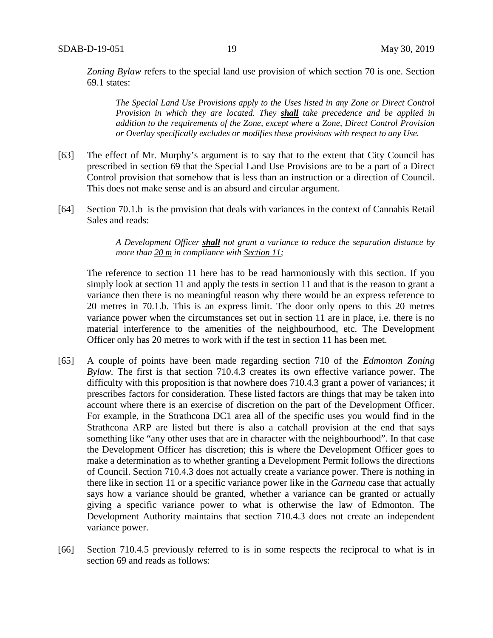*Zoning Bylaw* refers to the special land use provision of which section 70 is one. Section 69.1 states:

*The Special Land Use Provisions apply to the Uses listed in any Zone or Direct Control Provision in which they are located. They shall take precedence and be applied in addition to the requirements of the Zone, except where a Zone, Direct Control Provision or Overlay specifically excludes or modifies these provisions with respect to any Use.*

- [63] The effect of Mr. Murphy's argument is to say that to the extent that City Council has prescribed in section 69 that the Special Land Use Provisions are to be a part of a Direct Control provision that somehow that is less than an instruction or a direction of Council. This does not make sense and is an absurd and circular argument.
- [64] Section 70.1.b is the provision that deals with variances in the context of Cannabis Retail Sales and reads:

*A Development Officer shall not grant a variance to reduce the separation distance by more than 20 m in compliance with Section 11;*

The reference to section 11 here has to be read harmoniously with this section. If you simply look at section 11 and apply the tests in section 11 and that is the reason to grant a variance then there is no meaningful reason why there would be an express reference to 20 metres in 70.1.b. This is an express limit. The door only opens to this 20 metres variance power when the circumstances set out in section 11 are in place, i.e. there is no material interference to the amenities of the neighbourhood, etc. The Development Officer only has 20 metres to work with if the test in section 11 has been met.

- [65] A couple of points have been made regarding section 710 of the *Edmonton Zoning Bylaw.* The first is that section 710.4.3 creates its own effective variance power. The difficulty with this proposition is that nowhere does 710.4.3 grant a power of variances; it prescribes factors for consideration. These listed factors are things that may be taken into account where there is an exercise of discretion on the part of the Development Officer. For example, in the Strathcona DC1 area all of the specific uses you would find in the Strathcona ARP are listed but there is also a catchall provision at the end that says something like "any other uses that are in character with the neighbourhood". In that case the Development Officer has discretion; this is where the Development Officer goes to make a determination as to whether granting a Development Permit follows the directions of Council. Section 710.4.3 does not actually create a variance power. There is nothing in there like in section 11 or a specific variance power like in the *Garneau* case that actually says how a variance should be granted, whether a variance can be granted or actually giving a specific variance power to what is otherwise the law of Edmonton. The Development Authority maintains that section 710.4.3 does not create an independent variance power.
- [66] Section 710.4.5 previously referred to is in some respects the reciprocal to what is in section 69 and reads as follows: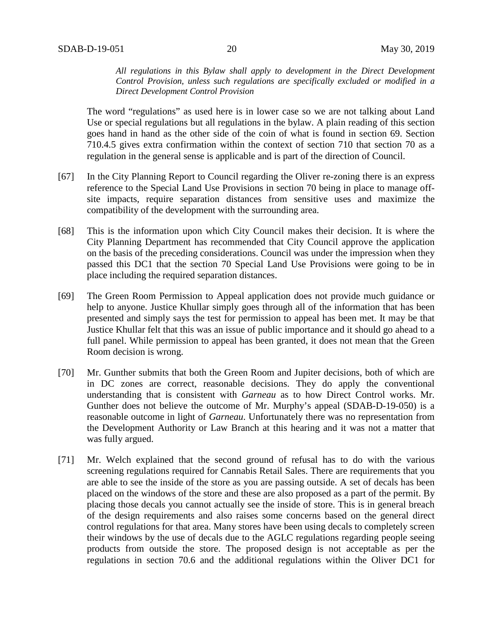*All regulations in this Bylaw shall apply to development in the Direct Development Control Provision, unless such regulations are specifically excluded or modified in a Direct Development Control Provision*

The word "regulations" as used here is in lower case so we are not talking about Land Use or special regulations but all regulations in the bylaw. A plain reading of this section goes hand in hand as the other side of the coin of what is found in section 69. Section 710.4.5 gives extra confirmation within the context of section 710 that section 70 as a regulation in the general sense is applicable and is part of the direction of Council.

- [67] In the City Planning Report to Council regarding the Oliver re-zoning there is an express reference to the Special Land Use Provisions in section 70 being in place to manage offsite impacts, require separation distances from sensitive uses and maximize the compatibility of the development with the surrounding area.
- [68] This is the information upon which City Council makes their decision. It is where the City Planning Department has recommended that City Council approve the application on the basis of the preceding considerations. Council was under the impression when they passed this DC1 that the section 70 Special Land Use Provisions were going to be in place including the required separation distances.
- [69] The Green Room Permission to Appeal application does not provide much guidance or help to anyone. Justice Khullar simply goes through all of the information that has been presented and simply says the test for permission to appeal has been met. It may be that Justice Khullar felt that this was an issue of public importance and it should go ahead to a full panel. While permission to appeal has been granted, it does not mean that the Green Room decision is wrong.
- [70] Mr. Gunther submits that both the Green Room and Jupiter decisions, both of which are in DC zones are correct, reasonable decisions. They do apply the conventional understanding that is consistent with *Garneau* as to how Direct Control works. Mr. Gunther does not believe the outcome of Mr. Murphy's appeal (SDAB-D-19-050) is a reasonable outcome in light of *Garneau*. Unfortunately there was no representation from the Development Authority or Law Branch at this hearing and it was not a matter that was fully argued.
- [71] Mr. Welch explained that the second ground of refusal has to do with the various screening regulations required for Cannabis Retail Sales. There are requirements that you are able to see the inside of the store as you are passing outside. A set of decals has been placed on the windows of the store and these are also proposed as a part of the permit. By placing those decals you cannot actually see the inside of store. This is in general breach of the design requirements and also raises some concerns based on the general direct control regulations for that area. Many stores have been using decals to completely screen their windows by the use of decals due to the AGLC regulations regarding people seeing products from outside the store. The proposed design is not acceptable as per the regulations in section 70.6 and the additional regulations within the Oliver DC1 for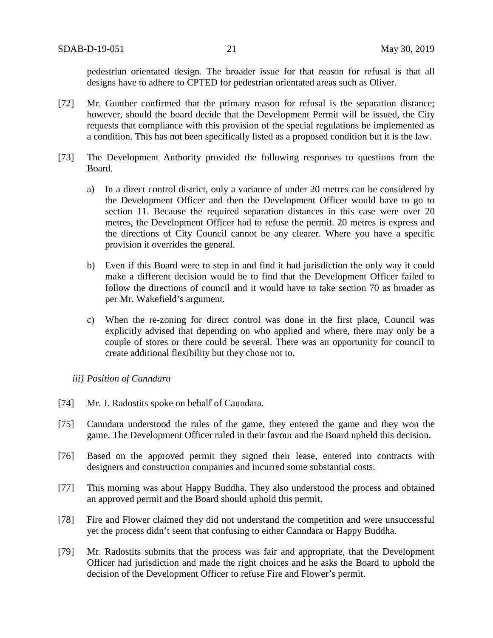pedestrian orientated design. The broader issue for that reason for refusal is that all designs have to adhere to CPTED for pedestrian orientated areas such as Oliver.

- [72] Mr. Gunther confirmed that the primary reason for refusal is the separation distance; however, should the board decide that the Development Permit will be issued, the City requests that compliance with this provision of the special regulations be implemented as a condition. This has not been specifically listed as a proposed condition but it is the law.
- [73] The Development Authority provided the following responses to questions from the Board.
	- a) In a direct control district, only a variance of under 20 metres can be considered by the Development Officer and then the Development Officer would have to go to section 11. Because the required separation distances in this case were over 20 metres, the Development Officer had to refuse the permit. 20 metres is express and the directions of City Council cannot be any clearer. Where you have a specific provision it overrides the general.
	- b) Even if this Board were to step in and find it had jurisdiction the only way it could make a different decision would be to find that the Development Officer failed to follow the directions of council and it would have to take section 70 as broader as per Mr. Wakefield's argument.
	- c) When the re-zoning for direct control was done in the first place, Council was explicitly advised that depending on who applied and where, there may only be a couple of stores or there could be several. There was an opportunity for council to create additional flexibility but they chose not to.

### *iii) Position of Canndara*

- [74] Mr. J. Radostits spoke on behalf of Canndara.
- [75] Canndara understood the rules of the game, they entered the game and they won the game. The Development Officer ruled in their favour and the Board upheld this decision.
- [76] Based on the approved permit they signed their lease, entered into contracts with designers and construction companies and incurred some substantial costs.
- [77] This morning was about Happy Buddha. They also understood the process and obtained an approved permit and the Board should uphold this permit.
- [78] Fire and Flower claimed they did not understand the competition and were unsuccessful yet the process didn't seem that confusing to either Canndara or Happy Buddha.
- [79] Mr. Radostits submits that the process was fair and appropriate, that the Development Officer had jurisdiction and made the right choices and he asks the Board to uphold the decision of the Development Officer to refuse Fire and Flower's permit.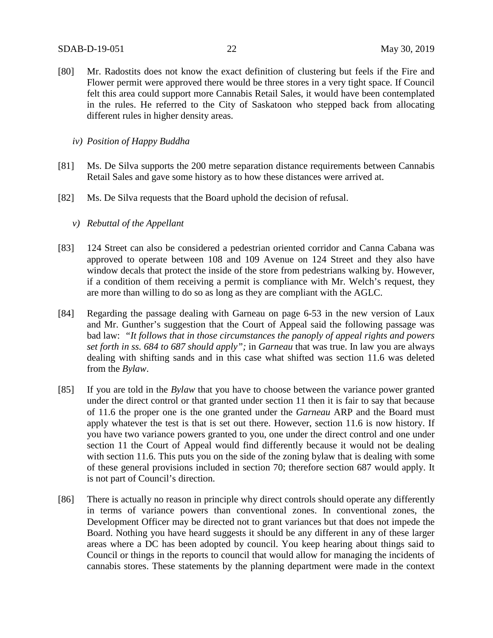- [80] Mr. Radostits does not know the exact definition of clustering but feels if the Fire and Flower permit were approved there would be three stores in a very tight space. If Council felt this area could support more Cannabis Retail Sales, it would have been contemplated in the rules. He referred to the City of Saskatoon who stepped back from allocating different rules in higher density areas.
	- *iv) Position of Happy Buddha*
- [81] Ms. De Silva supports the 200 metre separation distance requirements between Cannabis Retail Sales and gave some history as to how these distances were arrived at.
- [82] Ms. De Silva requests that the Board uphold the decision of refusal.
	- *v) Rebuttal of the Appellant*
- [83] 124 Street can also be considered a pedestrian oriented corridor and Canna Cabana was approved to operate between 108 and 109 Avenue on 124 Street and they also have window decals that protect the inside of the store from pedestrians walking by. However, if a condition of them receiving a permit is compliance with Mr. Welch's request, they are more than willing to do so as long as they are compliant with the AGLC.
- [84] Regarding the passage dealing with Garneau on page 6-53 in the new version of Laux and Mr. Gunther's suggestion that the Court of Appeal said the following passage was bad law: *"It follows that in those circumstances the panoply of appeal rights and powers set forth in ss. 684 to 687 should apply";* in *Garneau* that was true. In law you are always dealing with shifting sands and in this case what shifted was section 11.6 was deleted from the *Bylaw*.
- [85] If you are told in the *Bylaw* that you have to choose between the variance power granted under the direct control or that granted under section 11 then it is fair to say that because of 11.6 the proper one is the one granted under the *Garneau* ARP and the Board must apply whatever the test is that is set out there. However, section 11.6 is now history. If you have two variance powers granted to you, one under the direct control and one under section 11 the Court of Appeal would find differently because it would not be dealing with section 11.6. This puts you on the side of the zoning bylaw that is dealing with some of these general provisions included in section 70; therefore section 687 would apply. It is not part of Council's direction.
- [86] There is actually no reason in principle why direct controls should operate any differently in terms of variance powers than conventional zones. In conventional zones, the Development Officer may be directed not to grant variances but that does not impede the Board. Nothing you have heard suggests it should be any different in any of these larger areas where a DC has been adopted by council. You keep hearing about things said to Council or things in the reports to council that would allow for managing the incidents of cannabis stores. These statements by the planning department were made in the context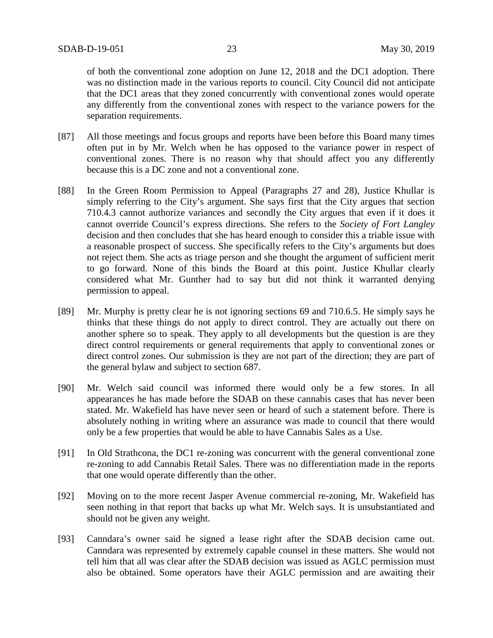of both the conventional zone adoption on June 12, 2018 and the DC1 adoption. There was no distinction made in the various reports to council. City Council did not anticipate that the DC1 areas that they zoned concurrently with conventional zones would operate any differently from the conventional zones with respect to the variance powers for the separation requirements.

- [87] All those meetings and focus groups and reports have been before this Board many times often put in by Mr. Welch when he has opposed to the variance power in respect of conventional zones. There is no reason why that should affect you any differently because this is a DC zone and not a conventional zone.
- [88] In the Green Room Permission to Appeal (Paragraphs 27 and 28), Justice Khullar is simply referring to the City's argument. She says first that the City argues that section 710.4.3 cannot authorize variances and secondly the City argues that even if it does it cannot override Council's express directions. She refers to the *Society of Fort Langley* decision and then concludes that she has heard enough to consider this a triable issue with a reasonable prospect of success. She specifically refers to the City's arguments but does not reject them. She acts as triage person and she thought the argument of sufficient merit to go forward. None of this binds the Board at this point. Justice Khullar clearly considered what Mr. Gunther had to say but did not think it warranted denying permission to appeal.
- [89] Mr. Murphy is pretty clear he is not ignoring sections 69 and 710.6.5. He simply says he thinks that these things do not apply to direct control. They are actually out there on another sphere so to speak. They apply to all developments but the question is are they direct control requirements or general requirements that apply to conventional zones or direct control zones. Our submission is they are not part of the direction; they are part of the general bylaw and subject to section 687.
- [90] Mr. Welch said council was informed there would only be a few stores. In all appearances he has made before the SDAB on these cannabis cases that has never been stated. Mr. Wakefield has have never seen or heard of such a statement before. There is absolutely nothing in writing where an assurance was made to council that there would only be a few properties that would be able to have Cannabis Sales as a Use.
- [91] In Old Strathcona, the DC1 re-zoning was concurrent with the general conventional zone re-zoning to add Cannabis Retail Sales. There was no differentiation made in the reports that one would operate differently than the other.
- [92] Moving on to the more recent Jasper Avenue commercial re-zoning, Mr. Wakefield has seen nothing in that report that backs up what Mr. Welch says. It is unsubstantiated and should not be given any weight.
- [93] Canndara's owner said he signed a lease right after the SDAB decision came out. Canndara was represented by extremely capable counsel in these matters. She would not tell him that all was clear after the SDAB decision was issued as AGLC permission must also be obtained. Some operators have their AGLC permission and are awaiting their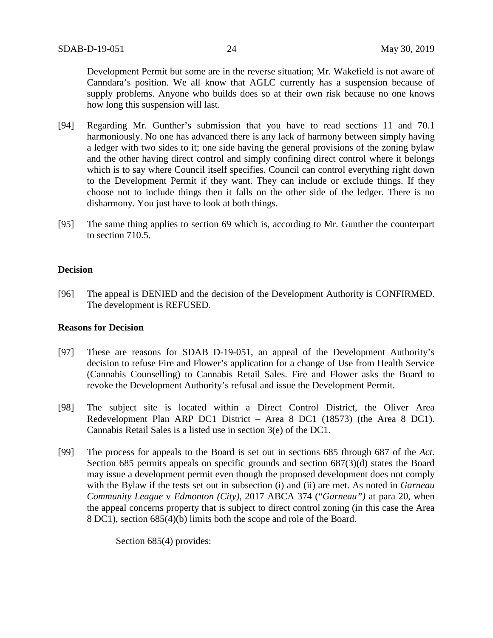Development Permit but some are in the reverse situation; Mr. Wakefield is not aware of Canndara's position. We all know that AGLC currently has a suspension because of supply problems. Anyone who builds does so at their own risk because no one knows how long this suspension will last.

- [94] Regarding Mr. Gunther's submission that you have to read sections 11 and 70.1 harmoniously. No one has advanced there is any lack of harmony between simply having a ledger with two sides to it; one side having the general provisions of the zoning bylaw and the other having direct control and simply confining direct control where it belongs which is to say where Council itself specifies. Council can control everything right down to the Development Permit if they want. They can include or exclude things. If they choose not to include things then it falls on the other side of the ledger. There is no disharmony. You just have to look at both things.
- [95] The same thing applies to section 69 which is, according to Mr. Gunther the counterpart to section 710.5.

## **Decision**

[96] The appeal is DENIED and the decision of the Development Authority is CONFIRMED. The development is REFUSED.

### **Reasons for Decision**

- [97] These are reasons for SDAB D-19-051, an appeal of the Development Authority's decision to refuse Fire and Flower's application for a change of Use from Health Service (Cannabis Counselling) to Cannabis Retail Sales. Fire and Flower asks the Board to revoke the Development Authority's refusal and issue the Development Permit.
- [98] The subject site is located within a Direct Control District, the Oliver Area Redevelopment Plan ARP DC1 District – Area 8 DC1 (18573) (the Area 8 DC1). Cannabis Retail Sales is a listed use in section 3(e) of the DC1.
- [99] The process for appeals to the Board is set out in sections 685 through 687 of the *Act*. Section 685 permits appeals on specific grounds and section 687(3)(d) states the Board may issue a development permit even though the proposed development does not comply with the Bylaw if the tests set out in subsection (i) and (ii) are met. As noted in *Garneau Community League* v *Edmonton (City)*, 2017 ABCA 374 ("*Garneau")* at para 20, when the appeal concerns property that is subject to direct control zoning (in this case the Area 8 DC1), section 685(4)(b) limits both the scope and role of the Board.

Section 685(4) provides: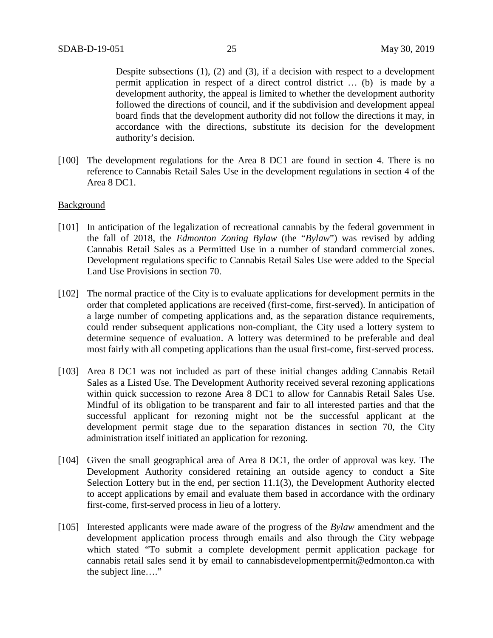Despite subsections (1), (2) and (3), if a decision with respect to a development permit application in respect of a direct control district … (b) is made by a development authority, the appeal is limited to whether the development authority followed the directions of council, and if the subdivision and development appeal board finds that the development authority did not follow the directions it may, in accordance with the directions, substitute its decision for the development authority's decision.

[100] The development regulations for the Area 8 DC1 are found in section 4. There is no reference to Cannabis Retail Sales Use in the development regulations in section 4 of the Area 8 DC1.

### Background

- [101] In anticipation of the legalization of recreational cannabis by the federal government in the fall of 2018, the *Edmonton Zoning Bylaw* (the "*Bylaw*") was revised by adding Cannabis Retail Sales as a Permitted Use in a number of standard commercial zones. Development regulations specific to Cannabis Retail Sales Use were added to the Special Land Use Provisions in section 70.
- [102] The normal practice of the City is to evaluate applications for development permits in the order that completed applications are received (first-come, first-served). In anticipation of a large number of competing applications and, as the separation distance requirements, could render subsequent applications non-compliant, the City used a lottery system to determine sequence of evaluation. A lottery was determined to be preferable and deal most fairly with all competing applications than the usual first-come, first-served process.
- [103] Area 8 DC1 was not included as part of these initial changes adding Cannabis Retail Sales as a Listed Use. The Development Authority received several rezoning applications within quick succession to rezone Area 8 DC1 to allow for Cannabis Retail Sales Use. Mindful of its obligation to be transparent and fair to all interested parties and that the successful applicant for rezoning might not be the successful applicant at the development permit stage due to the separation distances in section 70, the City administration itself initiated an application for rezoning.
- [104] Given the small geographical area of Area 8 DC1, the order of approval was key. The Development Authority considered retaining an outside agency to conduct a Site Selection Lottery but in the end, per section 11.1(3), the Development Authority elected to accept applications by email and evaluate them based in accordance with the ordinary first-come, first-served process in lieu of a lottery.
- [105] Interested applicants were made aware of the progress of the *Bylaw* amendment and the development application process through emails and also through the City webpage which stated "To submit a complete development permit application package for cannabis retail sales send it by email to cannabisdevelopmentpermit@edmonton.ca with the subject line…."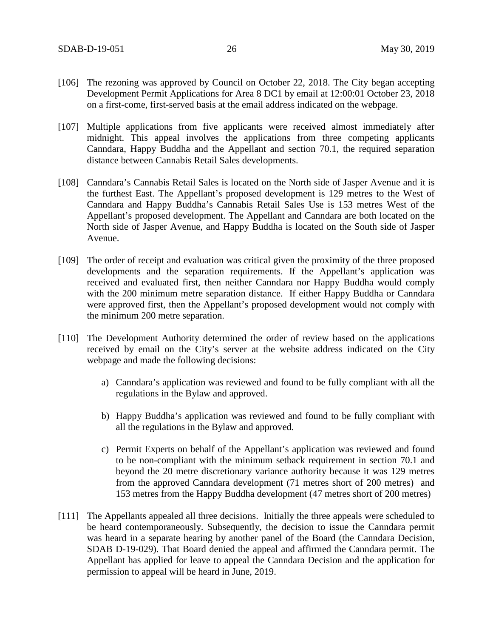- [106] The rezoning was approved by Council on October 22, 2018. The City began accepting Development Permit Applications for Area 8 DC1 by email at 12:00:01 October 23, 2018 on a first-come, first-served basis at the email address indicated on the webpage.
- [107] Multiple applications from five applicants were received almost immediately after midnight. This appeal involves the applications from three competing applicants Canndara, Happy Buddha and the Appellant and section 70.1, the required separation distance between Cannabis Retail Sales developments.
- [108] Canndara's Cannabis Retail Sales is located on the North side of Jasper Avenue and it is the furthest East. The Appellant's proposed development is 129 metres to the West of Canndara and Happy Buddha's Cannabis Retail Sales Use is 153 metres West of the Appellant's proposed development. The Appellant and Canndara are both located on the North side of Jasper Avenue, and Happy Buddha is located on the South side of Jasper Avenue.
- [109] The order of receipt and evaluation was critical given the proximity of the three proposed developments and the separation requirements. If the Appellant's application was received and evaluated first, then neither Canndara nor Happy Buddha would comply with the 200 minimum metre separation distance. If either Happy Buddha or Canndara were approved first, then the Appellant's proposed development would not comply with the minimum 200 metre separation.
- [110] The Development Authority determined the order of review based on the applications received by email on the City's server at the website address indicated on the City webpage and made the following decisions:
	- a) Canndara's application was reviewed and found to be fully compliant with all the regulations in the Bylaw and approved.
	- b) Happy Buddha's application was reviewed and found to be fully compliant with all the regulations in the Bylaw and approved.
	- c) Permit Experts on behalf of the Appellant's application was reviewed and found to be non-compliant with the minimum setback requirement in section 70.1 and beyond the 20 metre discretionary variance authority because it was 129 metres from the approved Canndara development (71 metres short of 200 metres) and 153 metres from the Happy Buddha development (47 metres short of 200 metres)
- [111] The Appellants appealed all three decisions. Initially the three appeals were scheduled to be heard contemporaneously. Subsequently, the decision to issue the Canndara permit was heard in a separate hearing by another panel of the Board (the Canndara Decision, SDAB D-19-029). That Board denied the appeal and affirmed the Canndara permit. The Appellant has applied for leave to appeal the Canndara Decision and the application for permission to appeal will be heard in June, 2019.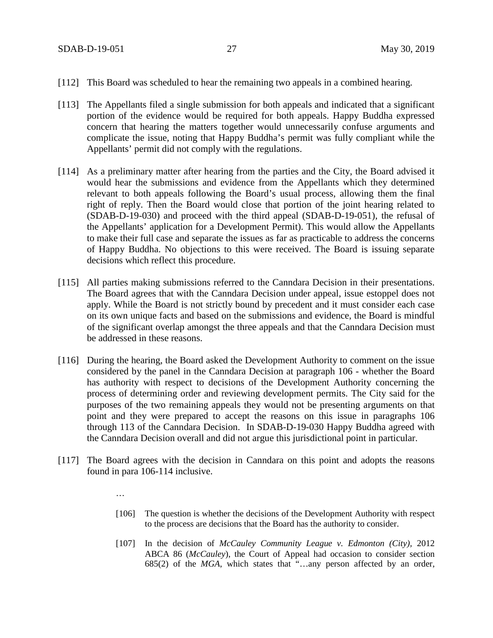…

- [112] This Board was scheduled to hear the remaining two appeals in a combined hearing.
- [113] The Appellants filed a single submission for both appeals and indicated that a significant portion of the evidence would be required for both appeals. Happy Buddha expressed concern that hearing the matters together would unnecessarily confuse arguments and complicate the issue, noting that Happy Buddha's permit was fully compliant while the Appellants' permit did not comply with the regulations.
- [114] As a preliminary matter after hearing from the parties and the City, the Board advised it would hear the submissions and evidence from the Appellants which they determined relevant to both appeals following the Board's usual process, allowing them the final right of reply. Then the Board would close that portion of the joint hearing related to (SDAB-D-19-030) and proceed with the third appeal (SDAB-D-19-051), the refusal of the Appellants' application for a Development Permit). This would allow the Appellants to make their full case and separate the issues as far as practicable to address the concerns of Happy Buddha. No objections to this were received. The Board is issuing separate decisions which reflect this procedure.
- [115] All parties making submissions referred to the Canndara Decision in their presentations. The Board agrees that with the Canndara Decision under appeal, issue estoppel does not apply. While the Board is not strictly bound by precedent and it must consider each case on its own unique facts and based on the submissions and evidence, the Board is mindful of the significant overlap amongst the three appeals and that the Canndara Decision must be addressed in these reasons.
- [116] During the hearing, the Board asked the Development Authority to comment on the issue considered by the panel in the Canndara Decision at paragraph 106 - whether the Board has authority with respect to decisions of the Development Authority concerning the process of determining order and reviewing development permits. The City said for the purposes of the two remaining appeals they would not be presenting arguments on that point and they were prepared to accept the reasons on this issue in paragraphs 106 through 113 of the Canndara Decision. In SDAB-D-19-030 Happy Buddha agreed with the Canndara Decision overall and did not argue this jurisdictional point in particular.
- [117] The Board agrees with the decision in Canndara on this point and adopts the reasons found in para 106-114 inclusive.
	- [106] The question is whether the decisions of the Development Authority with respect to the process are decisions that the Board has the authority to consider.
	- [107] In the decision of *McCauley Community League v. Edmonton (City),* 2012 ABCA 86 (*McCauley*), the Court of Appeal had occasion to consider section 685(2) of the *MGA*, which states that "…any person affected by an order,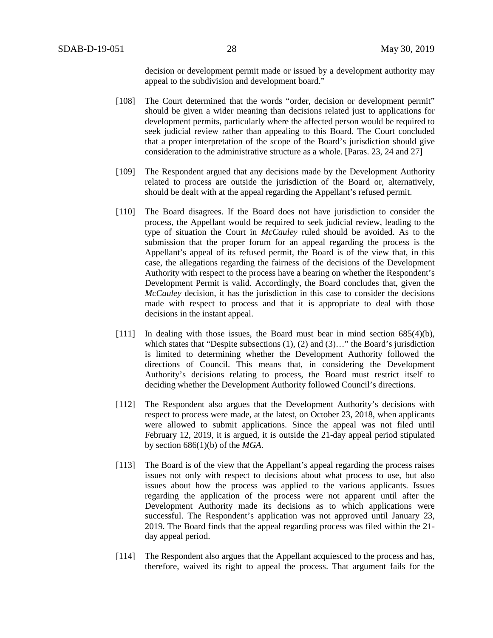decision or development permit made or issued by a development authority may appeal to the subdivision and development board."

- [108] The Court determined that the words "order, decision or development permit" should be given a wider meaning than decisions related just to applications for development permits, particularly where the affected person would be required to seek judicial review rather than appealing to this Board. The Court concluded that a proper interpretation of the scope of the Board's jurisdiction should give consideration to the administrative structure as a whole. [Paras. 23, 24 and 27]
- [109] The Respondent argued that any decisions made by the Development Authority related to process are outside the jurisdiction of the Board or, alternatively, should be dealt with at the appeal regarding the Appellant's refused permit.
- [110] The Board disagrees. If the Board does not have jurisdiction to consider the process, the Appellant would be required to seek judicial review, leading to the type of situation the Court in *McCauley* ruled should be avoided. As to the submission that the proper forum for an appeal regarding the process is the Appellant's appeal of its refused permit, the Board is of the view that, in this case, the allegations regarding the fairness of the decisions of the Development Authority with respect to the process have a bearing on whether the Respondent's Development Permit is valid. Accordingly, the Board concludes that, given the *McCauley* decision, it has the jurisdiction in this case to consider the decisions made with respect to process and that it is appropriate to deal with those decisions in the instant appeal.
- [111] In dealing with those issues, the Board must bear in mind section 685(4)(b), which states that "Despite subsections (1), (2) and (3)..." the Board's jurisdiction is limited to determining whether the Development Authority followed the directions of Council. This means that, in considering the Development Authority's decisions relating to process, the Board must restrict itself to deciding whether the Development Authority followed Council's directions.
- [112] The Respondent also argues that the Development Authority's decisions with respect to process were made, at the latest, on October 23, 2018, when applicants were allowed to submit applications. Since the appeal was not filed until February 12, 2019, it is argued, it is outside the 21-day appeal period stipulated by section 686(1)(b) of the *MGA*.
- [113] The Board is of the view that the Appellant's appeal regarding the process raises issues not only with respect to decisions about what process to use, but also issues about how the process was applied to the various applicants. Issues regarding the application of the process were not apparent until after the Development Authority made its decisions as to which applications were successful. The Respondent's application was not approved until January 23, 2019. The Board finds that the appeal regarding process was filed within the 21 day appeal period.
- [114] The Respondent also argues that the Appellant acquiesced to the process and has, therefore, waived its right to appeal the process. That argument fails for the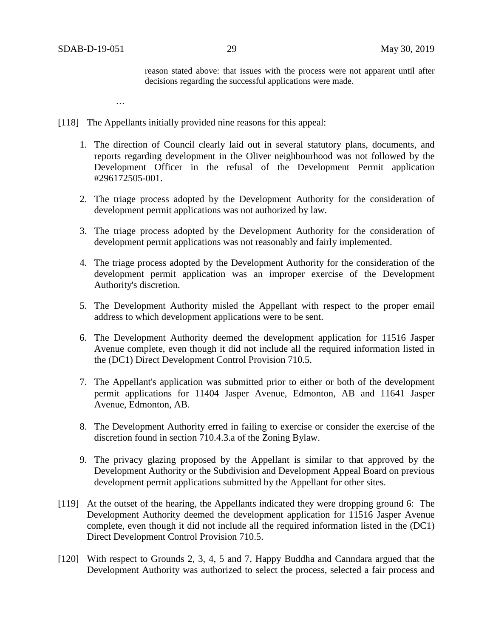reason stated above: that issues with the process were not apparent until after decisions regarding the successful applications were made.

…

- [118] The Appellants initially provided nine reasons for this appeal:
	- 1. The direction of Council clearly laid out in several statutory plans, documents, and reports regarding development in the Oliver neighbourhood was not followed by the Development Officer in the refusal of the Development Permit application #296172505-001.
	- 2. The triage process adopted by the Development Authority for the consideration of development permit applications was not authorized by law.
	- 3. The triage process adopted by the Development Authority for the consideration of development permit applications was not reasonably and fairly implemented.
	- 4. The triage process adopted by the Development Authority for the consideration of the development permit application was an improper exercise of the Development Authority's discretion.
	- 5. The Development Authority misled the Appellant with respect to the proper email address to which development applications were to be sent.
	- 6. The Development Authority deemed the development application for 11516 Jasper Avenue complete, even though it did not include all the required information listed in the (DC1) Direct Development Control Provision 710.5.
	- 7. The Appellant's application was submitted prior to either or both of the development permit applications for 11404 Jasper Avenue, Edmonton, AB and 11641 Jasper Avenue, Edmonton, AB.
	- 8. The Development Authority erred in failing to exercise or consider the exercise of the discretion found in section 710.4.3.a of the Zoning Bylaw.
	- 9. The privacy glazing proposed by the Appellant is similar to that approved by the Development Authority or the Subdivision and Development Appeal Board on previous development permit applications submitted by the Appellant for other sites.
- [119] At the outset of the hearing, the Appellants indicated they were dropping ground 6: The Development Authority deemed the development application for 11516 Jasper Avenue complete, even though it did not include all the required information listed in the (DC1) Direct Development Control Provision 710.5.
- [120] With respect to Grounds 2, 3, 4, 5 and 7, Happy Buddha and Canndara argued that the Development Authority was authorized to select the process, selected a fair process and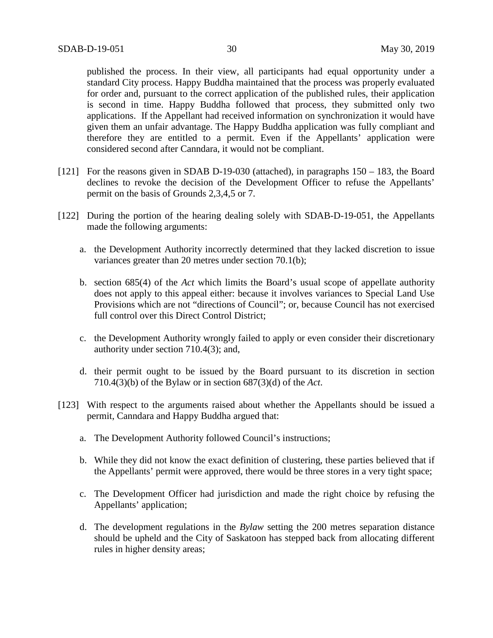published the process. In their view, all participants had equal opportunity under a standard City process. Happy Buddha maintained that the process was properly evaluated for order and, pursuant to the correct application of the published rules, their application is second in time. Happy Buddha followed that process, they submitted only two applications. If the Appellant had received information on synchronization it would have given them an unfair advantage. The Happy Buddha application was fully compliant and therefore they are entitled to a permit. Even if the Appellants' application were considered second after Canndara, it would not be compliant.

- [121] For the reasons given in SDAB D-19-030 (attached), in paragraphs 150 183, the Board declines to revoke the decision of the Development Officer to refuse the Appellants' permit on the basis of Grounds 2,3,4,5 or 7.
- [122] During the portion of the hearing dealing solely with SDAB-D-19-051, the Appellants made the following arguments:
	- a. the Development Authority incorrectly determined that they lacked discretion to issue variances greater than 20 metres under section 70.1(b);
	- b. section 685(4) of the *Act* which limits the Board's usual scope of appellate authority does not apply to this appeal either: because it involves variances to Special Land Use Provisions which are not "directions of Council"; or, because Council has not exercised full control over this Direct Control District;
	- c. the Development Authority wrongly failed to apply or even consider their discretionary authority under section 710.4(3); and,
	- d. their permit ought to be issued by the Board pursuant to its discretion in section 710.4(3)(b) of the Bylaw or in section 687(3)(d) of the *Act*.
- [123] With respect to the arguments raised about whether the Appellants should be issued a permit, Canndara and Happy Buddha argued that:
	- a. The Development Authority followed Council's instructions;
	- b. While they did not know the exact definition of clustering, these parties believed that if the Appellants' permit were approved, there would be three stores in a very tight space;
	- c. The Development Officer had jurisdiction and made the right choice by refusing the Appellants' application;
	- d. The development regulations in the *Bylaw* setting the 200 metres separation distance should be upheld and the City of Saskatoon has stepped back from allocating different rules in higher density areas;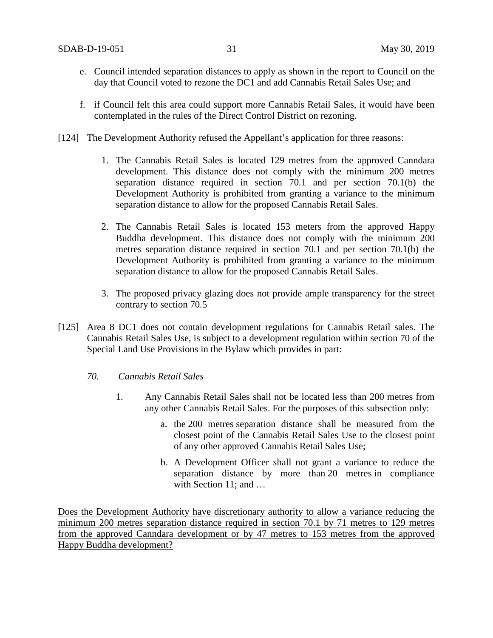- e. Council intended separation distances to apply as shown in the report to Council on the day that Council voted to rezone the DC1 and add Cannabis Retail Sales Use; and
- f. if Council felt this area could support more Cannabis Retail Sales, it would have been contemplated in the rules of the Direct Control District on rezoning.
- [124] The Development Authority refused the Appellant's application for three reasons:
	- 1. The Cannabis Retail Sales is located 129 metres from the approved Canndara development. This distance does not comply with the minimum 200 metres separation distance required in section 70.1 and per section 70.1(b) the Development Authority is prohibited from granting a variance to the minimum separation distance to allow for the proposed Cannabis Retail Sales.
	- 2. The Cannabis Retail Sales is located 153 meters from the approved Happy Buddha development. This distance does not comply with the minimum 200 metres separation distance required in section 70.1 and per section 70.1(b) the Development Authority is prohibited from granting a variance to the minimum separation distance to allow for the proposed Cannabis Retail Sales.
	- 3. The proposed privacy glazing does not provide ample transparency for the street contrary to section 70.5
- [125] Area 8 DC1 does not contain development regulations for Cannabis Retail sales. The Cannabis Retail Sales Use, is subject to a development regulation within section 70 of the Special Land Use Provisions in the Bylaw which provides in part:
	- *70. Cannabis Retail Sales*
		- 1. Any Cannabis Retail Sales shall not be located less than 200 metres from any other Cannabis Retail Sales. For the purposes of this subsection only:
			- a. the 200 metres separation distance shall be measured from the closest point of the Cannabis Retail Sales Use to the closest point of any other approved Cannabis Retail Sales Use;
			- b. A Development Officer shall not grant a variance to reduce the separation distance by more than 20 metres in compliance with Section 11; and ...

Does the Development Authority have discretionary authority to allow a variance reducing the minimum 200 metres separation distance required in section 70.1 by 71 metres to 129 metres from the approved Canndara development or by 47 metres to 153 metres from the approved Happy Buddha development?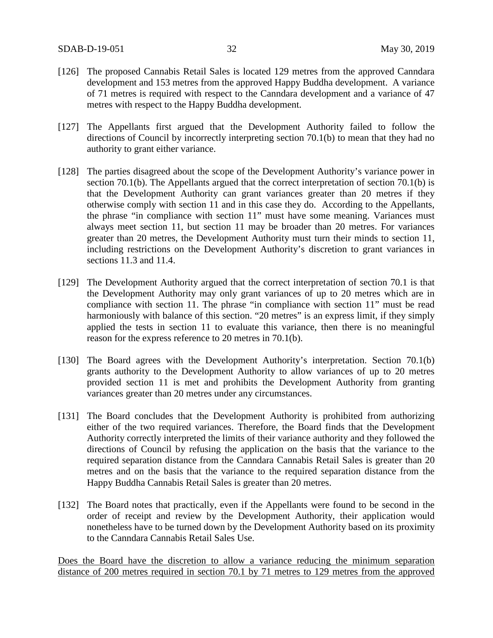- [126] The proposed Cannabis Retail Sales is located 129 metres from the approved Canndara development and 153 metres from the approved Happy Buddha development. A variance of 71 metres is required with respect to the Canndara development and a variance of 47 metres with respect to the Happy Buddha development.
- [127] The Appellants first argued that the Development Authority failed to follow the directions of Council by incorrectly interpreting section 70.1(b) to mean that they had no authority to grant either variance.
- [128] The parties disagreed about the scope of the Development Authority's variance power in section 70.1(b). The Appellants argued that the correct interpretation of section 70.1(b) is that the Development Authority can grant variances greater than 20 metres if they otherwise comply with section 11 and in this case they do. According to the Appellants, the phrase "in compliance with section 11" must have some meaning. Variances must always meet section 11, but section 11 may be broader than 20 metres. For variances greater than 20 metres, the Development Authority must turn their minds to section 11, including restrictions on the Development Authority's discretion to grant variances in sections 11.3 and 11.4.
- [129] The Development Authority argued that the correct interpretation of section 70.1 is that the Development Authority may only grant variances of up to 20 metres which are in compliance with section 11. The phrase "in compliance with section 11" must be read harmoniously with balance of this section. "20 metres" is an express limit, if they simply applied the tests in section 11 to evaluate this variance, then there is no meaningful reason for the express reference to 20 metres in 70.1(b).
- [130] The Board agrees with the Development Authority's interpretation. Section 70.1(b) grants authority to the Development Authority to allow variances of up to 20 metres provided section 11 is met and prohibits the Development Authority from granting variances greater than 20 metres under any circumstances.
- [131] The Board concludes that the Development Authority is prohibited from authorizing either of the two required variances. Therefore, the Board finds that the Development Authority correctly interpreted the limits of their variance authority and they followed the directions of Council by refusing the application on the basis that the variance to the required separation distance from the Canndara Cannabis Retail Sales is greater than 20 metres and on the basis that the variance to the required separation distance from the Happy Buddha Cannabis Retail Sales is greater than 20 metres.
- [132] The Board notes that practically, even if the Appellants were found to be second in the order of receipt and review by the Development Authority, their application would nonetheless have to be turned down by the Development Authority based on its proximity to the Canndara Cannabis Retail Sales Use.

Does the Board have the discretion to allow a variance reducing the minimum separation distance of 200 metres required in section 70.1 by 71 metres to 129 metres from the approved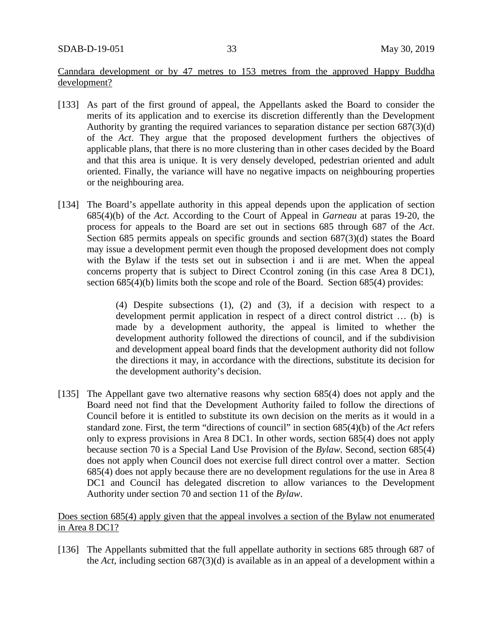Canndara development or by 47 metres to 153 metres from the approved Happy Buddha development?

- [133] As part of the first ground of appeal, the Appellants asked the Board to consider the merits of its application and to exercise its discretion differently than the Development Authority by granting the required variances to separation distance per section 687(3)(d) of the *Act*. They argue that the proposed development furthers the objectives of applicable plans, that there is no more clustering than in other cases decided by the Board and that this area is unique. It is very densely developed, pedestrian oriented and adult oriented. Finally, the variance will have no negative impacts on neighbouring properties or the neighbouring area.
- [134] The Board's appellate authority in this appeal depends upon the application of section 685(4)(b) of the *Act*. According to the Court of Appeal in *Garneau* at paras 19-20, the process for appeals to the Board are set out in sections 685 through 687 of the *Act*. Section 685 permits appeals on specific grounds and section 687(3)(d) states the Board may issue a development permit even though the proposed development does not comply with the Bylaw if the tests set out in subsection i and ii are met. When the appeal concerns property that is subject to Direct Ccontrol zoning (in this case Area 8 DC1), section 685(4)(b) limits both the scope and role of the Board. Section 685(4) provides:

(4) Despite subsections (1), (2) and (3), if a decision with respect to a development permit application in respect of a direct control district … (b) is made by a development authority, the appeal is limited to whether the development authority followed the directions of council, and if the subdivision and development appeal board finds that the development authority did not follow the directions it may, in accordance with the directions, substitute its decision for the development authority's decision.

[135] The Appellant gave two alternative reasons why section 685(4) does not apply and the Board need not find that the Development Authority failed to follow the directions of Council before it is entitled to substitute its own decision on the merits as it would in a standard zone. First, the term "directions of council" in section 685(4)(b) of the *Act* refers only to express provisions in Area 8 DC1. In other words, section 685(4) does not apply because section 70 is a Special Land Use Provision of the *Bylaw*. Second, section 685(4) does not apply when Council does not exercise full direct control over a matter. Section 685(4) does not apply because there are no development regulations for the use in Area 8 DC1 and Council has delegated discretion to allow variances to the Development Authority under section 70 and section 11 of the *Bylaw*.

## Does section 685(4) apply given that the appeal involves a section of the Bylaw not enumerated in Area 8 DC1?

[136] The Appellants submitted that the full appellate authority in sections 685 through 687 of the *Act*, including section 687(3)(d) is available as in an appeal of a development within a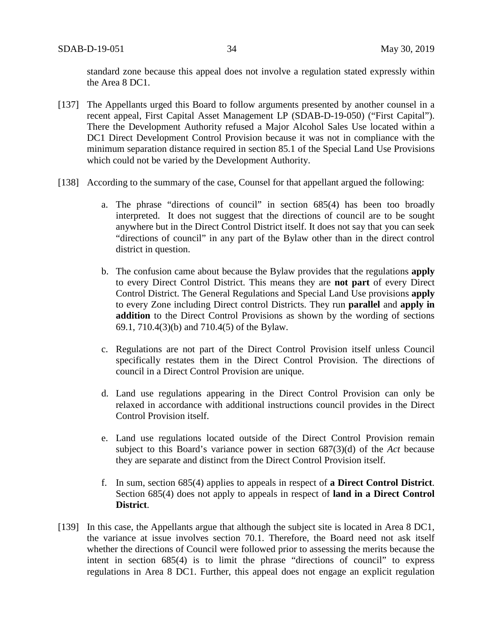standard zone because this appeal does not involve a regulation stated expressly within the Area 8 DC1.

- [137] The Appellants urged this Board to follow arguments presented by another counsel in a recent appeal, First Capital Asset Management LP (SDAB-D-19-050) ("First Capital"). There the Development Authority refused a Major Alcohol Sales Use located within a DC1 Direct Development Control Provision because it was not in compliance with the minimum separation distance required in section 85.1 of the Special Land Use Provisions which could not be varied by the Development Authority.
- [138] According to the summary of the case, Counsel for that appellant argued the following:
	- a. The phrase "directions of council" in section 685(4) has been too broadly interpreted. It does not suggest that the directions of council are to be sought anywhere but in the Direct Control District itself. It does not say that you can seek "directions of council" in any part of the Bylaw other than in the direct control district in question.
	- b. The confusion came about because the Bylaw provides that the regulations **apply** to every Direct Control District. This means they are **not part** of every Direct Control District. The General Regulations and Special Land Use provisions **apply** to every Zone including Direct control Districts. They run **parallel** and **apply in addition** to the Direct Control Provisions as shown by the wording of sections 69.1, 710.4(3)(b) and 710.4(5) of the Bylaw.
	- c. Regulations are not part of the Direct Control Provision itself unless Council specifically restates them in the Direct Control Provision. The directions of council in a Direct Control Provision are unique.
	- d. Land use regulations appearing in the Direct Control Provision can only be relaxed in accordance with additional instructions council provides in the Direct Control Provision itself.
	- e. Land use regulations located outside of the Direct Control Provision remain subject to this Board's variance power in section 687(3)(d) of the *Act* because they are separate and distinct from the Direct Control Provision itself.
	- f. In sum, section 685(4) applies to appeals in respect of **a Direct Control District**. Section 685(4) does not apply to appeals in respect of **land in a Direct Control District**.
- [139] In this case, the Appellants argue that although the subject site is located in Area 8 DC1, the variance at issue involves section 70.1. Therefore, the Board need not ask itself whether the directions of Council were followed prior to assessing the merits because the intent in section 685(4) is to limit the phrase "directions of council" to express regulations in Area 8 DC1. Further, this appeal does not engage an explicit regulation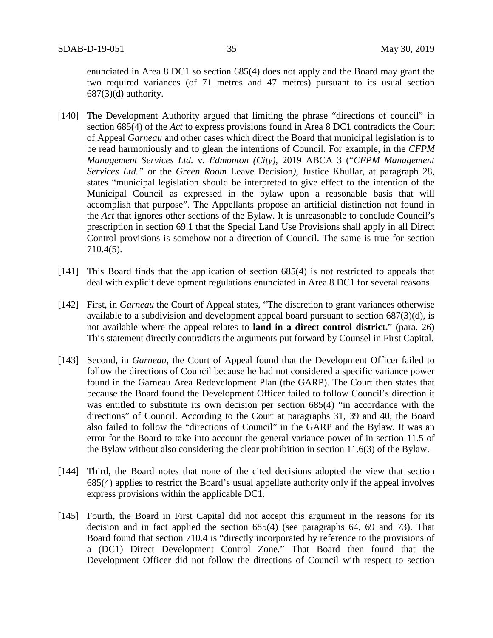enunciated in Area 8 DC1 so section 685(4) does not apply and the Board may grant the two required variances (of 71 metres and 47 metres) pursuant to its usual section  $687(3)(d)$  authority.

- [140] The Development Authority argued that limiting the phrase "directions of council" in section 685(4) of the *Act* to express provisions found in Area 8 DC1 contradicts the Court of Appeal *Garneau* and other cases which direct the Board that municipal legislation is to be read harmoniously and to glean the intentions of Council. For example, in the *CFPM Management Services Ltd.* v. *Edmonton (City)*, 2019 ABCA 3 ("*CFPM Management Services Ltd."* or the *Green Room* Leave Decision*),* Justice Khullar, at paragraph 28, states "municipal legislation should be interpreted to give effect to the intention of the Municipal Council as expressed in the bylaw upon a reasonable basis that will accomplish that purpose". The Appellants propose an artificial distinction not found in the *Act* that ignores other sections of the Bylaw. It is unreasonable to conclude Council's prescription in section 69.1 that the Special Land Use Provisions shall apply in all Direct Control provisions is somehow not a direction of Council. The same is true for section 710.4(5).
- [141] This Board finds that the application of section 685(4) is not restricted to appeals that deal with explicit development regulations enunciated in Area 8 DC1 for several reasons.
- [142] First, in *Garneau* the Court of Appeal states, "The discretion to grant variances otherwise available to a subdivision and development appeal board pursuant to section 687(3)(d), is not available where the appeal relates to **land in a direct control district.**" (para. 26) This statement directly contradicts the arguments put forward by Counsel in First Capital.
- [143] Second, in *Garneau*, the Court of Appeal found that the Development Officer failed to follow the directions of Council because he had not considered a specific variance power found in the Garneau Area Redevelopment Plan (the GARP). The Court then states that because the Board found the Development Officer failed to follow Council's direction it was entitled to substitute its own decision per section 685(4) "in accordance with the directions" of Council. According to the Court at paragraphs 31, 39 and 40, the Board also failed to follow the "directions of Council" in the GARP and the Bylaw. It was an error for the Board to take into account the general variance power of in section 11.5 of the Bylaw without also considering the clear prohibition in section 11.6(3) of the Bylaw.
- [144] Third, the Board notes that none of the cited decisions adopted the view that section 685(4) applies to restrict the Board's usual appellate authority only if the appeal involves express provisions within the applicable DC1.
- [145] Fourth, the Board in First Capital did not accept this argument in the reasons for its decision and in fact applied the section 685(4) (see paragraphs 64, 69 and 73). That Board found that section 710.4 is "directly incorporated by reference to the provisions of a (DC1) Direct Development Control Zone." That Board then found that the Development Officer did not follow the directions of Council with respect to section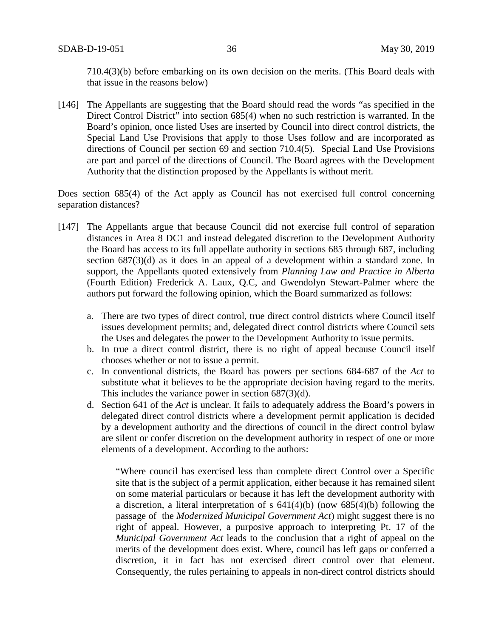710.4(3)(b) before embarking on its own decision on the merits. (This Board deals with that issue in the reasons below)

[146] The Appellants are suggesting that the Board should read the words "as specified in the Direct Control District" into section 685(4) when no such restriction is warranted. In the Board's opinion, once listed Uses are inserted by Council into direct control districts, the Special Land Use Provisions that apply to those Uses follow and are incorporated as directions of Council per section 69 and section 710.4(5). Special Land Use Provisions are part and parcel of the directions of Council. The Board agrees with the Development Authority that the distinction proposed by the Appellants is without merit.

## Does section 685(4) of the Act apply as Council has not exercised full control concerning separation distances?

- [147] The Appellants argue that because Council did not exercise full control of separation distances in Area 8 DC1 and instead delegated discretion to the Development Authority the Board has access to its full appellate authority in sections 685 through 687, including section 687(3)(d) as it does in an appeal of a development within a standard zone. In support, the Appellants quoted extensively from *Planning Law and Practice in Alberta* (Fourth Edition) Frederick A. Laux, Q.C, and Gwendolyn Stewart-Palmer where the authors put forward the following opinion, which the Board summarized as follows:
	- a. There are two types of direct control, true direct control districts where Council itself issues development permits; and, delegated direct control districts where Council sets the Uses and delegates the power to the Development Authority to issue permits.
	- b. In true a direct control district, there is no right of appeal because Council itself chooses whether or not to issue a permit.
	- c. In conventional districts, the Board has powers per sections 684-687 of the *Act* to substitute what it believes to be the appropriate decision having regard to the merits. This includes the variance power in section 687(3)(d).
	- d. Section 641 of the *Act* is unclear. It fails to adequately address the Board's powers in delegated direct control districts where a development permit application is decided by a development authority and the directions of council in the direct control bylaw are silent or confer discretion on the development authority in respect of one or more elements of a development. According to the authors:

"Where council has exercised less than complete direct Control over a Specific site that is the subject of a permit application, either because it has remained silent on some material particulars or because it has left the development authority with a discretion, a literal interpretation of s 641(4)(b) (now 685(4)(b) following the passage of the *Modernized Municipal Government Act*) might suggest there is no right of appeal. However, a purposive approach to interpreting Pt. 17 of the *Municipal Government Act* leads to the conclusion that a right of appeal on the merits of the development does exist. Where, council has left gaps or conferred a discretion, it in fact has not exercised direct control over that element. Consequently, the rules pertaining to appeals in non-direct control districts should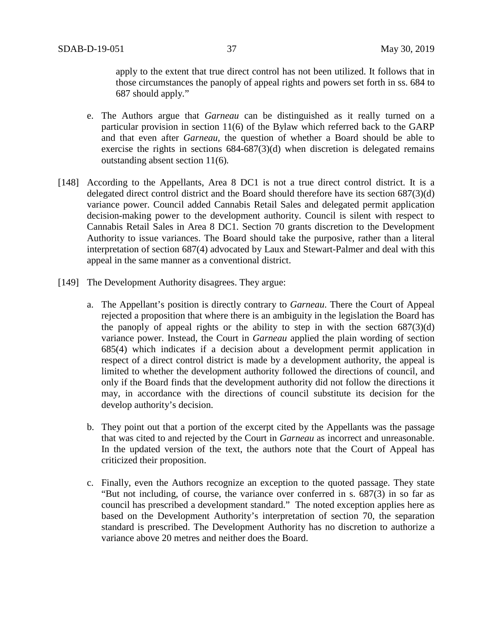apply to the extent that true direct control has not been utilized. It follows that in those circumstances the panoply of appeal rights and powers set forth in ss. 684 to 687 should apply*.*"

- e. The Authors argue that *Garneau* can be distinguished as it really turned on a particular provision in section 11(6) of the Bylaw which referred back to the GARP and that even after *Garneau*, the question of whether a Board should be able to exercise the rights in sections  $684-687(3)(d)$  when discretion is delegated remains outstanding absent section 11(6)*.*
- [148] According to the Appellants, Area 8 DC1 is not a true direct control district. It is a delegated direct control district and the Board should therefore have its section 687(3)(d) variance power. Council added Cannabis Retail Sales and delegated permit application decision-making power to the development authority. Council is silent with respect to Cannabis Retail Sales in Area 8 DC1. Section 70 grants discretion to the Development Authority to issue variances. The Board should take the purposive, rather than a literal interpretation of section 687(4) advocated by Laux and Stewart-Palmer and deal with this appeal in the same manner as a conventional district.
- [149] The Development Authority disagrees. They argue:
	- a. The Appellant's position is directly contrary to *Garneau*. There the Court of Appeal rejected a proposition that where there is an ambiguity in the legislation the Board has the panoply of appeal rights or the ability to step in with the section  $687(3)(d)$ variance power. Instead, the Court in *Garneau* applied the plain wording of section 685(4) which indicates if a decision about a development permit application in respect of a direct control district is made by a development authority, the appeal is limited to whether the development authority followed the directions of council, and only if the Board finds that the development authority did not follow the directions it may, in accordance with the directions of council substitute its decision for the develop authority's decision.
	- b. They point out that a portion of the excerpt cited by the Appellants was the passage that was cited to and rejected by the Court in *Garneau* as incorrect and unreasonable. In the updated version of the text, the authors note that the Court of Appeal has criticized their proposition.
	- c. Finally, even the Authors recognize an exception to the quoted passage. They state "But not including, of course, the variance over conferred in s. 687(3) in so far as council has prescribed a development standard." The noted exception applies here as based on the Development Authority's interpretation of section 70, the separation standard is prescribed. The Development Authority has no discretion to authorize a variance above 20 metres and neither does the Board.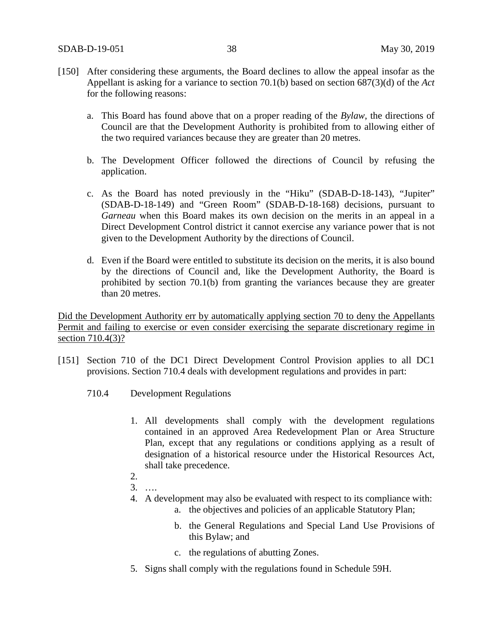- [150] After considering these arguments, the Board declines to allow the appeal insofar as the Appellant is asking for a variance to section 70.1(b) based on section 687(3)(d) of the *Act*  for the following reasons:
	- a. This Board has found above that on a proper reading of the *Bylaw*, the directions of Council are that the Development Authority is prohibited from to allowing either of the two required variances because they are greater than 20 metres.
	- b. The Development Officer followed the directions of Council by refusing the application.
	- c. As the Board has noted previously in the "Hiku" (SDAB-D-18-143), "Jupiter" (SDAB-D-18-149) and "Green Room" (SDAB-D-18-168) decisions, pursuant to *Garneau* when this Board makes its own decision on the merits in an appeal in a Direct Development Control district it cannot exercise any variance power that is not given to the Development Authority by the directions of Council.
	- d. Even if the Board were entitled to substitute its decision on the merits, it is also bound by the directions of Council and, like the Development Authority, the Board is prohibited by section 70.1(b) from granting the variances because they are greater than 20 metres.

Did the Development Authority err by automatically applying section 70 to deny the Appellants Permit and failing to exercise or even consider exercising the separate discretionary regime in section 710.4(3)?

- [151] Section 710 of the DC1 Direct Development Control Provision applies to all DC1 provisions. Section 710.4 deals with development regulations and provides in part:
	- 710.4 Development Regulations
		- 1. All developments shall comply with the development regulations contained in an approved Area Redevelopment Plan or Area Structure Plan, except that any regulations or conditions applying as a result of designation of a historical resource under the Historical Resources Act, shall take precedence.
		- 2.
		- 3. ….
		- 4. A development may also be evaluated with respect to its compliance with:
			- a. the objectives and policies of an applicable Statutory Plan;
			- b. the General Regulations and Special Land Use Provisions of this Bylaw; and
			- c. the regulations of abutting Zones.
		- 5. Signs shall comply with the regulations found in Schedule 59H.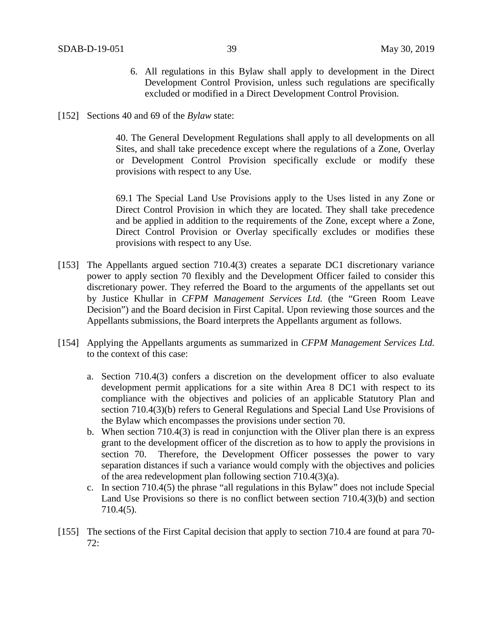- 6. All regulations in this Bylaw shall apply to development in the Direct Development Control Provision, unless such regulations are specifically excluded or modified in a Direct Development Control Provision.
- [152] Sections 40 and 69 of the *Bylaw* state:

40. The General Development Regulations shall apply to all developments on all Sites, and shall take precedence except where the regulations of a Zone, Overlay or Development Control Provision specifically exclude or modify these provisions with respect to any Use.

69.1 The Special Land Use Provisions apply to the Uses listed in any Zone or Direct Control Provision in which they are located. They shall take precedence and be applied in addition to the requirements of the Zone, except where a Zone, Direct Control Provision or Overlay specifically excludes or modifies these provisions with respect to any Use.

- [153] The Appellants argued section 710.4(3) creates a separate DC1 discretionary variance power to apply section 70 flexibly and the Development Officer failed to consider this discretionary power. They referred the Board to the arguments of the appellants set out by Justice Khullar in *CFPM Management Services Ltd.* (the "Green Room Leave Decision") and the Board decision in First Capital. Upon reviewing those sources and the Appellants submissions, the Board interprets the Appellants argument as follows.
- [154] Applying the Appellants arguments as summarized in *CFPM Management Services Ltd.* to the context of this case:
	- a. Section 710.4(3) confers a discretion on the development officer to also evaluate development permit applications for a site within Area 8 DC1 with respect to its compliance with the objectives and policies of an applicable Statutory Plan and section 710.4(3)(b) refers to General Regulations and Special Land Use Provisions of the Bylaw which encompasses the provisions under section 70.
	- b. When section 710.4(3) is read in conjunction with the Oliver plan there is an express grant to the development officer of the discretion as to how to apply the provisions in section 70. Therefore, the Development Officer possesses the power to vary separation distances if such a variance would comply with the objectives and policies of the area redevelopment plan following section 710.4(3)(a).
	- c. In section 710.4(5) the phrase "all regulations in this Bylaw" does not include Special Land Use Provisions so there is no conflict between section 710.4(3)(b) and section 710.4(5).
- [155] The sections of the First Capital decision that apply to section 710.4 are found at para 70- 72: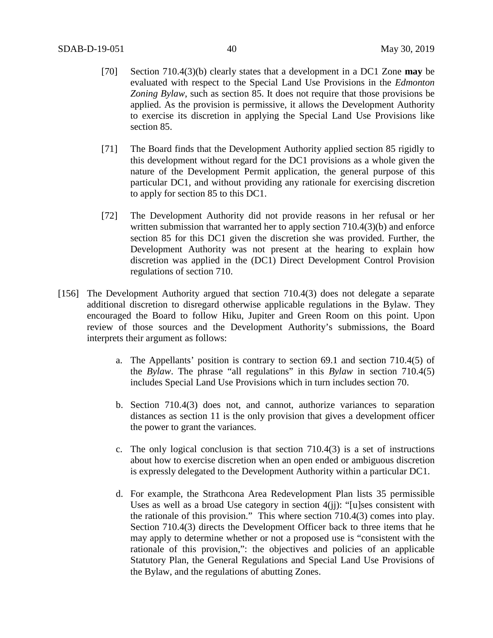- [70] Section 710.4(3)(b) clearly states that a development in a DC1 Zone **may** be evaluated with respect to the Special Land Use Provisions in the *Edmonton Zoning Bylaw*, such as section 85. It does not require that those provisions be applied. As the provision is permissive, it allows the Development Authority to exercise its discretion in applying the Special Land Use Provisions like section 85.
- [71] The Board finds that the Development Authority applied section 85 rigidly to this development without regard for the DC1 provisions as a whole given the nature of the Development Permit application, the general purpose of this particular DC1, and without providing any rationale for exercising discretion to apply for section 85 to this DC1.
- [72] The Development Authority did not provide reasons in her refusal or her written submission that warranted her to apply section 710.4(3)(b) and enforce section 85 for this DC1 given the discretion she was provided. Further, the Development Authority was not present at the hearing to explain how discretion was applied in the (DC1) Direct Development Control Provision regulations of section 710.
- [156] The Development Authority argued that section 710.4(3) does not delegate a separate additional discretion to disregard otherwise applicable regulations in the Bylaw. They encouraged the Board to follow Hiku, Jupiter and Green Room on this point. Upon review of those sources and the Development Authority's submissions, the Board interprets their argument as follows:
	- a. The Appellants' position is contrary to section 69.1 and section 710.4(5) of the *Bylaw*. The phrase "all regulations" in this *Bylaw* in section 710.4(5) includes Special Land Use Provisions which in turn includes section 70.
	- b. Section 710.4(3) does not, and cannot, authorize variances to separation distances as section 11 is the only provision that gives a development officer the power to grant the variances.
	- c. The only logical conclusion is that section  $710.4(3)$  is a set of instructions about how to exercise discretion when an open ended or ambiguous discretion is expressly delegated to the Development Authority within a particular DC1.
	- d. For example, the Strathcona Area Redevelopment Plan lists 35 permissible Uses as well as a broad Use category in section 4(jj): "[u]ses consistent with the rationale of this provision." This where section 710.4(3) comes into play. Section 710.4(3) directs the Development Officer back to three items that he may apply to determine whether or not a proposed use is "consistent with the rationale of this provision,": the objectives and policies of an applicable Statutory Plan, the General Regulations and Special Land Use Provisions of the Bylaw, and the regulations of abutting Zones.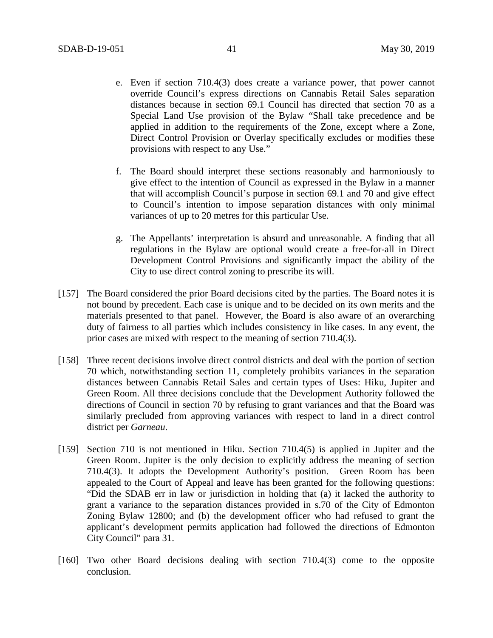- e. Even if section 710.4(3) does create a variance power, that power cannot override Council's express directions on Cannabis Retail Sales separation distances because in section 69.1 Council has directed that section 70 as a Special Land Use provision of the Bylaw "Shall take precedence and be applied in addition to the requirements of the Zone, except where a Zone, Direct Control Provision or Overlay specifically excludes or modifies these provisions with respect to any Use."
- f. The Board should interpret these sections reasonably and harmoniously to give effect to the intention of Council as expressed in the Bylaw in a manner that will accomplish Council's purpose in section 69.1 and 70 and give effect to Council's intention to impose separation distances with only minimal variances of up to 20 metres for this particular Use.
- g. The Appellants' interpretation is absurd and unreasonable. A finding that all regulations in the Bylaw are optional would create a free-for-all in Direct Development Control Provisions and significantly impact the ability of the City to use direct control zoning to prescribe its will.
- [157] The Board considered the prior Board decisions cited by the parties. The Board notes it is not bound by precedent. Each case is unique and to be decided on its own merits and the materials presented to that panel. However, the Board is also aware of an overarching duty of fairness to all parties which includes consistency in like cases. In any event, the prior cases are mixed with respect to the meaning of section 710.4(3).
- [158] Three recent decisions involve direct control districts and deal with the portion of section 70 which, notwithstanding section 11, completely prohibits variances in the separation distances between Cannabis Retail Sales and certain types of Uses: Hiku, Jupiter and Green Room. All three decisions conclude that the Development Authority followed the directions of Council in section 70 by refusing to grant variances and that the Board was similarly precluded from approving variances with respect to land in a direct control district per *Garneau*.
- [159] Section 710 is not mentioned in Hiku. Section 710.4(5) is applied in Jupiter and the Green Room. Jupiter is the only decision to explicitly address the meaning of section 710.4(3). It adopts the Development Authority's position. Green Room has been appealed to the Court of Appeal and leave has been granted for the following questions: "Did the SDAB err in law or jurisdiction in holding that (a) it lacked the authority to grant a variance to the separation distances provided in s.70 of the City of Edmonton Zoning Bylaw 12800; and (b) the development officer who had refused to grant the applicant's development permits application had followed the directions of Edmonton City Council" para 31.
- [160] Two other Board decisions dealing with section 710.4(3) come to the opposite conclusion.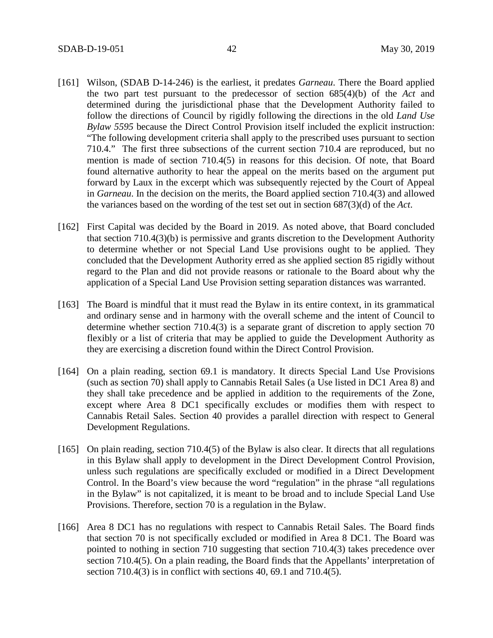- [161] Wilson, (SDAB D-14-246) is the earliest, it predates *Garneau*. There the Board applied the two part test pursuant to the predecessor of section 685(4)(b) of the *Act* and determined during the jurisdictional phase that the Development Authority failed to follow the directions of Council by rigidly following the directions in the old *Land Use Bylaw 5595* because the Direct Control Provision itself included the explicit instruction: "The following development criteria shall apply to the prescribed uses pursuant to section 710.4." The first three subsections of the current section 710.4 are reproduced, but no mention is made of section 710.4(5) in reasons for this decision. Of note, that Board found alternative authority to hear the appeal on the merits based on the argument put forward by Laux in the excerpt which was subsequently rejected by the Court of Appeal in *Garneau*. In the decision on the merits, the Board applied section 710.4(3) and allowed the variances based on the wording of the test set out in section 687(3)(d) of the *Act*.
- [162] First Capital was decided by the Board in 2019. As noted above, that Board concluded that section 710.4(3)(b) is permissive and grants discretion to the Development Authority to determine whether or not Special Land Use provisions ought to be applied. They concluded that the Development Authority erred as she applied section 85 rigidly without regard to the Plan and did not provide reasons or rationale to the Board about why the application of a Special Land Use Provision setting separation distances was warranted.
- [163] The Board is mindful that it must read the Bylaw in its entire context, in its grammatical and ordinary sense and in harmony with the overall scheme and the intent of Council to determine whether section 710.4(3) is a separate grant of discretion to apply section 70 flexibly or a list of criteria that may be applied to guide the Development Authority as they are exercising a discretion found within the Direct Control Provision.
- [164] On a plain reading, section 69.1 is mandatory. It directs Special Land Use Provisions (such as section 70) shall apply to Cannabis Retail Sales (a Use listed in DC1 Area 8) and they shall take precedence and be applied in addition to the requirements of the Zone, except where Area 8 DC1 specifically excludes or modifies them with respect to Cannabis Retail Sales. Section 40 provides a parallel direction with respect to General Development Regulations.
- [165] On plain reading, section 710.4(5) of the Bylaw is also clear. It directs that all regulations in this Bylaw shall apply to development in the Direct Development Control Provision, unless such regulations are specifically excluded or modified in a Direct Development Control. In the Board's view because the word "regulation" in the phrase "all regulations in the Bylaw" is not capitalized, it is meant to be broad and to include Special Land Use Provisions. Therefore, section 70 is a regulation in the Bylaw.
- [166] Area 8 DC1 has no regulations with respect to Cannabis Retail Sales. The Board finds that section 70 is not specifically excluded or modified in Area 8 DC1. The Board was pointed to nothing in section 710 suggesting that section 710.4(3) takes precedence over section 710.4(5). On a plain reading, the Board finds that the Appellants' interpretation of section 710.4(3) is in conflict with sections 40, 69.1 and 710.4(5).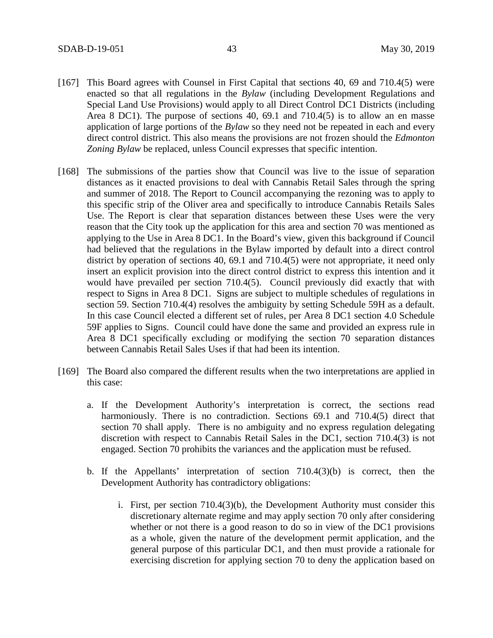- [167] This Board agrees with Counsel in First Capital that sections 40, 69 and 710.4(5) were enacted so that all regulations in the *Bylaw* (including Development Regulations and Special Land Use Provisions) would apply to all Direct Control DC1 Districts (including Area 8 DC1). The purpose of sections 40, 69.1 and 710.4(5) is to allow an en masse application of large portions of the *Bylaw* so they need not be repeated in each and every direct control district. This also means the provisions are not frozen should the *Edmonton Zoning Bylaw* be replaced, unless Council expresses that specific intention.
- [168] The submissions of the parties show that Council was live to the issue of separation distances as it enacted provisions to deal with Cannabis Retail Sales through the spring and summer of 2018. The Report to Council accompanying the rezoning was to apply to this specific strip of the Oliver area and specifically to introduce Cannabis Retails Sales Use. The Report is clear that separation distances between these Uses were the very reason that the City took up the application for this area and section 70 was mentioned as applying to the Use in Area 8 DC1. In the Board's view, given this background if Council had believed that the regulations in the Bylaw imported by default into a direct control district by operation of sections 40, 69.1 and 710.4(5) were not appropriate, it need only insert an explicit provision into the direct control district to express this intention and it would have prevailed per section 710.4(5). Council previously did exactly that with respect to Signs in Area 8 DC1. Signs are subject to multiple schedules of regulations in section 59. Section 710.4(4) resolves the ambiguity by setting Schedule 59H as a default. In this case Council elected a different set of rules, per Area 8 DC1 section 4.0 Schedule 59F applies to Signs. Council could have done the same and provided an express rule in Area 8 DC1 specifically excluding or modifying the section 70 separation distances between Cannabis Retail Sales Uses if that had been its intention.
- [169] The Board also compared the different results when the two interpretations are applied in this case:
	- a. If the Development Authority's interpretation is correct, the sections read harmoniously. There is no contradiction. Sections 69.1 and 710.4(5) direct that section 70 shall apply. There is no ambiguity and no express regulation delegating discretion with respect to Cannabis Retail Sales in the DC1, section 710.4(3) is not engaged. Section 70 prohibits the variances and the application must be refused.
	- b. If the Appellants' interpretation of section 710.4(3)(b) is correct, then the Development Authority has contradictory obligations:
		- i. First, per section 710.4(3)(b), the Development Authority must consider this discretionary alternate regime and may apply section 70 only after considering whether or not there is a good reason to do so in view of the DC1 provisions as a whole, given the nature of the development permit application, and the general purpose of this particular DC1, and then must provide a rationale for exercising discretion for applying section 70 to deny the application based on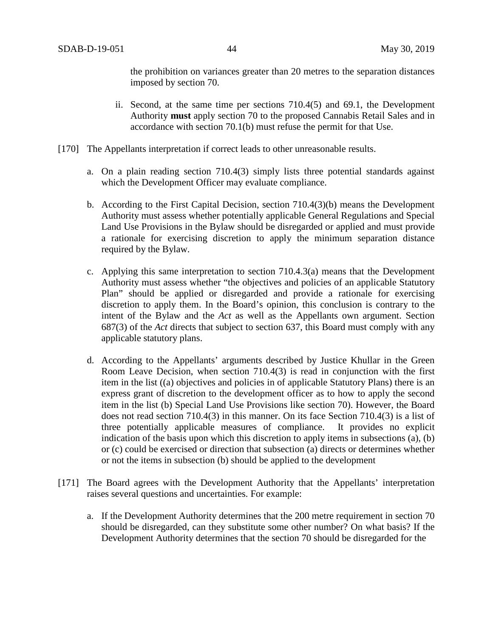the prohibition on variances greater than 20 metres to the separation distances imposed by section 70.

- ii. Second, at the same time per sections 710.4(5) and 69.1, the Development Authority **must** apply section 70 to the proposed Cannabis Retail Sales and in accordance with section 70.1(b) must refuse the permit for that Use.
- [170] The Appellants interpretation if correct leads to other unreasonable results.
	- a. On a plain reading section 710.4(3) simply lists three potential standards against which the Development Officer may evaluate compliance.
	- b. According to the First Capital Decision, section 710.4(3)(b) means the Development Authority must assess whether potentially applicable General Regulations and Special Land Use Provisions in the Bylaw should be disregarded or applied and must provide a rationale for exercising discretion to apply the minimum separation distance required by the Bylaw.
	- c. Applying this same interpretation to section 710.4.3(a) means that the Development Authority must assess whether "the objectives and policies of an applicable Statutory Plan" should be applied or disregarded and provide a rationale for exercising discretion to apply them. In the Board's opinion, this conclusion is contrary to the intent of the Bylaw and the *Act* as well as the Appellants own argument. Section 687(3) of the *Act* directs that subject to section 637, this Board must comply with any applicable statutory plans.
	- d. According to the Appellants' arguments described by Justice Khullar in the Green Room Leave Decision, when section 710.4(3) is read in conjunction with the first item in the list ((a) objectives and policies in of applicable Statutory Plans) there is an express grant of discretion to the development officer as to how to apply the second item in the list (b) Special Land Use Provisions like section 70). However, the Board does not read section 710.4(3) in this manner. On its face Section 710.4(3) is a list of three potentially applicable measures of compliance. It provides no explicit indication of the basis upon which this discretion to apply items in subsections (a), (b) or (c) could be exercised or direction that subsection (a) directs or determines whether or not the items in subsection (b) should be applied to the development
- [171] The Board agrees with the Development Authority that the Appellants' interpretation raises several questions and uncertainties. For example:
	- a. If the Development Authority determines that the 200 metre requirement in section 70 should be disregarded, can they substitute some other number? On what basis? If the Development Authority determines that the section 70 should be disregarded for the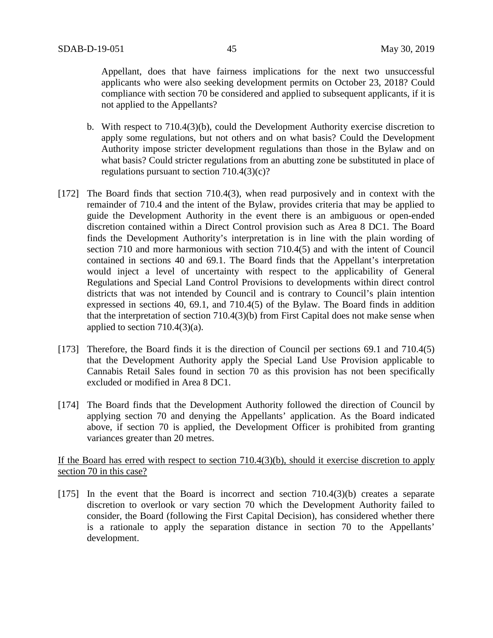Appellant, does that have fairness implications for the next two unsuccessful applicants who were also seeking development permits on October 23, 2018? Could compliance with section 70 be considered and applied to subsequent applicants, if it is not applied to the Appellants?

- b. With respect to 710.4(3)(b), could the Development Authority exercise discretion to apply some regulations, but not others and on what basis? Could the Development Authority impose stricter development regulations than those in the Bylaw and on what basis? Could stricter regulations from an abutting zone be substituted in place of regulations pursuant to section 710.4(3)(c)?
- [172] The Board finds that section 710.4(3), when read purposively and in context with the remainder of 710.4 and the intent of the Bylaw, provides criteria that may be applied to guide the Development Authority in the event there is an ambiguous or open-ended discretion contained within a Direct Control provision such as Area 8 DC1. The Board finds the Development Authority's interpretation is in line with the plain wording of section 710 and more harmonious with section 710.4(5) and with the intent of Council contained in sections 40 and 69.1. The Board finds that the Appellant's interpretation would inject a level of uncertainty with respect to the applicability of General Regulations and Special Land Control Provisions to developments within direct control districts that was not intended by Council and is contrary to Council's plain intention expressed in sections 40, 69.1, and 710.4(5) of the Bylaw. The Board finds in addition that the interpretation of section 710.4(3)(b) from First Capital does not make sense when applied to section 710.4(3)(a).
- [173] Therefore, the Board finds it is the direction of Council per sections 69.1 and 710.4(5) that the Development Authority apply the Special Land Use Provision applicable to Cannabis Retail Sales found in section 70 as this provision has not been specifically excluded or modified in Area 8 DC1.
- [174] The Board finds that the Development Authority followed the direction of Council by applying section 70 and denying the Appellants' application. As the Board indicated above, if section 70 is applied, the Development Officer is prohibited from granting variances greater than 20 metres.

## If the Board has erred with respect to section 710.4(3)(b), should it exercise discretion to apply section 70 in this case?

[175] In the event that the Board is incorrect and section 710.4(3)(b) creates a separate discretion to overlook or vary section 70 which the Development Authority failed to consider, the Board (following the First Capital Decision), has considered whether there is a rationale to apply the separation distance in section 70 to the Appellants' development.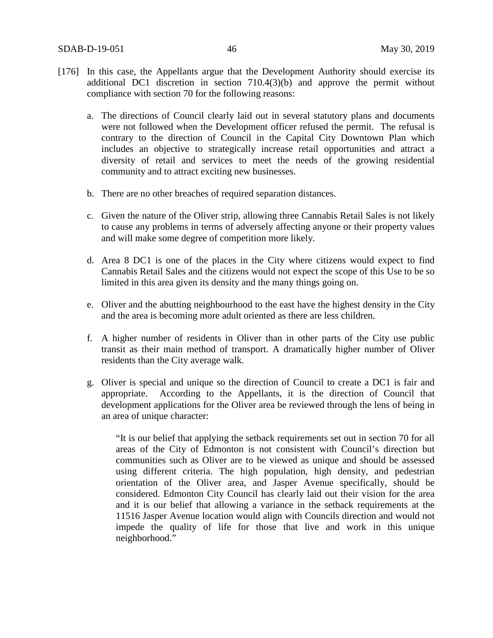- [176] In this case, the Appellants argue that the Development Authority should exercise its additional DC1 discretion in section 710.4(3)(b) and approve the permit without compliance with section 70 for the following reasons:
	- a. The directions of Council clearly laid out in several statutory plans and documents were not followed when the Development officer refused the permit. The refusal is contrary to the direction of Council in the Capital City Downtown Plan which includes an objective to strategically increase retail opportunities and attract a diversity of retail and services to meet the needs of the growing residential community and to attract exciting new businesses.
	- b. There are no other breaches of required separation distances.
	- c. Given the nature of the Oliver strip, allowing three Cannabis Retail Sales is not likely to cause any problems in terms of adversely affecting anyone or their property values and will make some degree of competition more likely.
	- d. Area 8 DC1 is one of the places in the City where citizens would expect to find Cannabis Retail Sales and the citizens would not expect the scope of this Use to be so limited in this area given its density and the many things going on.
	- e. Oliver and the abutting neighbourhood to the east have the highest density in the City and the area is becoming more adult oriented as there are less children.
	- f. A higher number of residents in Oliver than in other parts of the City use public transit as their main method of transport. A dramatically higher number of Oliver residents than the City average walk.
	- g. Oliver is special and unique so the direction of Council to create a DC1 is fair and appropriate. According to the Appellants, it is the direction of Council that development applications for the Oliver area be reviewed through the lens of being in an area of unique character:

"It is our belief that applying the setback requirements set out in section 70 for all areas of the City of Edmonton is not consistent with Council's direction but communities such as Oliver are to be viewed as unique and should be assessed using different criteria. The high population, high density, and pedestrian orientation of the Oliver area, and Jasper Avenue specifically, should be considered. Edmonton City Council has clearly laid out their vision for the area and it is our belief that allowing a variance in the setback requirements at the 11516 Jasper Avenue location would align with Councils direction and would not impede the quality of life for those that live and work in this unique neighborhood."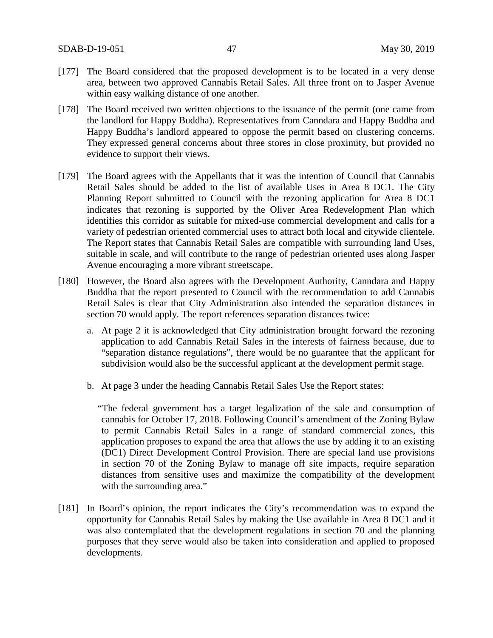- [177] The Board considered that the proposed development is to be located in a very dense area, between two approved Cannabis Retail Sales. All three front on to Jasper Avenue within easy walking distance of one another.
- [178] The Board received two written objections to the issuance of the permit (one came from the landlord for Happy Buddha). Representatives from Canndara and Happy Buddha and Happy Buddha's landlord appeared to oppose the permit based on clustering concerns. They expressed general concerns about three stores in close proximity, but provided no evidence to support their views.
- [179] The Board agrees with the Appellants that it was the intention of Council that Cannabis Retail Sales should be added to the list of available Uses in Area 8 DC1. The City Planning Report submitted to Council with the rezoning application for Area 8 DC1 indicates that rezoning is supported by the Oliver Area Redevelopment Plan which identifies this corridor as suitable for mixed-use commercial development and calls for a variety of pedestrian oriented commercial uses to attract both local and citywide clientele. The Report states that Cannabis Retail Sales are compatible with surrounding land Uses, suitable in scale, and will contribute to the range of pedestrian oriented uses along Jasper Avenue encouraging a more vibrant streetscape.
- [180] However, the Board also agrees with the Development Authority, Canndara and Happy Buddha that the report presented to Council with the recommendation to add Cannabis Retail Sales is clear that City Administration also intended the separation distances in section 70 would apply. The report references separation distances twice:
	- a. At page 2 it is acknowledged that City administration brought forward the rezoning application to add Cannabis Retail Sales in the interests of fairness because, due to "separation distance regulations", there would be no guarantee that the applicant for subdivision would also be the successful applicant at the development permit stage.
	- b. At page 3 under the heading Cannabis Retail Sales Use the Report states:

"The federal government has a target legalization of the sale and consumption of cannabis for October 17, 2018. Following Council's amendment of the Zoning Bylaw to permit Cannabis Retail Sales in a range of standard commercial zones, this application proposes to expand the area that allows the use by adding it to an existing (DC1) Direct Development Control Provision. There are special land use provisions in section 70 of the Zoning Bylaw to manage off site impacts, require separation distances from sensitive uses and maximize the compatibility of the development with the surrounding area."

[181] In Board's opinion, the report indicates the City's recommendation was to expand the opportunity for Cannabis Retail Sales by making the Use available in Area 8 DC1 and it was also contemplated that the development regulations in section 70 and the planning purposes that they serve would also be taken into consideration and applied to proposed developments.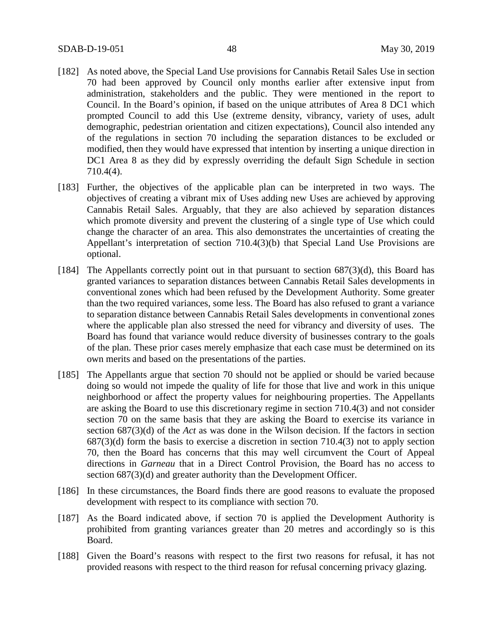- [182] As noted above, the Special Land Use provisions for Cannabis Retail Sales Use in section 70 had been approved by Council only months earlier after extensive input from administration, stakeholders and the public. They were mentioned in the report to Council. In the Board's opinion, if based on the unique attributes of Area 8 DC1 which prompted Council to add this Use (extreme density, vibrancy, variety of uses, adult demographic, pedestrian orientation and citizen expectations), Council also intended any of the regulations in section 70 including the separation distances to be excluded or modified, then they would have expressed that intention by inserting a unique direction in DC1 Area 8 as they did by expressly overriding the default Sign Schedule in section 710.4(4).
- [183] Further, the objectives of the applicable plan can be interpreted in two ways. The objectives of creating a vibrant mix of Uses adding new Uses are achieved by approving Cannabis Retail Sales. Arguably, that they are also achieved by separation distances which promote diversity and prevent the clustering of a single type of Use which could change the character of an area. This also demonstrates the uncertainties of creating the Appellant's interpretation of section 710.4(3)(b) that Special Land Use Provisions are optional.
- [184] The Appellants correctly point out in that pursuant to section 687(3)(d), this Board has granted variances to separation distances between Cannabis Retail Sales developments in conventional zones which had been refused by the Development Authority. Some greater than the two required variances, some less. The Board has also refused to grant a variance to separation distance between Cannabis Retail Sales developments in conventional zones where the applicable plan also stressed the need for vibrancy and diversity of uses. The Board has found that variance would reduce diversity of businesses contrary to the goals of the plan. These prior cases merely emphasize that each case must be determined on its own merits and based on the presentations of the parties.
- [185] The Appellants argue that section 70 should not be applied or should be varied because doing so would not impede the quality of life for those that live and work in this unique neighborhood or affect the property values for neighbouring properties. The Appellants are asking the Board to use this discretionary regime in section 710.4(3) and not consider section 70 on the same basis that they are asking the Board to exercise its variance in section 687(3)(d) of the *Act* as was done in the Wilson decision. If the factors in section 687(3)(d) form the basis to exercise a discretion in section 710.4(3) not to apply section 70, then the Board has concerns that this may well circumvent the Court of Appeal directions in *Garneau* that in a Direct Control Provision, the Board has no access to section  $687(3)(d)$  and greater authority than the Development Officer.
- [186] In these circumstances, the Board finds there are good reasons to evaluate the proposed development with respect to its compliance with section 70.
- [187] As the Board indicated above, if section 70 is applied the Development Authority is prohibited from granting variances greater than 20 metres and accordingly so is this Board.
- [188] Given the Board's reasons with respect to the first two reasons for refusal, it has not provided reasons with respect to the third reason for refusal concerning privacy glazing.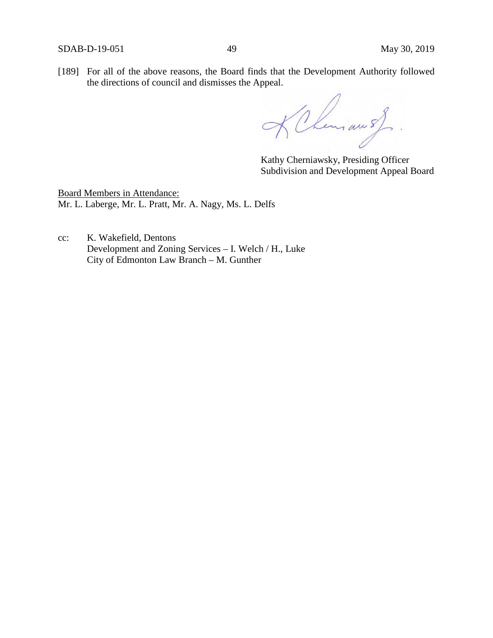[189] For all of the above reasons, the Board finds that the Development Authority followed the directions of council and dismisses the Appeal.

KChemiau s)

Kathy Cherniawsky, Presiding Officer Subdivision and Development Appeal Board

Board Members in Attendance: Mr. L. Laberge, Mr. L. Pratt, Mr. A. Nagy, Ms. L. Delfs

cc: K. Wakefield, Dentons Development and Zoning Services – I. Welch / H., Luke City of Edmonton Law Branch – M. Gunther